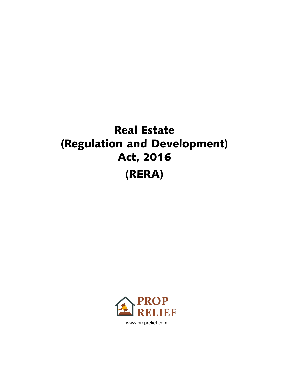# Real Estate (Regulation and Development) Act, 2016 (RERA)

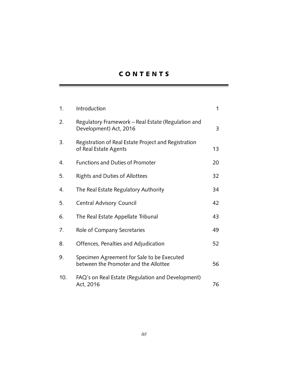# C O N T E N T S

| 1.  | Introduction                                                                        | 1              |
|-----|-------------------------------------------------------------------------------------|----------------|
| 2.  | Regulatory Framework – Real Estate (Regulation and<br>Development) Act, 2016        | $\overline{3}$ |
| 3.  | Registration of Real Estate Project and Registration<br>of Real Estate Agents       | 13             |
| 4.  | <b>Functions and Duties of Promoter</b>                                             | 20             |
| 5.  | <b>Rights and Duties of Allottees</b>                                               | 32             |
| 4.  | The Real Estate Regulatory Authority                                                | 34             |
| 5.  | Central Advisory Council                                                            | 42             |
| 6.  | The Real Estate Appellate Tribunal                                                  | 43             |
| 7.  | Role of Company Secretaries                                                         | 49             |
| 8.  | Offences, Penalties and Adjudication                                                | 52             |
| 9.  | Specimen Agreement for Sale to be Executed<br>between the Promoter and the Allottee | 56             |
| 10. | FAQ's on Real Estate (Regulation and Development)<br>Act, 2016                      | 76             |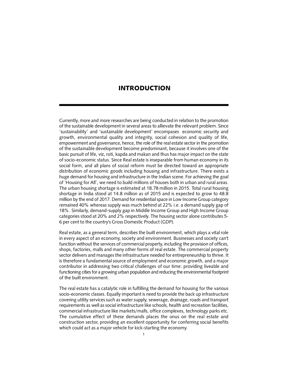## INTRODUCTION

Currently, more and more researches are being conducted in relation to the promotion of the sustainable development in several areas to allievate the relevant problem. Since 'sustainability' and 'sustainable development' encompases economic security and growth, environmental quality and integrity, social cohesion and quality of life, empowerment and governance, hence, the role of the real estate sector in the promotion of the sustainable development become predominant, because it involves one of the basic pursuit of life, viz, roti, kapda and makan and thus has major impact on the state of socio-economic status. Since Real estate is inseparable from human economy in its social form, and all plans of social reform must be directed toward an appropriate distribution of economic goods including housing and infrastructure. There exists a huge demand for housing and infrastructure in the Indian scene. For achieving the goal of 'Housing for All', we need to build millions of houses both in urban and rural areas. The urban housing shortage is estimated at 18.78 million in 2015. Total rural housing shortage in India stood at 14.8 million as of 2015 and is expected to grow to 48.8 million by the end of 2017. Demand for residential space in Low Income Group category remained 40% whereas supply was much behind at 22% i.e. a demand supply gap of 18%. Similarly, demand-supply gap in Middle Income Group and High Income Group categories stood at 20% and 2% respectively. The housing sector alone contributes 5- 6 per cent to the country's Gross Domestic Product (GDP).

Real estate, as a general term, describes the built environment, which plays a vital role in every aspect of an economy, society and environment. Businesses and society can't function without the services of commercial property, including the provision of offices, shops, factories, malls and many other forms of real estate. The commercial property sector delivers and manages the infrastructure needed for entrepreneurship to thrive. It is therefore a fundamental source of employment and economic growth, and a major contributor in addressing two critical challenges of our time: providing liveable and functioning cities for a growing urban population and reducing the environmental footprint of the built environment.

The real estate has a catalytic role in fulfilling the demand for housing for the various socio-economic classes. Equally important is need to provide the back up infrastructure covering utility services such as water supply, sewerage, drainage, roads and transport requirements as well as social infrastructure like schools, health and recreation facilities, commercial infrastructure like markets/malls, office complexes, technology parks etc. The cumulative effect of these demands places the onus on the real estate and construction sector, providing an excellent opportunity for conferring social benefits which could act as a major vehicle for kick-starting the economy.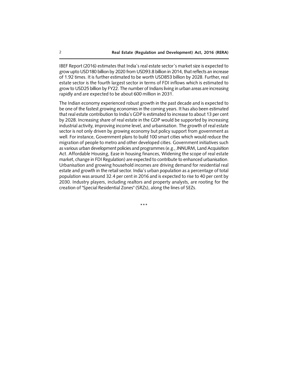IBEF Report (2016) estimates that India's real estate sector's market size is expected to grow upto USD180 billion by 2020 from USD93.8 billion in 2014, that reflects an increase of 1.92 times. It is further estimated to be worth USD853 billion by 2028. Further, real estate sector is the fourth largest sector in terms of FDI inflows which is estimated to grow to USD25 billion by FY22. The number of Indians living in urban areas are increasing rapidly and are expected to be about 600 million in 2031.

The Indian economy experienced robust growth in the past decade and is expected to be one of the fastest growing economies in the coming years. It has also been estimated that real estate contribution to India's GDP is estimated to increase to about 13 per cent by 2028. Increasing share of real estate in the GDP would be supported by increasing industrial activity, improving income level, and urbanisation. The growth of real estate sector is not only driven by growing economy but policy support from government as well. For instance, Government plans to build 100 smart cities which would reduce the migration of people to metro and other developed cities. Government initiatives such as various urban development policies and programmes (e.g., JNNURM, Land Acquisition Act. Affordable Housing, Ease in housing finances, Widening the scope of real estate market, change in FDI Regulation) are expected to contribute to enhanced urbanisation. Urbanisation and growing household incomes are driving demand for residential real estate and growth in the retail sector. India's urban population as a percentage of total population was around 32.4 per cent in 2016 and is expected to rise to 40 per cent by 2030. Industry players, including realtors and property analysts, are rooting for the creation of "Special Residential Zones" (SRZs), along the lines of SEZs.

\*\*\*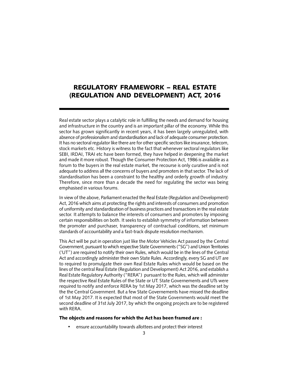# REGULATORY FRAMEWORK – REAL ESTATE (REGULATION AND DEVELOPMENT) ACT, 2016

Real estate sector plays a catalytic role in fulfilling the needs and demand for housing and infrastructure in the country and is an important pillar of the economy. While this sector has grown significantly in recent years, it has been largely unregulated, with absence of professionalism and standardisation and lack of adequate consumer protection. It has no sectoral regulator like there are for other specific sectors like insurance, telecom, stock markets etc. History is witness to the fact that whenever sectoral regulators like SEBI, IRDAI, TRAI etc have been formed, they have helped in deepening the market and made it more robust. Though the Consumer Protection Act, 1986 is available as a forum to the buyers in the real estate market, the recourse is only curative and is not adequate to address all the concerns of buyers and promoters in that sector. The lack of standardisation has been a constraint to the healthy and orderly growth of industry. Therefore, since more than a decade the need for regulating the sector was being emphasised in various forums.

In view of the above, Parliament enacted the Real Estate (Regulation and Development) Act, 2016 which aims at protecting the rights and interests of consumers and promotion of uniformity and standardization of business practices and transactions in the real estate sector. It attempts to balance the interests of consumers and promoters by imposing certain responsibilities on both. It seeks to establish symmetry of information between the promoter and purchaser, transparency of contractual conditions, set minimum standards of accountability and a fast-track dispute resolution mechanism.

This Act will be put in operation just like the Motor Vehicles Act passed by the Central Government, pursuant to which respective State Governments ("SG") and Union Territories ('UT") are required to notify their own Rules, which would be in the lines of the Central Act and accordingly administer their own State Rules. Accordingly, every SG and UT are to required to promulgate their own Real Estate Rules which would be based on the lines of the central Real Estate (Regulation and Development) Act 2016, and establish a Real Estate Regulatory Authority ("RERA") pursuant to the Rules, which will administer the respective Real Estate Rules of the State or UT. State Governements and UTs were required to notify and enforce RERA by 1st May 2017, which was the deadline set by the the Central Government. But a few State Governements have missed the deadline of 1st May 2017. It is expected that most of the State Governments would meet the second deadline of 31st July 2017, by which the ongoing projects are to be registered with RERA.

#### The objects and reasons for which the Act has been framed are :

• ensure accountability towards allottees and protect their interest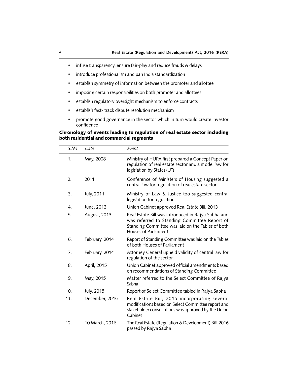- infuse transparency, ensure fair-play and reduce frauds & delays
- introduce professionalism and pan India standardization
- establish symmetry of information between the promoter and allottee
- imposing certain responsibilities on both promoter and allottees
- establish regulatory oversight mechanism to enforce contracts
- establish fast- track dispute resolution mechanism
- promote good governance in the sector which in turn would create investor confidence

## Chronology of events leading to regulation of real estate sector including both residential and commercial segments

| S.No | Date           | Event                                                                                                                                                                           |
|------|----------------|---------------------------------------------------------------------------------------------------------------------------------------------------------------------------------|
| 1.   | May, 2008      | Ministry of HUPA first prepared a Concept Paper on<br>regulation of real estate sector and a model law for<br>legislation by States/UTs                                         |
| 2.   | 2011           | Conference of Ministers of Housing suggested a<br>central law for regulation of real estate sector                                                                              |
| 3.   | July, 2011     | Ministry of Law & Justice too suggested central<br>legislation for regulation                                                                                                   |
| 4.   | June, 2013     | Union Cabinet approved Real Estate Bill, 2013                                                                                                                                   |
| 5.   | August, 2013   | Real Estate Bill was introduced in Rajya Sabha and<br>was referred to Standing Committee Report of<br>Standing Committee was laid on the Tables of both<br>Houses of Parliament |
| 6.   | February, 2014 | Report of Standing Committee was laid on the Tables<br>of both Houses of Parliament                                                                                             |
| 7.   | February, 2014 | Attorney General upheld validity of central law for<br>regulation of the sector                                                                                                 |
| 8.   | April, 2015    | Union Cabinet approved official amendments based<br>on recommendations of Standing Committee                                                                                    |
| 9.   | May, 2015      | Matter referred to the Select Committee of Rajya<br>Sabha                                                                                                                       |
| 10.  | July, 2015     | Report of Select Committee tabled in Rajya Sabha                                                                                                                                |
| 11.  | December, 2015 | Real Estate Bill, 2015 incorporating several<br>modifications based on Select Committee report and<br>stakeholder consultations was approved by the Union<br>Cabinet            |
| 12.  | 10 March, 2016 | The Real Estate (Regulation & Development) Bill, 2016<br>passed by Rajya Sabha                                                                                                  |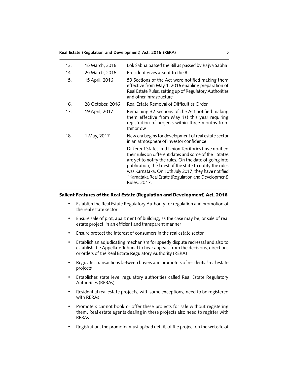#### **Real Estate (Regulation and Development) Act, 2016 (RERA)** 5

| 13. | 15 March, 2016   | Lok Sabha passed the Bill as passed by Rajya Sabha                                                                                                                                                                                                                                                                                                                 |
|-----|------------------|--------------------------------------------------------------------------------------------------------------------------------------------------------------------------------------------------------------------------------------------------------------------------------------------------------------------------------------------------------------------|
| 14. | 25 March, 2016   | President gives assent to the Bill                                                                                                                                                                                                                                                                                                                                 |
| 15. | 15 April, 2016   | 59 Sections of the Act were notified making them<br>effective from May 1, 2016 enabling preparation of<br>Real Estate Rules, setting up of Regulatory Authorities<br>and other infrastructure                                                                                                                                                                      |
| 16. | 28 October, 2016 | Real Estate Removal of Difficulties Order                                                                                                                                                                                                                                                                                                                          |
| 17. | 19 April, 2017   | Remaining 32 Sections of the Act notified making<br>them effective from May 1st this year requiring<br>registration of projects within three months from<br>tomorrow                                                                                                                                                                                               |
| 18. | 1 May, 2017      | New era begins for development of real estate sector<br>in an atmosphere of investor confidence                                                                                                                                                                                                                                                                    |
|     |                  | Different States and Union Territories have notified<br>their rules on different dates and some of the States<br>are yet to notify the rules. On the date of going into<br>publication, the latest of the state to notify the rules<br>was Karnataka. On 10th July 2017, they have notified<br>"Karnataka Real Estate (Regulation and Development)<br>Rules, 2017. |

#### Salient Features of the Real Estate (Regulation and Development) Act, 2016

- Establish the Real Estate Regulatory Authority for regulation and promotion of the real estate sector
- Ensure sale of plot, apartment of building, as the case may be, or sale of real estate project, in an efficient and transparent manner
- Ensure protect the interest of consumers in the real estate sector
- Establish an adjudicating mechanism for speedy dispute redressal and also to establish the Appellate Tribunal to hear appeals from the decisions, directions or orders of the Real Estate Regulatory Authority (RERA)
- Regulates transactions between buyers and promoters of residential real estate projects
- Establishes state level regulatory authorities called Real Estate Regulatory Authorities (RERAs)
- Residential real estate projects, with some exceptions, need to be registered with RERAs
- Promoters cannot book or offer these projects for sale without registering them. Real estate agents dealing in these projects also need to register with RERAs
- Registration, the promoter must upload details of the project on the website of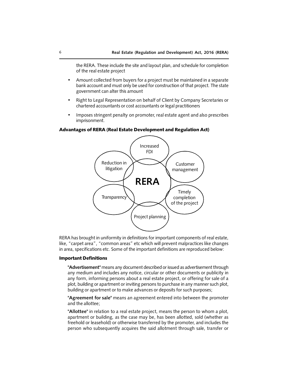the RERA. These include the site and layout plan, and schedule for completion of the real estate project

- Amount collected from buyers for a project must be maintained in a separate bank account and must only be used for construction of that project. The state government can alter this amount
- Right to Legal Representation on behalf of Client by Company Secretaries or chartered accountants or cost accountants or legal practitioners
- Imposes stringent penalty on promoter, real estate agent and also prescribes imprisonment.

#### Advantages of RERA (Real Estate Development and Regulation Act)



RERA has brought in uniformity in definitions for important components of real estate, like, "carpet area", "common areas" etc which will prevent malpractices like changes in area, specifications etc. Some of the important definitions are reproduced below:

## Important Definitions

**"Advertisement"** means any document described or issued as advertisement through any medium and includes any notice, circular or other documents or publicity in any form, informing persons about a real estate project, or offering for sale of a plot, building or apartment or inviting persons to purchase in any manner such plot, building or apartment or to make advances or deposits for such purposes;

**"Agreement for sale"** means an agreement entered into between the promoter and the allottee;

**"Allottee"** in relation to a real estate project, means the person to whom a plot, apartment or building, as the case may be, has been allotted, sold (whether as freehold or leasehold) or otherwise transferred by the promoter, and includes the person who subsequently acquires the said allotment through sale, transfer or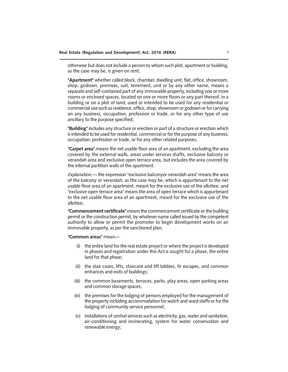otherwise but does not include a person to whom such plot, apartment or building, as the case may be, is given on rent;

**"Apartment"** whether called block, chamber, dwelling unit, flat, office, showroom, shop, godown, premises, suit, tenement, unit or by any other name, means a separate and self-contained part of any immovable property, including one or more rooms or enclosed spaces, located on one or more floors or any part thereof, in a building or on a plot of land, used or intended to be used for any residential or commercial use such as residence, office, shop, showroom or godown or for carrying on any business, occupation, profession or trade, or for any other type of use ancillary to the purpose specified;

**"Building"** includes any structure or erection or part of a structure or erection which is intended to be used for residential, commercial or for the purpose of any business, occupation, profession or trade, or for any other related purposes;

**"Carpet area"** means the net usable floor area of an apartment, excluding the area covered by the external walls, areas under services shafts, exclusive balcony or verandah area and exclusive open terrace area, but includes the area covered by the internal partition walls of the apartment.

*Explanation.*— the expression "exclusive balconyor verandah area" means the area of the balcony or verandah, as the case may be, which is appurtenant to the net usable floor area of an apartment, meant for the exclusive use of the allottee; and "exclusive open terrace area" means the area of open terrace which is appurtenant to the net usable floor area of an apartment, meant for the exclusive use of the allottee;

**"Commencement certificate"** means the commencement certificate or the building permit or the construction permit, by whatever name called issued by the competent authority to allow or permit the promoter to begin development works on an immovable property, as per the sanctioned plan;

**"Common areas"** mean—

- (i) the entire land for the real estate project or where the project is developed in phases and registration under this Act is sought for a phase, the entire land for that phase;
- (ii) the stair cases, lifts, staircase and lift lobbies, fir escapes, and common entrances and exits of buildings;
- (iii) the common basements, terraces, parks, play areas, open parking areas and common storage spaces;
- (iv) the premises for the lodging of persons employed for the management of the property including accommodation for watch and ward staffs or for the lodging of community service personnel;
- (v) installations of central services such as electricity, gas, water and sanitation, air-conditioning and incinerating, system for water conservation and renewable energy;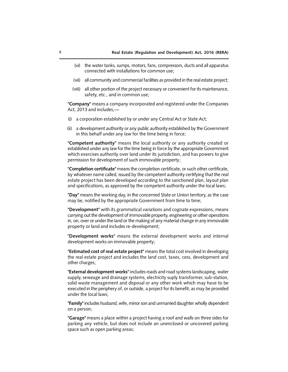- (vi) the water tanks, sumps, motors, fans, compressors, ducts and all apparatus connected with installations for common use;
- (vii) all community and commercial facilities as provided in the real estate project;
- (viii) all other portion of the project necessary or convenient for its maintenance, safety, etc., and in common use;

**"Company"** means a company incorporated and registered under the Companies Act, 2013 and includes,—

- (i) a corporation established by or under any Central Act or State Act;
- (ii) a development authority or any public authority established by the Government in this behalf under any law for the time being in force;

**"Competent authority"** means the local authority or any authority created or established under any law for the time being in force by the appropriate Government which exercises authority over land under its jurisdiction, and has powers to give permission for development of such immovable property;

**"Completion certificate"** means the completion certificate, or such other certificate, by whatever name called, issued by the competent authority certifying that the real estate project has been developed according to the sanctioned plan, layout plan and specifications, as approved by the competent authority under the local laws;

**"Day"** means the working day, in the concerned State or Union territory, as the case may be, notified by the appropriate Government from time to time;

**"Development"** with its grammatical variations and cognate expressions, means carrying out the development of immovable property, engineering or other operations in, on, over or under the land or the making of any material change in any immovable property or land and includes re-development;

**"Development works"** means the external development works and internal development works on immovable property;

**"Estimated cost of real estate project"** means the total cost involved in developing the real estate project and includes the land cost, taxes, cess, development and other charges;

**"External development works"** includes roads and road systems landscaping, water supply, seweage and drainage systems, electricity suply transformer, sub-station, solid waste management and disposal or any other work which may have to be executed in the periphery of, or outside, a project for its benefit, as may be provided under the local laws;

**"Family"** includes husband, wife, minor son and unmarried daughter wholly dependent on a person;

**"Garage"** means a place within a project having a roof and walls on three sides for parking any vehicle, but does not include an unenclosed or uncovered parking space such as open parking areas;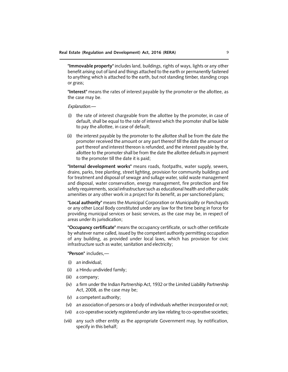**"Immovable property"** includes land, buildings, rights of ways, lights or any other benefit arising out of land and things attached to the earth or permanently fastened to anything which is attached to the earth, but not standing timber, standing crops or grass;

**"Interest"** means the rates of interest payable by the promoter or the allottee, as the case may be.

*Explanation.*—

- (i) the rate of interest chargeable from the allottee by the promoter, in case of default, shall be equal to the rate of interest which the promoter shall be liable to pay the allottee, in case of default;
- (ii) the interest payable by the promoter to the allottee shall be from the date the promoter received the amount or any part thereof till the date the amount or part thereof and interest thereon is refunded, and the interest payable by the, allottee to the promoter shall be from the date the allottee defaults in payment to the promoter till the date it is paid;

**"Internal development works"** means roads, footpaths, water supply, sewers, drains, parks, tree planting, street lighting, provision for community buildings and for treatment and disposal of sewage and sullage water, solid waste management and disposal, water conservation, energy management, fire protection and fire safety requirements, social infrastructure such as educational health and other public amenities or any other work in a project for its benefit, as per sanctioned plans;

**"Local authority"** means the Municipal Corporation or Municipality or Panchayats or any other Local Body constituted under any law for the time being in force for providing municipal services or basic services, as the case may be, in respect of areas under its jurisdication;

**"Occupancy certificate"** means the occupancy certificate, or such other certificate by whatever name called, issued by the competent authority permitting occupation of any building, as provided under local laws, which has provision for civic infrastructure such as water, sanitation and electricity;

**"Person"** includes,—

- (i) an individual;
- (ii) a Hindu undivided family;
- (iii) a company;
- (iv) a firm under the Indian Partnership Act, 1932 or the Limited Liability Partnership Act, 2008, as the case may be;
- (v) a competent authority;
- (vi) an association of persons or a body of individuals whether incorporated or not;
- (vii) a co-operative society registered under any law relating to co-operative societies;
- (viii) any such other entity as the appropriate Government may, by notification, specify in this behalf;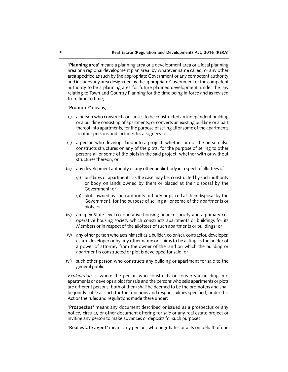**"Planning area"** means a planning area or a development area or a local planning area or a regional development plan area, by whatever name called, or any other area specified as such by the appropriate Government or any competent authority and includes any area designated by the appropriate Government or the competent authority to be a planning area for future planned development, under the law relating to Town and Country Planning for the time being in force and as revised from time to time;

#### **"Promoter"** means,—

- (i) a person who constructs or causes to be constructed an independent building or a building consisting of apartments, or converts an existing building or a part thereof into apartments, for the purpose of selling all or some of the apartments to other persons and includes his assignees; or
- (ii) a person who develops land into a project, whether or not the person also constructs structures on any of the plots, for the purpose of selling to other persons all or some of the plots in the said project, whether with or without structures thereon; or
- (iii) any development authority or any other public body in respect of allottees of—
	- (a) buildings or apartments, as the case may be, constructed by such authority or body on lands owned by them or placed at their disposal by the Government; or
	- (b) plots owned by such authority or body or placed at their disposal by the Government, for the purpose of selling all or some of the apartments or plots; or
- (iv) an apex State level co-operative housing finance society and a primary cooperative housing society which constructs apartments or buildings for its Members or in respect of the allottees of such apartments or buildings; or
- (v) any other person who acts himself as a builder, coloniser, contractor, developer, estate developer or by any other name or claims to be acting as the holder of a power of attorney from the owner of the land on which the building or apartment is constructed or plot is developed for sale; or
- (vi) such other person who constructs any building or apartment for sale to the general public.

*Explanation.*— where the person who constructs or converts a building into apartments or develops a plot for sale and the persons who sells apartments or plots are different persons, both of them shall be deemed to be the promoters and shall be jointly liable as such for the functions and responsibilities specified, under this Act or the rules and regulations made there under;

**"Prospectus"** means any document described or issued as a prospectus or any notice, circular, or other document offering for sale or any real estate project or inviting any person to make advances or deposits for such purposes;

**"Real estate agent"** means any person, who negotiates or acts on behalf of one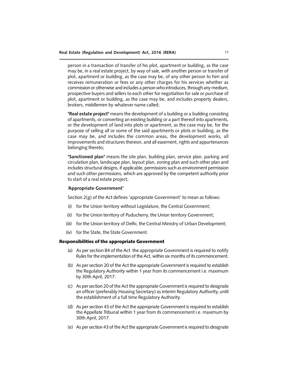person in a transaction of transfer of his plot, apartment or building, as the case may be, in a real estate project, by way of sale, with another person or transfer of plot, apartment or building, as the case may be, of any other person to him and receives remuneration or fees or any other charges for his services whether as commission or otherwise and includes a person who introduces, through any medium, prospective buyers and sellers to each other for negotiation for sale or purchase of plot, apartment or building, as the case may be, and includes property dealers, brokers, middlemen by whatever name called;

**"Real estate project"** means the development of a building or a building consisting of apartments, or converting an existing building or a part thereof into apartments, or the development of land into plots or apartment, as the case may be, for the purpose of selling all or some of the said apartments or plots or building, as the case may be, and includes the common areas, the development works, all improvements and structures thereon, and all easement, rights and appurtenances belonging thereto;

**"Sanctioned plan"** means the site plan, building plan, service plan, parking and circulation plan, landscape plan, layout plan, zoning plan and such other plan and includes structural designs, if applicable, permissions such as environment permission and such other permissions, which are approved by the competent authority prior to start of a real estate project;

#### **'Appropriate Government'**

Section 2(g) of the Act defines 'appropriate Government' to mean as follows:

- (i) for the Union territory without Legislature, the Central Government;
- (ii) for the Union territory of Puducherry, the Union territory Government;
- (iii) for the Union territory of Delhi, the Central Ministry of Urban Development;
- (iv) for the State, the State Government.

#### Responsibilities of the appropriate Government

- (a) As per section 84 of the Act the appropriate Government is required to notify Rules for the implementation of the Act, within six months of its commencement.
- (b) As per section 20 of the Act the appropriate Government is required to establish the Regulatory Authority within 1 year from its commencement i.e. maximum by 30th April, 2017.
- (c) As per section 20 of the Act the appropriate Government is required to designate an officer (preferably Housing Secretary) as interim Regulatory Authority, until the establishment of a full time Regulatory Authority.
- (d) As per section 43 of the Act the appropriate Government is required to establish the Appellate Tribunal within 1 year from its commencement i.e. maximum by 30th April, 2017.
- (e) As per section 43 of the Act the appropriate Government is required to designate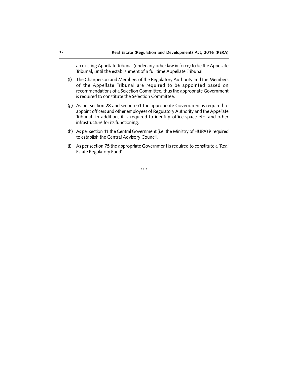an existing Appellate Tribunal (under any other law in force) to be the Appellate Tribunal, until the establishment of a full time Appellate Tribunal.

- (f) The Chairperson and Members of the Regulatory Authority and the Members of the Appellate Tribunal are required to be appointed based on recommendations of a Selection Committee, thus the appropriate Government is required to constitute the Selection Committee.
- (g) As per section 28 and section 51 the appropriate Government is required to appoint officers and other employees of Regulatory Authority and the Appellate Tribunal. In addition, it is required to identify office space etc. and other infrastructure for its functioning.
- (h) As per section 41 the Central Government (i.e. the Ministry of HUPA) is required to establish the Central Advisory Council.
- (i) As per section 75 the appropriate Government is required to constitute a 'Real Estate Regulatory Fund'.

\*\*\*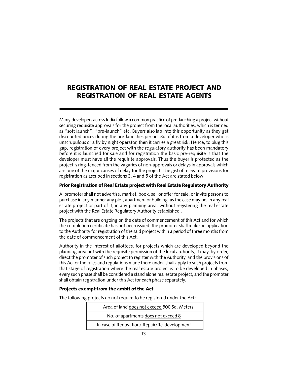# REGISTRATION OF REAL ESTATE PROJECT AND REGISTRATION OF REAL ESTATE AGENTS

Many developers across India follow a common practice of pre-lauching a project without securing requisite approvals for the project from the local authorities, which is termed as "soft launch", "pre-launch" etc. Buyers also lap into this opportunity as they get discounted prices during the pre-launches period. But if it is from a developer who is unscrupulous or a fly by night operator, then it carries a great risk. Hence, to plug this gap, registration of every project with the regulatory authority has been mandatory before it is launched for sale and for registration the basic pre-requisite is that the developer must have all the requisite approvals. Thus the buyer is protected as the project is ring-fenced from the vagaries of non-approvals or delays in approvals which are one of the major causes of delay for the project. The gist of relevant provisions for registration as ascribed in sections 3, 4 and 5 of the Act are stated below:

#### Prior Registration of Real Estate project with Real Estate Regulatory Authority

A promoter shall not advertise, market, book, sell or offer for sale, or invite persons to purchase in any manner any plot, apartment or building, as the case may be, in any real estate project or part of it, in any planning area, without registering the real estate project with the Real Estate Regulatory Authority established .

The projects that are ongoing on the date of commencement of this Act and for which the completion certificate has not been issued, the promoter shall make an application to the Authority for registration of the said project within a period of three months from the date of commencement of this Act.

Authority in the interest of allottees, for projects which are developed beyond the planning area but with the requisite permission of the local authority, it may, by order, direct the promoter of such project to register with the Authority, and the provisions of this Act or the rules and regulations made there under, shall apply to such projects from that stage of registration where the real estate project is to be developed in phases, every such phase shall be considered a stand alone real estate project, and the promoter shall obtain registration under this Act for each phase separately.

## Projects exempt from the ambit of the Act

The following projects do not require to be registered under the Act:

| Area of land does not exceed 500 Sq. Meters |
|---------------------------------------------|
| No. of apartments does not exceed 8         |
| In case of Renovation/Repair/Re-development |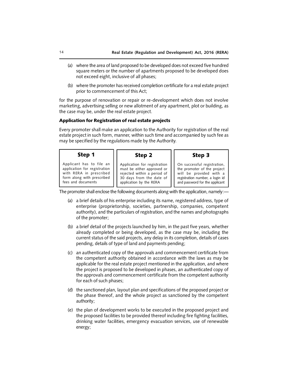- (a) where the area of land proposed to be developed does not exceed five hundred square meters or the number of apartments proposed to be developed does not exceed eight, inclusive of all phases;
- (b) where the promoter has received completion certificate for a real estate project prior to commencement of this Act;

for the purpose of renovation or repair or re-development which does not involve marketing, advertising selling or new allotment of any apartment, plot or building, as the case may be, under the real estate project.

#### Application for Registration of real estate projects

Every promoter shall make an application to the Authority for registration of the real estate project in such form, manner, within such time and accompanied by such fee as may be specified by the regulations made by the Authority.

| Step 1                       | Step 2                       | Step 3                          |
|------------------------------|------------------------------|---------------------------------|
| Applicant has to file an     | Application for registration | On successful registration,     |
| application for registration | must be either approved or   | the promoter of the project     |
| with RERA in prescribed      | rejected within a period of  | will be provided with a         |
| form along with prescribed   | 30 days from the date of     | registration number, a login id |
| fees and documents           | application by the RERA      | and password for the applicant  |

The promoter shall enclose the following documents along with the application, namely:—

- (a) a brief details of his enterprise including its name, registered address, type of enterprise (proprietorship, societies, partnership, companies, competent authority), and the particulars of registration, and the names and photographs of the promoter;
- (b) a brief detail of the projects launched by him, in the past five years, whether already completed or being developed, as the case may be, including the current status of the said projects, any delay in its completion, details of cases pending, details of type of land and payments pending;
- (c) an authenticated copy of the approvals and commencement certificate from the competent authority obtained in accordance with the laws as may be applicable for the real estate project mentioned in the application, and where the project is proposed to be developed in phases, an authenticated copy of the approvals and commencement certificate from the competent authority for each of such phases;
- (d) the sanctioned plan, layout plan and specifications of the proposed project or the phase thereof, and the whole project as sanctioned by the competent authority;
- (e) the plan of development works to be executed in the proposed project and the proposed facilities to be provided thereof including fire fighting facilities, drinking water facilities, emergency evacuation services, use of renewable energy;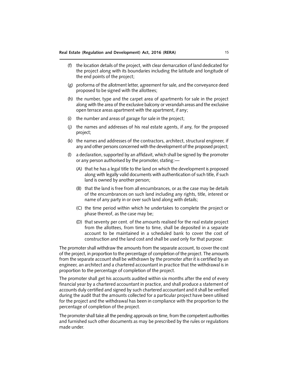- (f) the location details of the project, with clear demarcation of land dedicated for the project along with its boundaries including the latitude and longitude of the end points of the project;
- (g) proforma of the allotment letter, agreement for sale, and the conveyance deed proposed to be signed with the allottees;
- (h) the number, type and the carpet area of apartments for sale in the project along with the area of the exclusive balcony or verandah areas and the exclusive open terrace areas apartment with the apartment, if any;
- (i) the number and areas of garage for sale in the project;
- (j) the names and addresses of his real estate agents, if any, for the proposed project;
- (k) the names and addresses of the contractors, architect, structural engineer, if any and other persons concerned with the development of the proposed project;
- (l) a declaration, supported by an affidavit, which shall be signed by the promoter or any person authorised by the promoter, stating:—
	- (A) that he has a legal title to the land on which the development is proposed along with legally valid documents with authentication of such title, if such land is owned by another person;
	- (B) that the land is free from all encumbrances, or as the case may be details of the encumbrances on such land including any rights, title, interest or name of any party in or over such land along with details;
	- (C) the time period within which he undertakes to complete the project or phase thereof, as the case may be;
	- (D) that seventy per cent. of the amounts realised for the real estate project from the allottees, from time to time, shall be deposited in a separate account to be maintained in a scheduled bank to cover the cost of construction and the land cost and shall be used only for that purpose:

The promoter shall withdraw the amounts from the separate account, to cover the cost of the project, in proportion to the percentage of completion of the project. The amounts from the separate account shall be withdrawn by the promoter after it is certified by an engineer, an architect and a chartered accountant in practice that the withdrawal is in proportion to the percentage of completion of the project.

The promoter shall get his accounts audited within six months after the end of every financial year by a chartered accountant in practice, and shall produce a statement of accounts duly certified and signed by such chartered accountant and it shall be verified during the audit that the amounts collected for a particular project have been utilised for the project and the withdrawal has been in compliance with the proportion to the percentage of completion of the project.

The promoter shall take all the pending approvals on time, from the competent authorities and furnished such other documents as may be prescribed by the rules or regulations made under.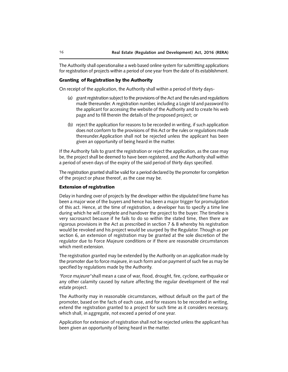The Authority shall operationalise a web based online system for submitting applications for registration of projects within a period of one year from the date of its establishment.

## Granting of Registration by the Authority

On receipt of the application, the Authority shall within a period of thirty days-

- (a) grant registration subject to the provisions of the Act and the rules and regulations made thereunder. A registration number, including a Login Id and password to the applicant for accessing the website of the Authority and to create his web page and to fill therein the details of the proposed project; or
- (b) reject the application for reasons to be recorded in writing, if such application does not conform to the provisions of this Act or the rules or regulations made thereunder.Application shall not be rejected unless the applicant has been given an opportunity of being heard in the matter.

If the Authority fails to grant the registration or reject the application, as the case may be, the project shall be deemed to have been registered, and the Authority shall within a period of seven days of the expiry of the said period of thirty days specified.

The registration granted shall be valid for a period declared by the promoter for completion of the project or phase thereof, as the case may be.

### Extension of registration

Delay in handing over of projects by the developer within the stipulated time frame has been a major woe of the buyers and hence has been a major trigger for promulgation of this act. Hence, at the time of registration, a developer has to specify a time line during which he will complete and handover the project to the buyer. The timeline is very sacrosanct because if he fails to do so within the stated time, then there are rigorous provisions in the Act as prescribed in section 7 & 8 whereby his registration would be revoked and his project would be usurped by the Regulator. Though as per section 6, an extension of registration may be granted at the sole discretion of the regulator due to Force Majeure conditions or if there are reasonable circumstances which merit extension.

The registration granted may be extended by the Authority on an application made by the promoter due to force majeure, in such form and on payment of such fee as may be specified by regulations made by the Authority.

*"Force majeure"* shall mean a case of war, flood, drought, fire, cyclone, earthquake or any other calamity caused by nature affecting the regular development of the real estate project.

The Authority may in reasonable circumstances, without default on the part of the promoter, based on the facts of each case, and for reasons to be recorded in writing, extend the registration granted to a project for such time as it considers necessary, which shall, in aggregate, not exceed a period of one year.

Application for extension of registration shall not be rejected unless the applicant has been given an opportunity of being heard in the matter.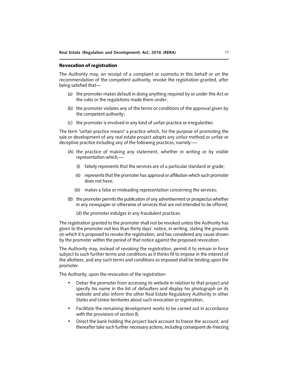#### Revocation of registration

The Authority may, on receipt of a complaint or suomotu in this behalf or on the recommendation of the competent authority, revoke the registration granted, after being satisfied that—

- (a) the promoter makes default in doing anything required by or under this Act or the rules or the regulations made there under;
- (b) the promoter violates any of the terms or conditions of the approval given by the competent authority;
- (c) the promoter is involved in any kind of unfair practice or irregularities.

The term "unfair practice means" a practice which, for the purpose of promoting the sale or development of any real estate project adopts any unfair method or unfair or deceptive practice including any of the following practices, namely:—

- (A) the practice of making any statement, whether in writing or by visible representation which,—
	- (i) falsely represents that the services are of a particular standard or grade;
	- (ii) represents that the promoter has approval or affiliation which such promoter does not have;
	- (iii) makes a false or misleading representation concerning the services;
- (B) the promoter permits the publication of any advertisement or prospectus whether in any newspaper or otherwise of services that are not intended to be offered;
	- (d) the promoter indulges in any fraudulent practices.

The registration granted to the promoter shall not be revoked unless the Authority has given to the promoter not less than thirty days' notice, in writing, stating the grounds on which it is proposed to revoke the registration, and has considered any cause shown by the promoter within the period of that notice against the proposed revocation.

The Authority may, instead of revoking the registration, permit it to remain in force subject to such further terms and conditions as it thinks fit to impose in the interest of the allottees, and any such terms and conditions so imposed shall be binding upon the promoter.

The Authority, upon the revocation of the registration-

- Debar the promoter from accessing its website in relation to that project and specify his name in the list of defaulters and display his photograph on its website and also inform the other Real Estate Regulatory Authority in other States and Union territories about such revocation or registration;
- Facilitate the remaining development works to be carried out in accordance with the provisions of section 8;
- Direct the bank holding the project back account to freeze the account, and thereafter take such further necessary actions, including consequent de-freezing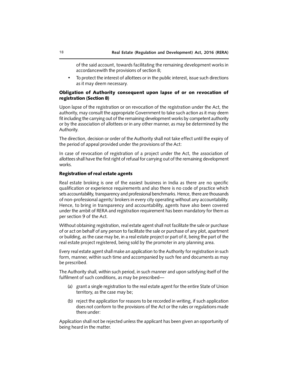of the said account, towards facilitating the remaining development works in accordancewith the provisions of section 8;

• To protect the interest of allottees or in the public interest, issue such directions as it may deem necessary.

## Obligation of Authority consequent upon lapse of or on revocation of registration (Section 8)

Upon lapse of the registration or on revocation of the registration under the Act, the authority, may consult the appropriate Government to take such action as it may deem fit including the carrying out of the remaining development works by competent authority or by the association of allottees or in any other manner, as may be determined by the Authority.

The direction, decision or order of the Authority shall not take effect until the expiry of the period of appeal provided under the provisions of the Act:

In case of revocation of registration of a project under the Act, the association of allottees shall have the first right of refusal for carrying out of the remaining development works.

#### Registration of real estate agents

Real estate broking is one of the easiest business in India as there are no specific qualification or experience requirements and also there is no code of practice which sets accountability, transparency and professional benchmarks. Hence, there are thousands of non-professional agents/ brokers in every city operating without any accountability. Hence, to bring in transparency and accountability, agents have also been covered under the ambit of RERA and registration requirement has been mandatory for them as per section 9 of the Act.

Without obtaining registration, real estate agent shall not facilitate the sale or purchase of or act on behalf of any person to facilitate the sale or purchase of any plot, apartment or building, as the case may be, in a real estate project or part of it, being the part of the real estate project registered, being sold by the promoter in any planning area.

Every real estate agent shall make an application to the Authority for registration in such form, manner, within such time and accompanied by such fee and documents as may be prescribed.

The Authority shall, within such period, in such manner and upon satisfying itself of the fulfilment of such conditions, as may be prescribed—

- (a) grant a single registration to the real estate agent for the entire State of Union territory, as the case may be;
- (b) reject the application for reasons to be recorded in writing, if such application does not conform to the provisions of the Act or the rules or regulations made there under:

Application shall not be rejected unless the applicant has been given an opportunity of being heard in the matter.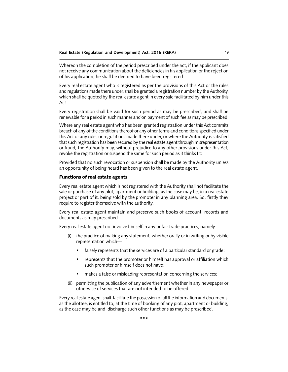Whereon the completion of the period prescribed under the act, if the applicant does not receive any communication about the deficiencies in his application or the rejection of his application, he shall be deemed to have been registered.

Every real estate agent who is registered as per the provisions of this Act or the rules and regulations made there under, shall be granted a registration number by the Authority, which shall be quoted by the real estate agent in every sale facilitated by him under this Act.

Every registration shall be valid for such period as may be prescribed, and shall be renewable for a period in such manner and on payment of such fee as may be prescribed.

Where any real estate agent who has been granted registration under this Act commits breach of any of the conditions thereof or any other terms and conditions specified under this Act or any rules or regulations made there under, or where the Authority is satisfied that such registration has been secured by the real estate agent through misrepresentation or fraud, the Authority may, without prejudice to any other provisions under this Act, revoke the registration or suspend the same for such period as it thinks fit:

Provided that no such revocation or suspension shall be made by the Authority unless an opportunity of being heard has been given to the real estate agent.

#### Functions of real estate agents

Every real estate agent which is not registered with the Authority shall not facilitate the sale or purchase of any plot, apartment or building, as the case may be, in a real estate project or part of it, being sold by the promoter in any planning area. So, firstly they require to register themselve with the authority.

Every real estate agent maintain and preserve such books of account, records and documents as may prescribed.

Every real estate agent not involve himself in any unfair trade practices, namely:—

- (i) the practice of making any statement, whether orally or in writing or by visible representation which
	- falsely represents that the services are of a particular standard or grade;
	- represents that the promoter or himself has approval or affiliation which such promoter or himself does not have;
	- makes a false or misleading representation concerning the services;
- (ii) permitting the publication of any advertisement whether in any newspaper or otherwise of services that are not intended to be offered.

Every real estate agent shall facilitate the possession of all the information and documents, as the allottee, is entitled to, at the time of booking of any plot, apartment or building, as the case may be and discharge such other functions as may be prescribed.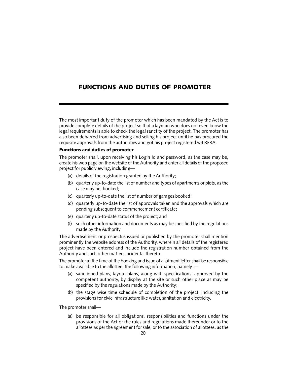# FUNCTIONS AND DUTIES OF PROMOTER

The most important duty of the promoter which has been mandated by the Act is to provide complete details of the project so that a layman who does not even know the legal requirements is able to check the legal sanctity of the project. The promoter has also been debarred from advertising and selling his project until he has procured the requisite approvals from the authorities and got his project registered wit RERA.

#### Functions and duties of promoter

The promoter shall, upon receiving his Login Id and password, as the case may be, create his web page on the website of the Authority and enter all details of the proposed project for public viewing, including—

- (a) details of the registration granted by the Authority;
- (b) quarterly up-to-date the list of number and types of apartments or plots, as the case may be, booked;
- (c) quarterly up-to-date the list of number of garages booked;
- (d) quarterly up-to-date the list of approvals taken and the approvals which are pending subsequent to commencement certificate;
- (e) quarterly up-to-date status of the project; and
- (f) such other information and documents as may be specified by the regulations made by the Authority.

The advertisement or prospectus issued or published by the promoter shall mention prominently the website address of the Authority, wherein all details of the registered project have been entered and include the registration number obtained from the Authority and such other matters incidental thereto.

The promoter at the time of the booking and issue of allotment letter shall be responsible to make available to the allottee, the following information, namely:—

- (a) sanctioned plans, layout plans, along with specifications, approved by the competent authority, by display at the site or such other place as may be specified by the regulations made by the Authority;
- (b) the stage wise time schedule of completion of the project, including the provisions for civic infrastructure like water, sanitation and electricity.

The promoter shall—

(a) be responsible for all obligations, responsibilities and functions under the provisions of the Act or the rules and regulations made thereunder or to the allottees as per the agreement for sale, or to the association of allottees, as the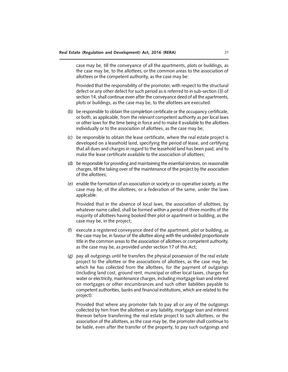case may be, till the conveyance of all the apartments, plots or buildings, as the case may be, to the allottees, or the common areas to the association of allottees or the competent authority, as the case may be:

Provided that the responsibility of the promoter, with respect to the structural defect or any other defect for such period as is referred to in sub-section (3) of section 14, shall continue even after the conveyance deed of all the apartments, plots or buildings, as the case may be, to the allottees are executed.

- (b) be responsible to obtain the completion certificate or the occupancy certificate, or both, as applicable, from the relevant competent authority as per local laws or other laws for the time being in force and to make it available to the allottees individually or to the association of allottees, as the case may be;
- (c) be responsible to obtain the lease certificate, where the real estate project is developed on a leasehold land, specifying the period of lease, and certifying that all dues and charges in regard to the leasehold land has been paid, and to make the lease certificate available to the association of allottees;
- (d) be responsible for providing and maintaining the essential services, on reasonable charges, till the taking over of the maintenance of the project by the association of the allottees;
- (e) enable the formation of an association or society or co-operative society, as the case may be, of the allottees, or a federation of the same, under the laws applicable:

Provided that in the absence of local laws, the association of allottees, by whatever name called, shall be formed within a period of three months of the majority of allottees having booked their plot or apartment or building, as the case may be, in the project;

- (f) execute a registered conveyance deed of the apartment, plot or building, as the case may be, in favour of the allottee along with the undivided proportionate title in the common areas to the association of allottees or competent authority, as the case may be, as provided under section 17 of this Act;
- (g) pay all outgoings until he transfers the physical possession of the real estate project to the allottee or the associations of allottees, as the case may be, which he has collected from the allottees, for the payment of outgoings (including land cost, ground rent, municipal or other local taxes, charges for water or electricity, maintenance charges, including mortgage loan and interest on mortgages or other encumbrances and such other liabilities payable to competent authorities, banks and financial institutions, which are related to the project):

Provided that where any promoter fails to pay all or any of the outgoings collected by him from the allottees or any liability, mortgage loan and interest thereon before transferring the real estate project to such allottees, or the association of the allottees, as the case may be, the promoter shall continue to be liable, even after the transfer of the property, to pay such outgoings and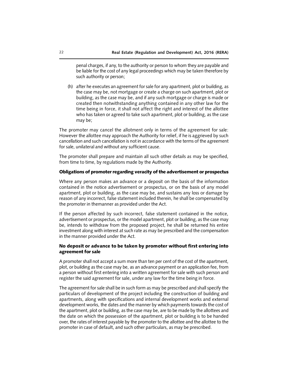penal charges, if any, to the authority or person to whom they are payable and be liable for the cost of any legal proceedings which may be taken therefore by such authority or person;

(h) after he executes an agreement for sale for any apartment, plot or building, as the case may be, not mortgage or create a charge on such apartment, plot or building, as the case may be, and if any such mortgage or charge is made or created then notwithstanding anything contained in any other law for the time being in force, it shall not affect the right and interest of the allottee who has taken or agreed to take such apartment, plot or building, as the case may be;

The promoter may cancel the allotment only in terms of the agreement for sale: However the allottee may approach the Authority for relief, if he is aggrieved by such cancellation and such cancellation is not in accordance with the terms of the agreement for sale, unilateral and without any sufficient cause.

The promoter shall prepare and maintain all such other details as may be specified, from time to time, by regulations made by the Authority.

### Obligations of promoter regarding veracity of the advertisement or prospectus

Where any person makes an advance or a deposit on the basis of the information contained in the notice advertisement or prospectus, or on the basis of any model apartment, plot or building, as the case may be, and sustains any loss or damage by reason of any incorrect, false statement included therein, he shall be compensated by the promoter in themanner as provided under the Act.

If the person affected by such incorrect, false statement contained in the notice, advertisement or prospectus, or the model apartment, plot or building, as the case may be, intends to withdraw from the proposed project, he shall be returned his entire investment along with interest at such rate as may be prescribed and the compensation in the manner provided under the Act.

## No deposit or advance to be taken by promoter without first entering into agreement for sale

A promoter shall not accept a sum more than ten per cent of the cost of the apartment, plot, or building as the case may be, as an advance payment or an application fee, from a person without first entering into a written agreement for sale with such person and register the said agreement for sale, under any law for the time being in force.

The agreement for sale shall be in such form as may be prescribed and shall specify the particulars of development of the project including the construction of building and apartments, along with specifications and internal development works and external development works, the dates and the manner by which payments towards the cost of the apartment, plot or building, as the case may be, are to be made by the allottees and the date on which the possession of the apartment, plot or building is to be handed over, the rates of interest payable by the promoter to the allottee and the allottee to the promoter in case of default, and such other particulars, as may be prescribed.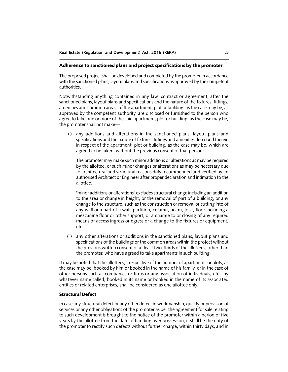#### Adherence to sanctioned plans and project specifications by the promoter

The proposed project shall be developed and completed by the promoter in accordance with the sanctioned plans, layout plans and specifications as approved by the competent authorities.

Notwithstanding anything contained in any law, contract or agreement, after the sanctioned plans, layout plans and specifications and the nature of the fixtures, fittings, amenities and common areas, of the apartment, plot or building, as the case may be, as approved by the competent authority, are disclosed or furnished to the person who agree to take one or more of the said apartment, plot or building, as the case may be, the promoter shall not make—

(i) any additions and alterations in the sanctioned plans, layout plans and specifications and the nature of fixtures, fittings and amenities described therein in respect of the apartment, plot or building, as the case may be, which are agreed to be taken, without the previous consent of that person:

The promoter may make such minor additions or alterations as may be required by the allottee, or such minor changes or alterations as may be necessary due to architectural and structural reasons duly recommended and verified by an authorised Architect or Engineer after proper declaration and intimation to the allottee.

"minor additions or alterations" excludes structural change including an addition to the area or change in height, or the removal of part of a building, or any change to the structure, such as the construction or removal or cutting into of any wall or a part of a wall, partition, column, beam, joist, floor including a mezzanine floor or other support, or a change to or closing of any required means of access ingress or egress or a change to the fixtures or equipment, etc.

(ii) any other alterations or additions in the sanctioned plans, layout plans and specifications of the buildings or the common areas within the project without the previous written consent of at least two-thirds of the allottees, other than the promoter, who have agreed to take apartments in such building.

It may be noted that the allottees, irrespective of the number of apartments or plots, as the case may be, booked by him or booked in the name of his family, or in the case of other persons such as companies or firms or any association of individuals, etc., by whatever name called, booked in its name or booked in the name of its associated entities or related enterprises, shall be considered as one allottee only.

#### Structural Defect

In case any structural defect or any other defect in workmanship, quality or provision of services or any other obligations of the promoter as per the agreement for sale relating to such development is brought to the notice of the promoter within a period of five years by the allottee from the date of handing over possession, it shall be the duty of the promoter to rectify such defects without further charge, within thirty days, and in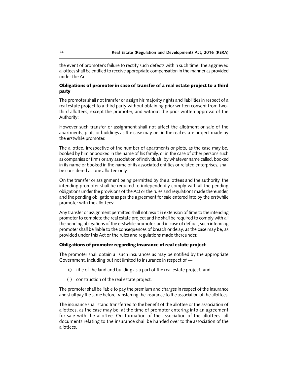the event of promoter's failure to rectify such defects within such time, the aggrieved allottees shall be entitled to receive appropriate compensation in the manner as provided under the Act.

### Obligations of promoter in case of transfer of a real estate project to a third party

The promoter shall not transfer or assign his majority rights and liabilities in respect of a real estate project to a third party without obtaining prior written consent from twothird allottees, except the promoter, and without the prior written approval of the Authority:

However such transfer or assignment shall not affect the allotment or sale of the apartments, plots or buildings as the case may be, in the real estate project made by the erstwhile promoter.

The allottee, irrespective of the number of apartments or plots, as the case may be, booked by him or booked in the name of his family, or in the case of other persons such as companies or firms or any association of individuals, by whatever name called, booked in its name or booked in the name of its associated entities or related enterprises, shall be considered as one allottee only.

On the transfer or assignment being permitted by the allottees and the authority, the intending promoter shall be required to independently comply with all the pending obligations under the provisions of the Act or the rules and regulations made thereunder, and the pending obligations as per the agreement for sale entered into by the erstwhile promoter with the allottees:

Any transfer or assignment permitted shall not result in extension of time to the intending promoter to complete the real estate project and he shall be required to comply with all the pending obligations of the erstwhile promoter, and in case of default, such intending promoter shall be liable to the consequences of breach or delay, as the case may be, as provided under this Act or the rules and regulations made thereunder.

#### Obligations of promoter regarding insurance of real estate project

The promoter shall obtain all such insurances as may be notified by the appropriate Government, including but not limited to insurance in respect of —

- (i) title of the land and building as a part of the real estate project; and
- (ii) construction of the real estate project.

The promoter shall be liable to pay the premium and charges in respect of the insurance and shall pay the same before transferring the insurance to the association of the allottees.

The insurance shall stand transferred to the benefit of the allottee or the association of allottees, as the case may be, at the time of promoter entering into an agreement for sale with the allottee. On formation of the association of the allottees, all documents relating to the insurance shall be handed over to the association of the allottees.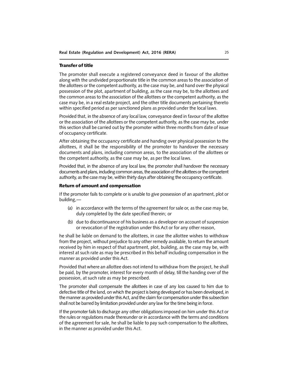#### Transfer of title

The promoter shall execute a registered conveyance deed in favour of the allottee along with the undivided proportionate title in the common areas to the association of the allottees or the competent authority, as the case may be, and hand over the physical possession of the plot, apartment of building, as the case may be, to the allottees and the common areas to the association of the allottees or the competent authority, as the case may be, in a real estate project, and the other title documents pertaining thereto within specified period as per sanctioned plans as provided under the local laws.

Provided that, in the absence of any local law, conveyance deed in favour of the allottee or the association of the allottees or the competent authority, as the case may be, under this section shall be carried out by the promoter within three months from date of issue of occupancy certificate.

After obtaining the occupancy certificate and handing over physical possession to the allottees, it shall be the responsibility of the promoter to handover the necessary documents and plans, including common areas, to the association of the allottees or the competent authority, as the case may be, as per the local laws.

Provided that, in the absence of any local law, the promoter shall handover the necessary documents and plans, including common areas, the association of the allottees or the competent authority, as the case may be, within thirty days after obtaining the occupancy certificate.

### Return of amount and compensation

If the promoter fails to complete or is unable to give possession of an apartment, plot or building,—

- (a) in accordance with the terms of the agreement for sale or, as the case may be, duly completed by the date specified therein; or
- (b) due to discontinuance of his business as a developer on account of suspension or revocation of the registration under this Act or for any other reason,

he shall be liable on demand to the allottees, in case the allottee wishes to withdraw from the project, without prejudice to any other remedy available, to return the amount received by him in respect of that apartment, plot, building, as the case may be, with interest at such rate as may be prescribed in this behalf including compensation in the manner as provided under this Act.

Provided that where an allottee does not intend to withdraw from the project, he shall be paid, by the promoter, interest for every month of delay, till the handing over of the possession, at such rate as may be prescribed.

The promoter shall compensate the allottees in case of any loss caused to him due to defective title of the land, on which the project is being developed or has been developed, in the manner as provided under this Act, and the claim for compensation under this subsection shall not be barred by limitation provided under any law for the time being in force.

If the promoter fails to discharge any other obligations imposed on him under this Act or the rules or regulations made thereunder or in accordance with the terms and conditions of the agreement for sale, he shall be liable to pay such compensation to the allottees, in the manner as provided under this Act.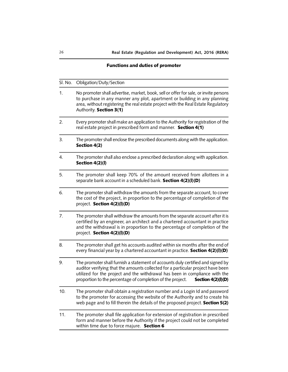# Functions and duties of promoter

| Sl. No. | Obligation/Duty/Section                                                                                                                                                                                                                                                                                                                 |
|---------|-----------------------------------------------------------------------------------------------------------------------------------------------------------------------------------------------------------------------------------------------------------------------------------------------------------------------------------------|
| 1.      | No promoter shall advertise, market, book, sell or offer for sale, or invite persons<br>to purchase in any manner any plot, apartment or building in any planning<br>area, without registering the real estate project with the Real Estate Regulatory<br>Authority. Section 3(1)                                                       |
| 2.      | Every promoter shall make an application to the Authority for registration of the<br>real estate project in prescribed form and manner. Section 4(1)                                                                                                                                                                                    |
| 3.      | The promoter shall enclose the prescribed documents along with the application.<br>Section 4(2)                                                                                                                                                                                                                                         |
| 4.      | The promoter shall also enclose a prescribed declaration along with application.<br>Section 4(2)(l)                                                                                                                                                                                                                                     |
| 5.      | The promoter shall keep 70% of the amount received from allottees in a<br>separate bank account in a scheduled bank. Section 4(2)(I)(D)                                                                                                                                                                                                 |
| 6.      | The promoter shall withdraw the amounts from the separate account, to cover<br>the cost of the project, in proportion to the percentage of completion of the<br>project. Section 4(2)(I)(D)                                                                                                                                             |
| 7.      | The promoter shall withdraw the amounts from the separate account after it is<br>certified by an engineer, an architect and a chartered accountant in practice<br>and the withdrawal is in proportion to the percentage of completion of the<br>project. Section 4(2)(I)(D)                                                             |
| 8.      | The promoter shall get his accounts audited within six months after the end of<br>every financial year by a chartered accountant in practice. Section 4(2)(I)(D)                                                                                                                                                                        |
| 9.      | The promoter shall furnish a statement of accounts duly certified and signed by<br>auditor verifying that the amounts collected for a particular project have been<br>utilized for the project and the withdrawal has been in compliance with the<br>proportion to the percentage of completion of the project.<br>Section $4(2)(I)(D)$ |
| 10.     | The promoter shall obtain a registration number and a Login Id and password<br>to the promoter for accessing the website of the Authority and to create his<br>web page and to fill therein the details of the proposed project. Section 5(2)                                                                                           |
| 11.     | The promoter shall file application for extension of registration in prescribed<br>form and manner before the Authority if the project could not be completed<br>within time due to force majure. Section 6                                                                                                                             |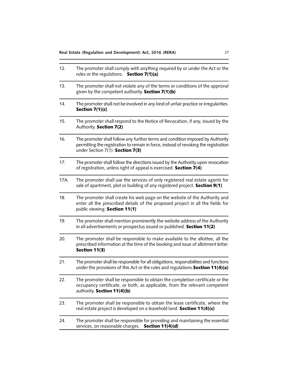| 12.  | The promoter shall comply with anything required by or under the Act or the<br>rules or the regulations. Section 7(1)(a)                                                                                   |
|------|------------------------------------------------------------------------------------------------------------------------------------------------------------------------------------------------------------|
| 13.  | The promoter shall not violate any of the terms or conditions of the approval<br>given by the competent authority. Section 7(1)(b)                                                                         |
| 14.  | The promoter shall not be involved in any kind of unfair practice or irregularities.<br>Section $7(1)(c)$                                                                                                  |
| 15.  | The promoter shall respond to the Notice of Revocation, if any, issued by the<br>Authority. Section 7(2)                                                                                                   |
| 16.  | The promoter shall follow any further terms and condition imposed by Authority<br>permitting the registration to remain in force, instead of revoking the registration<br>under Section 7(1). Section 7(3) |
| 17.  | The promoter shall follow the directions issued by the Authority upon revocation<br>of registration, unless right of appeal is exercised. Section 7(4)                                                     |
| 17A. | The promoter shall use the services of only registered real estate agents for<br>sale of apartment, plot or building of any registered project. Section 9(1)                                               |
| 18.  | The promoter shall create his web page on the website of the Authority and<br>enter all the prescribed details of the proposed project in all the fields for<br>public viewing. Section 11(1)              |
| 19.  | The promoter shall mention prominently the website address of the Authority<br>in all advertisements or prospectus issued or published. Section 11(2)                                                      |
| 20.  | The promoter shall be responsible to make available to the allottee, all the<br>prescribed information at the time of the booking and issue of allotment letter.<br>Section 11(3)                          |
| 21.  | The promoter shall be responsible for all obligations, responsibilities and functions<br>under the provisions of this Act or the rules and regulations. Section 11(4)(a)                                   |
| 22.  | The promoter shall be responsible to obtain the completion certificate or the<br>occupancy certificate, or both, as applicable, from the relevant competent<br>authority. Section 11(4)(b)                 |
| 23.  | The promoter shall be responsible to obtain the lease certificate, where the<br>real estate project is developed on a leasehold land. Section 11(4)(c)                                                     |
| 24.  | The promoter shall be responsible for providing and maintaining the essential<br>services, on reasonable charges.<br>Section 11(4)(d)                                                                      |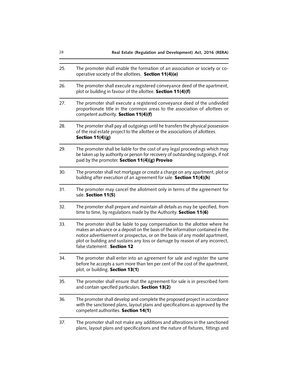| 28  | Real Estate (Regulation and Development) Act, 2016 (RERA)                                                                                                                                                                                                                                                                                                  |
|-----|------------------------------------------------------------------------------------------------------------------------------------------------------------------------------------------------------------------------------------------------------------------------------------------------------------------------------------------------------------|
| 25. | The promoter shall enable the formation of an association or society or co-<br>operative society of the allottees. Section 11(4)(e)                                                                                                                                                                                                                        |
| 26. | The promoter shall execute a registered conveyance deed of the apartment,<br>plot or building in favour of the allottee. Section 11(4)(f)                                                                                                                                                                                                                  |
| 27. | The promoter shall execute a registered conveyance deed of the undivided<br>proportionate title in the common areas to the association of allottees or<br>competent authority. Section 11(4)(f)                                                                                                                                                            |
| 28. | The promoter shall pay all outgoings until he transfers the physical possession<br>of the real estate project to the allottee or the associations of allottees.<br>Section $11(4)(g)$                                                                                                                                                                      |
| 29. | The promoter shall be liable for the cost of any legal proceedings which may<br>be taken up by authority or person for recovery of outstanding outgoings, if not<br>paid by the promoter. Section 11(4)(g) Proviso                                                                                                                                         |
| 30. | The promoter shall not mortgage or create a charge on any apartment, plot or<br>building after execution of an agreement for sale. Section 11(4)(h)                                                                                                                                                                                                        |
| 31. | The promoter may cancel the allotment only in terms of the agreement for<br>sale. Section 11(5)                                                                                                                                                                                                                                                            |
| 32. | The promoter shall prepare and maintain all details as may be specified, from<br>time to time, by regulations made by the Authority. Section 11(6)                                                                                                                                                                                                         |
| 33. | The promoter shall be liable to pay compensation to the allottee where he<br>makes an advance or a deposit on the basis of the information contained in the<br>notice advertisement or prospectus, or on the basis of any model apartment,<br>plot or building and sustains any loss or damage by reason of any incorrect,<br>false statement . Section 12 |
| 34. | The promoter shall enter into an agreement for sale and register the same<br>before he accepts a sum more than ten per cent of the cost of the apartment,<br>plot, or building. Section 13(1)                                                                                                                                                              |
| 35. | The promoter shall ensure that the agreement for sale is in prescribed form<br>and contain specified particulars. Section 13(2)                                                                                                                                                                                                                            |
| 36. | The promoter shall develop and complete the proposed project in accordance<br>with the sanctioned plans, layout plans and specifications as approved by the<br>competent authorities. Section 14(1)                                                                                                                                                        |
| 37. | The promoter shall not make any additions and alterations in the sanctioned                                                                                                                                                                                                                                                                                |

plans, layout plans and specifications and the nature of fixtures, fittings and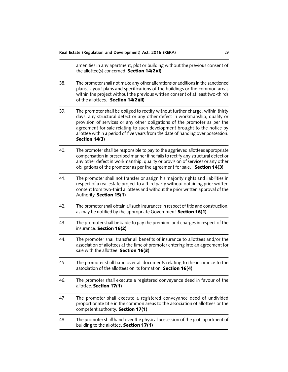|     | amenities in any apartment, plot or building without the previous consent of<br>the allottee(s) concerned. Section 14(2)(i)                                                                                                                                                                                                                                                                                                |
|-----|----------------------------------------------------------------------------------------------------------------------------------------------------------------------------------------------------------------------------------------------------------------------------------------------------------------------------------------------------------------------------------------------------------------------------|
| 38. | The promoter shall not make any other alterations or additions in the sanctioned<br>plans, layout plans and specifications of the buildings or the common areas<br>within the project without the previous written consent of at least two-thirds<br>of the allottees. Section 14(2)(ii)                                                                                                                                   |
| 39. | The promoter shall be obliged to rectify without further charge, within thirty<br>days, any structural defect or any other defect in workmanship, quality or<br>provision of services or any other obligations of the promoter as per the<br>agreement for sale relating to such development brought to the notice by<br>allottee within a period of five years from the date of handing over possession.<br>Section 14(3) |
| 40. | The promoter shall be responsible to pay to the aggrieved allottees appropriate<br>compensation in prescribed manner if he fails to rectify any structural defect or<br>any other defect in workmanship, quality or provision of services or any other<br>obligations of the promoter as per the agreement for sale. Section 14(3)                                                                                         |
| 41. | The promoter shall not transfer or assign his majority rights and liabilities in<br>respect of a real estate project to a third party without obtaining prior written<br>consent from two-third allottees and without the prior written approval of the<br>Authority. Section 15(1)                                                                                                                                        |
| 42. | The promoter shall obtain all such insurances in respect of title and construction,<br>as may be notified by the appropriate Government. Section 16(1)                                                                                                                                                                                                                                                                     |
| 43. | The promoter shall be liable to pay the premium and charges in respect of the<br>insurance. Section 16(2)                                                                                                                                                                                                                                                                                                                  |
| 44. | The promoter shall transfer all benefits of insurance to allottees and/or the<br>association of allottees at the time of promoter entering into an agreement for<br>sale with the allottee. Section 16(3)                                                                                                                                                                                                                  |
| 45. | The promoter shall hand over all documents relating to the insurance to the<br>association of the allottees on its formation. Section 16(4)                                                                                                                                                                                                                                                                                |
| 46. | The promoter shall execute a registered conveyance deed in favour of the<br>allottee. Section 17(1)                                                                                                                                                                                                                                                                                                                        |
| 47  | The promoter shall execute a registered conveyance deed of undivided<br>proportionate title in the common areas to the association of allottees or the<br>competent authority. Section 17(1)                                                                                                                                                                                                                               |
| 48. | The promoter shall hand over the physical possession of the plot, apartment of<br>building to the allottee. Section 17(1)                                                                                                                                                                                                                                                                                                  |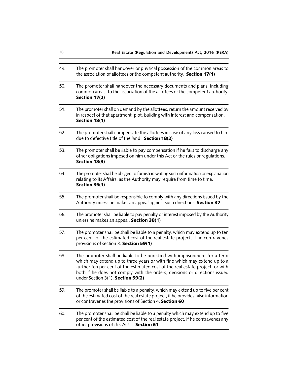| 49. | The promoter shall handover or physical possession of the common areas to<br>the association of allottees or the competent authority. Section 17(1)                                                                                                                                                                                                       |
|-----|-----------------------------------------------------------------------------------------------------------------------------------------------------------------------------------------------------------------------------------------------------------------------------------------------------------------------------------------------------------|
| 50. | The promoter shall handover the necessary documents and plans, including<br>common areas, to the association of the allottees or the competent authority.<br>Section 17(2)                                                                                                                                                                                |
| 51. | The promoter shall on demand by the allottees, return the amount received by<br>in respect of that apartment, plot, building with interest and compensation.<br>Section 18(1)                                                                                                                                                                             |
| 52. | The promoter shall compensate the allottees in case of any loss caused to him<br>due to defective title of the land. Section 18(2)                                                                                                                                                                                                                        |
| 53. | The promoter shall be liable to pay compensation if he fails to discharge any<br>other obligations imposed on him under this Act or the rules or regulations.<br>Section 18(3)                                                                                                                                                                            |
| 54. | The promoter shall be obliged to furnish in writing such information or explanation<br>relating to its Affairs, as the Authority may require from time to time.<br>Section 35(1)                                                                                                                                                                          |
| 55. | The promoter shall be responsible to comply with any directions issued by the<br>Authority unless he makes an appeal against such directions. Section 37                                                                                                                                                                                                  |
| 56. | The promoter shall be liable to pay penalty or interest imposed by the Authority<br>unless he makes an appeal. Section 38(1)                                                                                                                                                                                                                              |
| 57. | The promoter shall be shall be liable to a penalty, which may extend up to ten<br>per cent. of the estimated cost of the real estate project, if he contravenes<br>provisions of section 3. Section 59(1)                                                                                                                                                 |
| 58. | The promoter shall be liable to be punished with imprisonment for a term<br>which may extend up to three years or with fine which may extend up to a<br>further ten per cent of the estimated cost of the real estate project, or with<br>both if he does not comply with the orders, decisions or directions issued<br>under Section 3(1). Section 59(2) |
| 59. | The promoter shall be liable to a penalty, which may extend up to five per cent<br>of the estimated cost of the real estate project, if he provides false information<br>or contravenes the provisions of Section 4. Section 60                                                                                                                           |
| 60. | The promoter shall be shall be liable to a penalty which may extend up to five<br>per cent of the estimated cost of the real estate project, if he contravenes any<br>other provisions of this Act. Section 61                                                                                                                                            |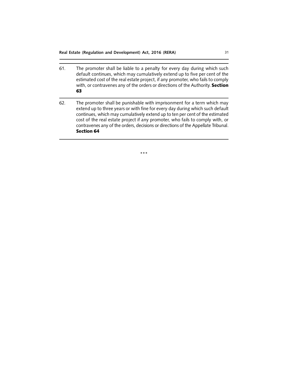| 61. | The promoter shall be liable to a penalty for every day during which such<br>default continues, which may cumulatively extend up to five per cent of the<br>estimated cost of the real estate project, if any promoter, who fails to comply<br>with, or contravenes any of the orders or directions of the Authority. Section<br>63                                                                                                 |
|-----|-------------------------------------------------------------------------------------------------------------------------------------------------------------------------------------------------------------------------------------------------------------------------------------------------------------------------------------------------------------------------------------------------------------------------------------|
| 62. | The promoter shall be punishable with imprisonment for a term which may<br>extend up to three years or with fine for every day during which such default<br>continues, which may cumulatively extend up to ten per cent of the estimated<br>cost of the real estate project if any promoter, who fails to comply with, or<br>contravenes any of the orders, decisions or directions of the Appellate Tribunal.<br><b>Section 64</b> |

\*\*\*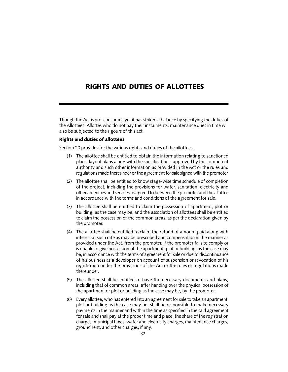# RIGHTS AND DUTIES OF ALLOTTEES

Though the Act is pro-consumer, yet it has striked a balance by specifying the duties of the Allottees. Allottes who do not pay their instalments, maintenance dues in time will also be subjected to the rigours of this act.

## Rights and duties of allottees

Section 20 provides for the various rights and duties of the allottees.

- (1) The allottee shall be entitled to obtain the information relating to sanctioned plans, layout plans along with the specifications, approved by the competent authority and such other information as provided in the Act or the rules and regulations made thereunder or the agreement for sale signed with the promoter.
- (2) The allottee shall be entitled to know stage-wise time schedule of completion of the project, including the provisions for water, sanitation, electricity and other amenities and services as agreed to between the promoter and the allottee in accordance with the terms and conditions of the agreement for sale.
- (3) The allottee shall be entitled to claim the possession of apartment, plot or building, as the case may be, and the association of allottees shall be entitled to claim the possession of the common areas, as per the declaration given by the promoter.
- (4) The allottee shall be entitled to claim the refund of amount paid along with interest at such rate as may be prescribed and compensation in the manner as provided under the Act, from the promoter, if the promoter fails to comply or is unable to give possession of the apartment, plot or building, as the case may be, in accordance with the terms of agreement for sale or due to discontinuance of his business as a developer on account of suspension or revocation of his registration under the provisions of the Act or the rules or regulations made thereunder.
- (5) The allottee shall be entitled to have the necessary documents and plans, including that of common areas, after handing over the physical possession of the apartment or plot or building as the case may be, by the promoter.
- (6) Every allottee, who has entered into an agreement for sale to take an apartment, plot or building as the case may be, shall be responsible to make necessary payments in the manner and within the time as specified in the said agreement for sale and shall pay at the proper time and place, the share of the registration charges, municipal taxes, water and electricity charges, maintenance charges, ground rent, and other charges, if any.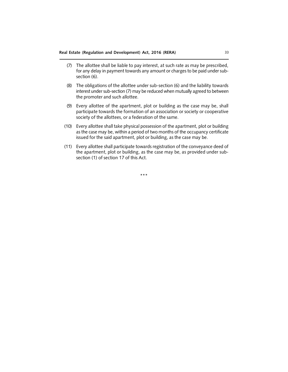- (7) The allottee shall be liable to pay interest, at such rate as may be prescribed, for any delay in payment towards any amount or charges to be paid under subsection (6).
- (8) The obligations of the allottee under sub-section (6) and the liability towards interest under sub-section (7) may be reduced when mutually agreed to between the promoter and such allottee.
- (9) Every allottee of the apartment, plot or building as the case may be, shall participate towards the formation of an association or society or cooperative society of the allottees, or a federation of the same.
- (10) Every allottee shall take physical possession of the apartment, plot or building as the case may be, within a period of two months of the occupancy certificate issued for the said apartment, plot or building, as the case may be.
- (11) Every allottee shall participate towards registration of the conveyance deed of the apartment, plot or building, as the case may be, as provided under subsection (1) of section 17 of this Act.

\*\*\*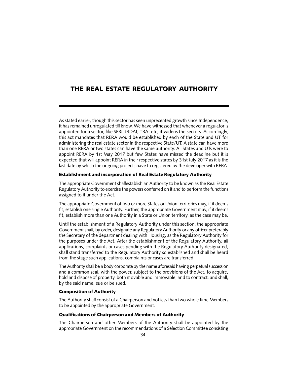# THE REAL ESTATE REGULATORY AUTHORITY

As stated earlier, though this sector has seen unprecented growth since Independence, it has remained unregulated till know. We have witnessed that whenever a regulator is appointed for a sector, like SEBI, IRDAI, TRAI etc, it widens the sectors. Accordingly, this act mandates that RERA would be established by each of the State and UT for administering the real estate sector in the respective State/UT. A state can have more than one RERA or two states can have the same authority. All States and UTs were to appoint RERA by 1st May 2017 but few States have missed the deadline but it is expected that will appoint RERA in their respective states by 31st July 2017 as it is the last date by which the ongoing projects have to registered by the developer with RERA.

#### Establishment and incorporation of Real Estate Regulatory Authority

The appropriate Government shallestablish an Authority to be known as the Real Estate Regulatory Authority to exercise the powers conferred on it and to perform the functions assigned to it under the Act.

The appropriate Government of two or more States or Union territories may, if it deems fit, establish one single Authority. Further, the appropriate Government may, if it deems fit, establish more than one Authority in a State or Union territory, as the case may be.

Until the establishment of a Regulatory Authority under this section, the appropriate Government shall, by order, designate any Regulatory Authority or any officer preferably the Secretary of the department dealing with Housing, as the Regulatory Authority for the purposes under the Act. After the establishment of the Regulatory Authority, all applications, complaints or cases pending with the Regulatory Authority designated, shall stand transferred to the Regulatory Authority so established and shall be heard from the stage such applications, complaints or cases are transferred.

The Authority shall be a body corporate by the name aforesaid having perpetual succession and a common seal, with the power, subject to the provisions of the Act, to acquire, hold and dispose of property, both movable and immovable, and to contract, and shall, by the said name, sue or be sued.

#### Composition of Authority

The Authority shall consist of a Chairperson and not less than two whole time Members to be appointed by the appropriate Government.

#### Qualifications of Chairperson and Members of Authority

The Chairperson and other Members of the Authority shall be appointed by the appropriate Government on the recommendations of a Selection Committee consisting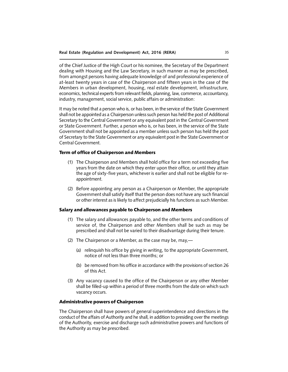of the Chief Justice of the High Court or his nominee, the Secretary of the Department dealing with Housing and the Law Secretary, in such manner as may be prescribed, from amongst persons having adequate knowledge of and professional experience of at-least twenty years in case of the Chairperson and fifteen years in the case of the Members in urban development, housing, real estate development, infrastructure, economics, technical experts from relevant fields, planning, law, commerce, accountancy, industry, management, social service, public affairs or administration:

It may be noted that a person who is, or has been, in the service of the State Government shall not be appointed as a Chairperson unless such person has held the post of Additional Secretary to the Central Government or any equivalent post in the Central Government or State Government. Further, a person who is, or has been, in the service of the State Government shall not be appointed as a member unless such person has held the post of Secretary to the State Government or any equivalent post in the State Government or Central Government.

## Term of office of Chairperson and Members

- (1) The Chairperson and Members shall hold office for a term not exceeding five years from the date on which they enter upon their office, or until they attain the age of sixty-five years, whichever is earlier and shall not be eligible for reappointment.
- (2) Before appointing any person as a Chairperson or Member, the appropriate Government shall satisfy itself that the person does not have any such financial or other interest as is likely to affect prejudicially his functions as such Member.

#### Salary and allowances payable to Chairperson and Members

- (1) The salary and allowances payable to, and the other terms and conditions of service of, the Chairperson and other Members shall be such as may be prescribed and shall not be varied to their disadvantage during their tenure.
- (2) The Chairperson or a Member, as the case may be, may,—
	- (a) relinquish his office by giving in writing, to the appropriate Government, notice of not less than three months; or
	- (b) be removed from his office in accordance with the provisions of section 26 of this Act.
- (3) Any vacancy caused to the office of the Chairperson or any other Member shall be filled-up within a period of three months from the date on which such vacancy occurs.

#### Administrative powers of Chairperson

The Chairperson shall have powers of general superintendence and directions in the conduct of the affairs of Authority and he shall, in addition to presiding over the meetings of the Authority, exercise and discharge such administrative powers and functions of the Authority as may be prescribed.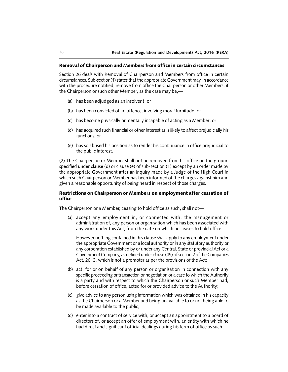#### Removal of Chairperson and Members from office in certain circumstances

Section 26 deals with Removal of Chairperson and Members from office in certain circumstances. Sub-section(1) states that the appropriate Government may, in accordance with the procedure notified, remove from office the Chairperson or other Members, if the Chairperson or such other Member, as the case may be,—

- (a) has been adjudged as an insolvent; or
- (b) has been convicted of an offence, involving moral turpitude; or
- (c) has become physically or mentally incapable of acting as a Member; or
- (d) has acquired such financial or other interest as is likely to affect prejudicially his functions; or
- (e) has so abused his position as to render his continuance in office prejudicial to the public interest.

(2) The Chairperson or Member shall not be removed from his office on the ground specified under clause (d) or clause (e) of sub-section (1) except by an order made by the appropriate Government after an inquiry made by a Judge of the High Court in which such Chairperson or Member has been informed of the charges against him and given a reasonable opportunity of being heard in respect of those charges.

## Restrictions on Chairperson or Members on employment after cessation of office

The Chairperson or a Member, ceasing to hold office as such, shall not—

(a) accept any employment in, or connected with, the management or administration of, any person or organisation which has been associated with any work under this Act, from the date on which he ceases to hold office:

However nothing contained in this clause shall apply to any employment under the appropriate Government or a local authority or in any statutory authority or any corporation established by or under any Central, State or provincial Act or a Government Company, as defined under clause (45) of section 2 of the Companies Act, 2013, which is not a promoter as per the provisions of the Act;

- (b) act, for or on behalf of any person or organisation in connection with any specific proceeding or transaction or negotiation or a case to which the Authority is a party and with respect to which the Chairperson or such Member had, before cessation of office, acted for or provided advice to the Authority;
- (c) give advice to any person using information which was obtained in his capacity as the Chairperson or a Member and being unavailable to or not being able to be made available to the public;
- (d) enter into a contract of service with, or accept an appointment to a board of directors of, or accept an offer of employment with, an entity with which he had direct and significant official dealings during his term of office as such.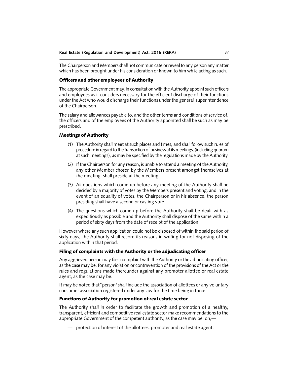The Chairperson and Members shall not communicate or reveal to any person any matter which has been brought under his consideration or known to him while acting as such.

## Officers and other employees of Authority

The appropriate Government may, in consultation with the Authority appoint such officers and employees as it considers necessary for the efficient discharge of their functions under the Act who would discharge their functions under the general superintendence of the Chairperson.

The salary and allowances payable to, and the other terms and conditions of service of, the officers and of the employees of the Authority appointed shall be such as may be prescribed.

#### Meetings of Authority

- (1) The Authority shall meet at such places and times, and shall follow such rules of procedure in regard to the transaction of business at its meetings, (including quorum at such meetings), as may be specified by the regulations made by the Authority.
- (2) If the Chairperson for any reason, is unable to attend a meeting of the Authority, any other Member chosen by the Members present amongst themselves at the meeting, shall preside at the meeting.
- (3) All questions which come up before any meeting of the Authority shall be decided by a majority of votes by the Members present and voting, and in the event of an equality of votes, the Chairperson or in his absence, the person presiding shall have a second or casting vote.
- (4) The questions which come up before the Authority shall be dealt with as expeditiously as possible and the Authority shall dispose of the same within a period of sixty days from the date of receipt of the application:

However where any such application could not be disposed of within the said period of sixty days, the Authority shall record its reasons in writing for not disposing of the application within that period.

#### Filing of complaints with the Authority or the adjudicating officer

Any aggrieved person may file a complaint with the Authority or the adjudicating officer, as the case may be, for any violation or contravention of the provisions of the Act or the rules and regulations made thereunder against any promoter allottee or real estate agent, as the case may be.

It may be noted that"person" shall include the association of allottees or any voluntary consumer association registered under any law for the time being in force.

#### Functions of Authority for promotion of real estate sector

The Authority shall in order to facilitate the growth and promotion of a healthy, transparent, efficient and competitive real estate sector make recommendations to the appropriate Government of the competent authority, as the case may be, on,—

— protection of interest of the allottees, promoter and real estate agent;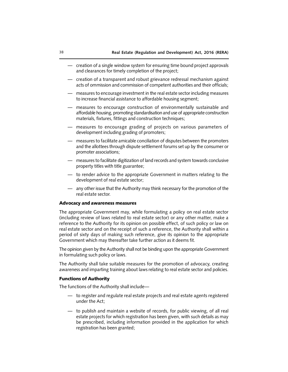- creation of a single window system for ensuring time bound project approvals and clearances for timely completion of the project;
- creation of a transparent and robust grievance redressal mechanism against acts of ommission and commission of competent authorities and their officials;
- measures to encourage investment in the real estate sector including measures to increase financial assistance to affordable housing segment;
- measures to encourage construction of environmentally sustainable and affordable housing, promoting standardisation and use of appropriate construction materials, fixtures, fittings and construction techniques;
- measures to encourage grading of projects on various parameters of development including grading of promoters;
- measures to facilitate amicable conciliation of disputes between the promoters and the allottees through dispute settlement forums set up by the consumer or promoter associations;
- measures to facilitate digitization of land records and system towards conclusive property titles with title guarantee;
- to render advice to the appropriate Government in matters relating to the development of real estate sector;
- any other issue that the Authority may think necessary for the promotion of the real estate sector.

#### Advocacy and awareness measures

The appropriate Government may, while formulating a policy on real estate sector (including review of laws related to real estate sector) or any other matter, make a reference to the Authority for its opinion on possible effect, of such policy or law on real estate sector and on the receipt of such a reference, the Authority shall within a period of sixty days of making such reference, give its opinion to the appropriate Government which may thereafter take further action as it deems fit.

The opinion given by the Authority shall not be binding upon the appropriate Government in formulating such policy or laws.

The Authority shall take suitable measures for the promotion of advocacy, creating awareness and imparting training about laws relating to real estate sector and policies.

## Functions of Authority

The functions of the Authority shall include—

- to register and regulate real estate projects and real estate agents registered under the Act;
- to publish and maintain a website of records, for public viewing, of all real estate projects for which registration has been given, with such details as may be prescribed, including information provided in the application for which registration has been granted;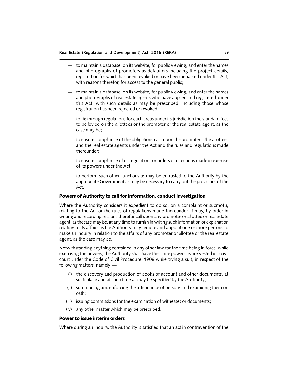- to maintain a database, on its website, for public viewing, and enter the names and photographs of promoters as defaulters including the project details, registration for which has been revoked or have been penalised under this Act, with reasons therefor, for access to the general public;
- to maintain a database, on its website, for public viewing, and enter the names and photographs of real estate agents who have applied and registered under this Act, with such details as may be prescribed, including those whose registration has been rejected or revoked;
- to fix through regulations for each areas under its jurisdiction the standard fees to be levied on the allottees or the promoter or the real estate agent, as the case may be;
- to ensure compliance of the obligations cast upon the promoters, the allottees and the real estate agents under the Act and the rules and regulations made thereunder;
- to ensure compliance of its regulations or orders or directions made in exercise of its powers under the Act;
- to perform such other functions as may be entrusted to the Authority by the appropriate Government as may be necessary to carry out the provisions of the Act.

#### Powers of Authority to call for information, conduct investigation

Where the Authority considers it expedient to do so, on a complaint or suomotu, relating to the Act or the rules of regulations made thereunder, it may, by order in writing and recording reasons therefor call upon any promoter or allottee or real estate agent, as thecase may be, at any time to furnish in writing such information or explanation relating to its affairs as the Authority may require and appoint one or more persons to make an inquiry in relation to the affairs of any promoter or allottee or the real estate agent, as the case may be.

Notwithstanding anything contained in any other law for the time being in force, while exercising the powers, the Authority shall have the same powers as are vested in a civil court under the Code of Civil Procedure, 1908 while trying a suit, in respect of the following matters, namely:—

- (i) the discovery and production of books of account and other documents, at such place and at such time as may be specified by the Authority;
- (ii) summoning and enforcing the attendance of persons and examining them on oath;
- (iii) issuing commissions for the examination of witnesses or documents;
- (iv) any other matter which may be prescribed.

#### Power to issue interim orders

Where during an inquiry, the Authority is satisfied that an act in contravention of the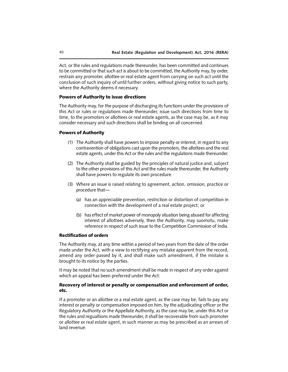Act, or the rules and regulations made thereunder, has been committed and continues to be committed or that such act is about to be committed, the Authority may, by order, restrain any promoter, allottee or real estate agent from carrying on such act until the conclusion of such inquiry of until further orders, without giving notice to such party, where the Authority deems it necessary.

#### Powers of Authority to issue directions

The Authority may, for the purpose of discharging its functions under the provisions of this Act or rules or regulations made thereunder, issue such directions from time to time, to the promoters or allottees or real estate agents, as the case may be, as it may consider necessary and such directions shall be binding on all concerned.

#### Powers of Authority

- (1) The Authority shall have powers to impose penalty or interest, in regard to any contravention of obligations cast upon the promoters, the allottees and the real estate agents, under this Act or the rules and the regulations made thereunder.
- (2) The Authority shall be guided by the principles of natural justice and, subject to the other provisions of this Act and the rules made thereunder, the Authority shall have powers to regulate its own procedure.
- (3) Where an issue is raised relating to agreement, action, omission, practice or procedure that—
	- (a) has an appreciable prevention, restriction or distortion of competition in connection with the development of a real estate project; or
	- (b) has effect of market power of monopoly situation being abused for affecting interest of allottees adversely, then the Authority, may suomotu, make reference in respect of such issue to the Competition Commission of India.

#### Rectification of orders

The Authority may, at any time within a period of two years from the date of the order made under the Act, with a view to rectifying any mistake apparent from the record, amend any order passed by it, and shall make such amendment, if the mistake is brought to its notice by the parties.

It may be noted that no such amendment shall be made in respect of any order against which an appeal has been preferred under the Act:

## Recovery of interest or penalty or compensation and enforcement of order, etc.

If a promoter or an allottee or a real estate agent, as the case may be, fails to pay any interest or penalty or compensation imposed on him, by the adjudicating officer or the Regulatory Authority or the Appellate Authority, as the case may be, under this Act or the rules and regualtions made thereunder, it shall be recoverable from such promoter or allottee or real estate agent, in such manner as may be prescribed as an arrears of land revenue.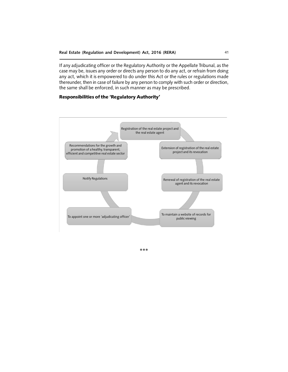If any adjudicating officer or the Regulatory Authority or the Appellate Tribunal, as the case may be, issues any order or directs any person to do any act, or refrain from doing any act, which it is empowered to do under this Act or the rules or regulations made thereunder, then in case of failure by any person to comply with such order or direction, the same shall be enforced, in such manner as may be prescribed.

## Responsibilities of the 'Regulatory Authority'



\*\*\*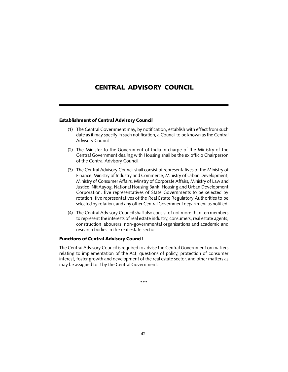# CENTRAL ADVISORY COUNCIL

## Establishment of Central Advisory Council

- (1) The Central Government may, by notification, establish with effect from such date as it may specify in such notification, a Council to be known as the Central Advisory Council.
- (2) The Minister to the Government of India in charge of the Ministry of the Central Government dealing with Housing shall be the ex officio Chairperson of the Central Advisory Council.
- (3) The Central Advisory Council shall consist of representatives of the Ministry of Finance, Ministry of Industry and Commerce, Ministry of Urban Development, Ministry of Consumer Affairs, Minstry of Corporate Affairs, Ministry of Law and Justice, NitiAayog, National Housing Bank, Housing and Urban Development Corporation, five representatives of State Governments to be selected by rotation, five representatives of the Real Estate Regulatory Authorities to be selected by rotation, and any other Central Government department as notified.
- (4) The Central Advisory Council shall also consist of not more than ten members to represent the interests of real estate industry, consumers, real estate agents, construction labourers, non-governmental organisations and academic and research bodies in the real estate sector.

#### Functions of Central Advisory Council

The Central Advisory Council is required to advise the Central Government on matters relating to implementation of the Act, questions of policy, protection of consumer interest, foster growth and development of the real estate sector, and other matters as may be assigned to it by the Central Government.

\*\*\*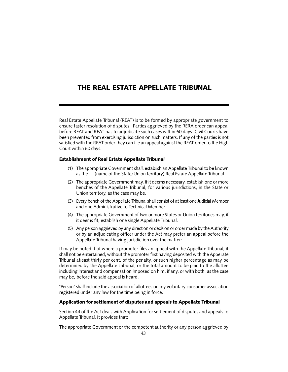# THE REAL ESTATE APPELLATE TRIBUNAL

Real Estate Appellate Tribunal (REAT) is to be formed by appropriate government to ensure faster resolution of disputes. Parties aggrieved by the RERA order can appeal before REAT and REAT has to adjudicate such cases within 60 days. Civil Courts have been prevented from exercising jurisdiction on such matters. If any of the parties is not satisfied with the REAT order they can file an appeal against the REAT order to the High Court within 60 days.

## Establishment of Real Estate Appellate Tribunal

- (1) The appropriate Government shall, establish an Appellate Tribunal to be known as the — (name of the State/Union territory) Real Estate Appellate Tribunal.
- (2) The appropriate Government may, if it deems necessary, establish one or more benches of the Appellate Tribunal, for various jurisdictions, in the State or Union territory, as the case may be.
- (3) Every bench of the Appellate Tribunal shall consist of at least one Judicial Member and one Administrative to Technical Member.
- (4) The appropriate Government of two or more States or Union territories may, if it deems fit, establish one single Appellate Tribunal.
- (5) Any person aggrieved by any direction or decision or order made by the Authority or by an adjudicating officer under the Act may prefer an appeal before the Appellate Tribunal having jurisdiction over the matter:

It may be noted that where a promoter files an appeal with the Appellate Tribunal, it shall not be entertained, without the promoter first having deposited with the Appellate Tribunal atleast thirty per cent. of the penalty, or such higher percentage as may be determined by the Appellate Tribunal, or the total amount to be paid to the allottee including interest and compensation imposed on him, if any, or with both, as the case may be, before the said appeal is heard.

"Person" shall include the association of allottees or any voluntary consumer association registered under any law for the time being in force.

## Application for settlement of disputes and appeals to Appellate Tribunal

Section 44 of the Act deals with Application for settlement of disputes and appeals to Appellate Tribunal. It provides that:

The appropriate Government or the competent authority or any person aggrieved by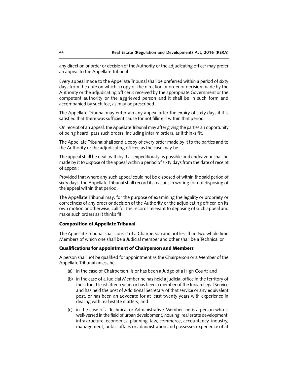any direction or order or decision of the Authority or the adjudicating officer may prefer an appeal to the Appellate Tribunal.

Every appeal made to the Appellate Tribunal shall be preferred within a period of sixty days from the date on which a copy of the direction or order or decision made by the Authority or the adjudicating officer is received by the appropriate Government or the competent authority or the aggrieved person and it shall be in such form and accompanied by such fee, as may be prescribed.

The Appellate Tribunal may entertain any appeal after the expiry of sixty days if it is satisfied that there was sufficient cause for not filling it within that period.

On receipt of an appeal, the Appellate Tribunal may after giving the parties an opportunity of being heard, pass such orders, including interim orders, as it thinks fit.

The Appellate Tribunal shall send a copy of every order made by it to the parties and to the Authority or the adjudicating officer, as the case may be.

The appeal shall be dealt with by it as expeditiously as possible and endeavour shall be made by it to dispose of the appeal within a period of sixty days from the date of receipt of appeal:

Provided that where any such appeal could not be disposed of within the said period of sixty days, the Appellate Tribunal shall record its reasons in writing for not disposing of the appeal within that period.

The Appellate Tribunal may, for the purpose of examining the legality or propriety or correctness of any order or decision of the Authority or the adjudicating officer, on its own motion or otherwise, call for the records relevant to deposing of such appeal and make such orders as it thinks fit.

#### Composition of Appellate Tribunal

The Appellate Tribunal shall consist of a Chairperson and not less than two whole time Members of which one shall be a Judicial member and other shall be a Technical or

#### Qualifications for appointment of Chairperson and Members

A person shall not be qualified for appointment as the Chairperson or a Member of the Appellate Tribunal unless he,—

- (a) in the case of Chairperson, is or has been a Judge of a High Court; and
- (b) in the case of a Judicial Member he has held a judicial office in the territory of India for at least fifteen years or has been a member of the Indian Legal Service and has held the post of Additional Secretary of that service or any equivalent post, or has been an advocate for at least twenty years with experience in dealing with real estate matters; and
- (c) in the case of a Technical or Administrative Member, he is a person who is well-versed in the field of urban development, housing, real estate development, infrastructure, economics, planning, law, commerce, accountancy, industry, management, public affairs or administration and possesses experience of at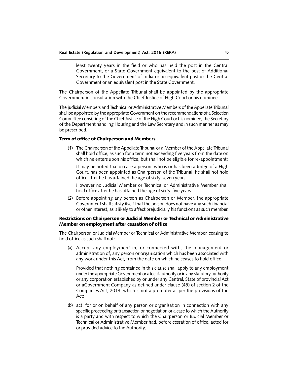least twenty years in the field or who has held the post in the Central Government, or a State Government equivalent to the post of Additional Secretary to the Government of India or an equivalent post in the Central Government or an equivalent post in the State Government.

The Chairperson of the Appellate Tribunal shall be appointed by the appropriate Government in consultation with the Chief Justice of High Court or his nominee.

The judicial Members and Technical or Administrative Members of the Appellate Tribunal shall be appointed by the appropriate Government on the recommendations of a Selection Committee consisting of the Chief Justice of the High Court or his nominee, the Secretary of the Department handling Housing and the Law Secretary and in such manner as may be prescribed.

## Term of office of Chairperson and Members

(1) The Chairperson of the Appellate Tribunal or a Member of the Appellate Tribunal shall hold office, as such for a term not exceeding five years from the date on which he enters upon his office, but shall not be eligible for re-appointment:

It may be noted that in case a person, who is or has been a Judge of a High Court, has been appointed as Chairperson of the Tribunal, he shall not hold office after he has attained the age of sixty-seven years.

However no Judicial Member or Technical or Administrative Member shall hold office after he has attained the age of sixty-five years.

(2) Before appointing any person as Chairperson or Member, the appropriate Government shall satisfy itself that the person does not have any such financial or other interest, as is likely to affect prejudicially his functions as such member.

## Restrictions on Chairperson or Judicial Member or Technical or Administrative Member on employment after cessation of office

The Chairperson or Judicial Member or Technical or Administrative Member, ceasing to hold office as such shall not:—

(a) Accept any employment in, or connected with, the management or administration of, any person or organisation which has been associated with any work under this Act, from the date on which he ceases to hold office:

Provided that nothing contained in this clause shall apply to any employment under the appropriate Government or a local authority or in any statutory authority or any corporation established by or under any Central, State of provincial Act or aGovernment Company as defined under clause (45) of section 2 of the Companies Act, 2013, which is not a promoter as per the provisions of the Act;

(b) act, for or on behalf of any person or organisation in connection with any specific proceeding or transaction or negotiation or a case to which the Authority is a party and with respect to which the Chairperson or Judicial Member or Technical or Administrative Member had, before cessation of office, acted for or provided advice to the Authority;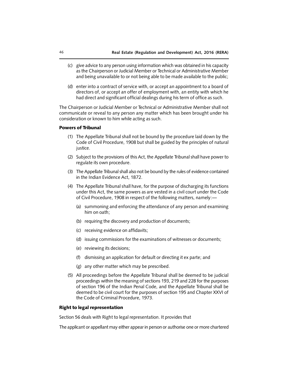- (c) give advice to any person using information which was obtained in his capacity as the Chairperson or Judicial Member or Technical or Administrative Member and being unavailable to or not being able to be made available to the public;
- (d) enter into a contract of service with, or accept an appointment to a board of directors of, or accept an offer of employment with, an entity with which he had direct and significant official dealings during his term of office as such.

The Chairperson or Judicial Member or Technical or Administrative Member shall not communicate or reveal to any person any matter which has been brought under his consideration or known to him while acting as such.

#### Powers of Tribunal

- (1) The Appellate Tribunal shall not be bound by the procedure laid down by the Code of Civil Procedure, 1908 but shall be guided by the principles of natural justice.
- (2) Subject to the provisions of this Act, the Appellate Tribunal shall have power to regulate its own procedure.
- (3) The Appellate Tribunal shall also not be bound by the rules of evidence contained in the Indian Evidence Act, 1872.
- (4) The Appellate Tribunal shall have, for the purpose of discharging its functions under this Act, the same powers as are vested in a civil court under the Code of Civil Procedure, 1908 in respect of the following matters, namely:—
	- (a) summoning and enforcing the attendance of any person and examining him on oath;
	- (b) requiring the discovery and production of documents;
	- (c) receiving evidence on affidavits;
	- (d) issuing commissions for the examinations of witnesses or documents;
	- (e) reviewing its decisions;
	- (f) dismissing an application for default or directing it ex parte; and
	- (g) any other matter which may be prescribed.
- (5) All proceedings before the Appellate Tribunal shall be deemed to be judicial proceedings within the meaning of sections 193, 219 and 228 for the purposes of section 196 of the Indian Penal Code, and the Appellate Tribunal shall be deemed to be civil court for the purposes of section 195 and Chapter XXVI of the Code of Criminal Procedure, 1973.

## Right to legal representation

Section 56 deals with Right to legal representation. It provides that

The applicant or appellant may either appear in person or authorise one or more chartered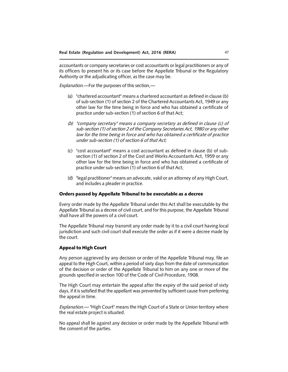accountants or company secretaries or cost accountants or legal practitioners or any of its officers to present his or its case before the Appellate Tribunal or the Regulatory Authority or the adjudicating officer, as the case may be.

*Explanation.*—For the purposes of this section,—

- (a) "chartered accountant" means a chartered accountant as defined in clause (b) of sub-section (1) of section 2 of the Chartered Accountants Act, 1949 or any other law for the time being in force and who has obtained a certificate of practice under sub-section (1) of section 6 of that Act;
- *(b) "company secretary" means a company secretary as defined in clause (c) of sub-section (1) of section 2 of the Company Secretaries Act, 1980 or any other law for the time being in force and who has obtained a certificate of practice under sub-section (1) of section 6 of that Act;*
- (c) "cost accountant" means a cost accountant as defined in clause (b) of subsection (1) of section 2 of the Cost and Works Accountants Act, 1959 or any other law for the time being in force and who has obtained a certificate of practice under sub-section (1) of section 6 of that Act;
- (d) "legal practitioner" means an advocate, vakil or an attorney of any High Court, and includes a pleader in practice.

## Orders passed by Appellate Tribunal to be executable as a decree

Every order made by the Appellate Tribunal under this Act shall be executable by the Appellate Tribunal as a decree of civil court, and for this purpose, the Appellate Tribunal shall have all the powers of a civil court.

The Appellate Tribunal may transmit any order made by it to a civil court having local jurisdiction and such civil court shall execute the order as if it were a decree made by the court.

## Appeal to High Court

Any person aggrieved by any decision or order of the Appellate Tribunal may, file an appeal to the High Court, within a period of sixty days from the date of communication of the decision or order of the Appellate Tribunal to him on any one or more of the grounds specified in section 100 of the Code of Civil Procedure, 1908.

The High Court may entertain the appeal after the expiry of the said period of sixty days, if it is satisfied that the appellant was prevented by sufficient cause from preferring the appeal in time.

*Explanation.*— "High Court" means the High Court of a State or Union territory where the real estate project is situated.

No appeal shall lie against any decision or order made by the Appellate Tribunal with the consent of the parties.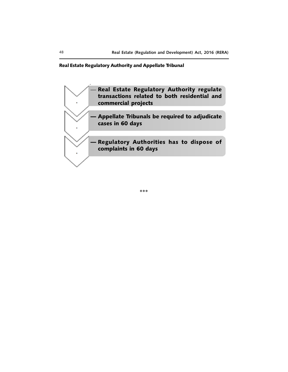## Real Estate Regulatory Authority and Appellate Tribunal



\*\*\*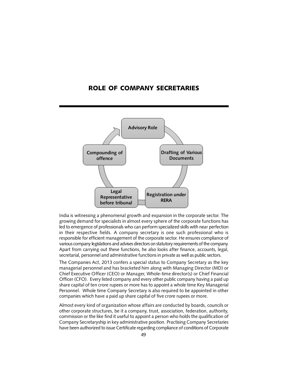## ROLE OF COMPANY SECRETARIES



India is witnessing a phenomenal growth and expansion in the corporate sector. The growing demand for specialists in almost every sphere of the corporate functions has led to emergence of professionals who can perform specialized skills with near perfection in their respective fields. A company secretary is one such professional who is responsible for efficient management of the corporate sector. He ensures compliance of various company legislations and advises directors on statutory requirements of the company. Apart from carrying out these functions, he also looks after finance, accounts, legal, secretarial, personnel and administrative functions in private as well as public sectors.

The Companies Act, 2013 confers a special status to Company Secretary as the key managerial personnel and has bracketed him along with Managing Director (MD) or Chief Executive Officer (CEO) or Manager, Whole-time director(s) or Chief Financial Officer (CFO). Every listed company and every other public company having a paid up share capital of ten crore rupees or more has to appoint a whole time Key Managerial Personnel. Whole time Company Secretary is also required to be appointed in other companies which have a paid up share capital of five crore rupees or more.

Almost every kind of organization whose affairs are conducted by boards, councils or other corporate structures, be it a company, trust, association, federation, authority, commission or the like find it useful to appoint a person who holds the qualification of Company Secretaryship in key administrative position. Practising Company Secretaries have been authorized to issue Certificate regarding compliance of conditions of Corporate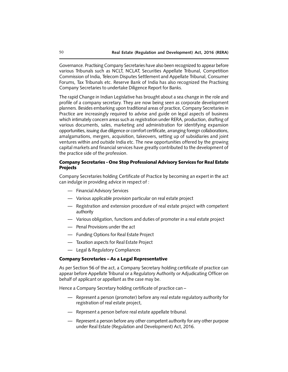Governance. Practising Company Secretaries have also been recognized to appear before various Tribunals such as NCLT, NCLAT, Securities Appellate Tribunal, Competition Commission of India, Telecom Disputes Settlement and Appellate Tribunal, Consumer Forums, Tax Tribunals etc. Reserve Bank of India has also recognized the Practising Company Secretaries to undertake Diligence Report for Banks.

The rapid Change in Indian Legislative has brought about a sea change in the role and profile of a company secretary. They are now being seen as corporate development planners. Besides embarking upon traditional areas of practice, Company Secretaries in Practice are increasingly required to advise and guide on legal aspects of business which intimately concern areas such as registration under RERA, production, drafting of various documents, sales, marketing and administration for identifying expansion opportunities, issuing due diligence or comfort certificate, arranging foreign collaborations, amalgamations, mergers, acquisition, takeovers, setting up of subsidiaries and joint ventures within and outside India etc. The new opportunities offered by the growing capital markets and financial services have greatly contributed to the development of the practice side of the profession.

## Company Secretaries - One Stop Professional Advisory Services for Real Estate Projects

Company Secretaries holding Certificate of Practice by becoming an expert in the act can indulge in providing advice in respect of :

- Financial Advisory Services
- Various applicable provision particular on real estate project
- Registration and extension procedure of real estate project with competent authority
- Various obligation, functions and duties of promoter in a real estate project
- Penal Provisions under the act
- Funding Options for Real Estate Project
- Taxation aspects for Real Estate Project
- Legal & Regulatory Compliances

#### Company Secretaries – As a Legal Representative

As per Section 56 of the act, a Company Secretary holding certificate of practice can appear before Appellate Tribunal or a Regulatory Authority or Adjudicating Officer on behalf of applicant or appellant as the case may be.

Hence a Company Secretary holding certificate of practice can –

- Represent a person (promoter) before any real estate regulatory authority for registration of real estate project,
- Represent a person before real estate appellate tribunal.
- Represent a person before any other competent authority for any other purpose under Real Estate (Regulation and Development) Act, 2016.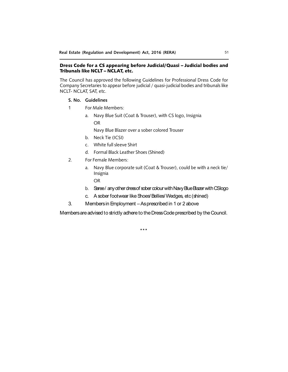## Dress Code for a CS appearing before Judicial/Quasi – Judicial bodies and Tribunals like NCLT – NCLAT, etc.

The Council has approved the following Guidelines for Professional Dress Code for Company Secretaries to appear before judicial / quasi-judicial bodies and tribunals like NCLT- NCLAT, SAT, etc.

- **S. No. Guidelines**
- 1 For Male Members:
	- a. Navy Blue Suit (Coat & Trouser), with CS logo, Insignia OR
		- Navy Blue Blazer over a sober colored Trouser
	- b. Neck Tie (ICSI)
	- c. White full sleeve Shirt
	- d. Formal Black Leather Shoes (Shined)
- 2. For Female Members:
	- a. Navy Blue corporate suit (Coat & Trouser), could be with a neck tie/ Insignia
		- OR
	- b. Saree/ any other dress of sober colour with Navy Blue Blazer with CS logo
	- c. A sober footwear like Shoes/Bellies/Wedges, etc (shined)
- 3. Members in Employment As prescribed in 1 or 2 above

Members are advised to strictly adhere to the Dress Code prescribed by the Council.

\*\*\*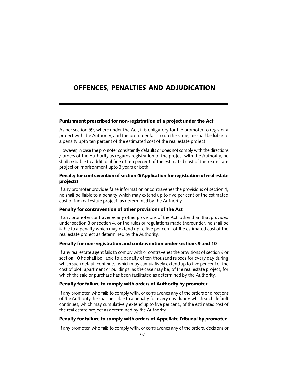# OFFENCES, PENALTIES AND ADJUDICATION

## Punishment prescribed for non-registration of a project under the Act

As per section 59, where under the Act, it is obligatory for the promoter to register a project with the Authority, and the promoter fails to do the same, he shall be liable to a penalty upto ten percent of the estimated cost of the real estate project.

However, in case the promoter consistently defaults or does not comply with the directions / orders of the Authority as regards registration of the project with the Authority, he shall be liable to additional fine of ten percent of the estimated cost of the real estate project or imprisonment upto 3 years or both.

## Penalty for contravention of section 4(Application for registration of real estate projects)

If any promoter provides false information or contravenes the provisions of section 4, he shall be liable to a penalty which may extend up to five per cent of the estimated cost of the real estate project, as determined by the Authority.

## Penalty for contravention of other provisions of the Act

If any promoter contravenes any other provisions of the Act, other than that provided under section 3 or section 4, or the rules or regulations made thereunder, he shall be liable to a penalty which may extend up to five per cent. of the estimated cost of the real estate project as determined by the Authority.

#### Penalty for non-registration and contravention under sections 9 and 10

If any real estate agent fails to comply with or contravenes the provisions of section 9 or section 10 he shall be liable to a penalty of ten thousand rupees for every day during which such default continues, which may cumulatively extend up to five per cent of the cost of plot, apartment or buildings, as the case may be, of the real estate project, for which the sale or purchase has been facilitated as determined by the Authority.

## Penalty for failure to comply with orders of Authority by promoter

If any promoter, who fails to comply with, or contravenes any of the orders or directions of the Authority, he shall be liable to a penalty for every day during which such default continues, which may cumulatively extend up to five per cent., of the estimated cost of the real estate project as determined by the Authority.

## Penalty for failure to comply with orders of Appellate Tribunal by promoter

If any promoter, who fails to comply with, or contravenes any of the orders, decisions or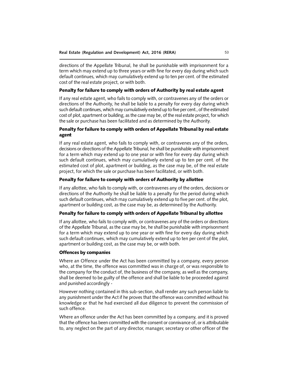directions of the Appellate Tribunal, he shall be punishable with imprisonment for a term which may extend up to three years or with fine for every day during which such default continues, which may cumulatively extend up to ten per cent. of the estimated cost of the real estate project, or with both.

## Penalty for failure to comply with orders of Authority by real estate agent

If any real estate agent, who fails to comply with, or contravenes any of the orders or directions of the Authority, he shall be liable to a penalty for every day during which such default continues, which may cumulatively extend up to five per cent., of the estimated cost of plot, apartment or building, as the case may be, of the real estate project, for which the sale or purchase has been facilitated and as determined by the Authority.

## Penalty for failure to comply with orders of Appellate Tribunal by real estate agent

If any real estate agent, who fails to comply with, or contravenes any of the orders, decisions or directions of the Appellate Tribunal, he shall be punishable with imprisonment for a term which may extend up to one year or with fine for every day during which such default continues, which may cumulatively extend up to ten per cent. of the estimated cost of plot, apartment or building, as the case may be, of the real estate project, for which the sale or purchase has been facilitated, or with both.

#### Penalty for failure to comply with orders of Authority by allottee

If any allottee, who fails to comply with, or contravenes any of the orders, decisions or directions of the Authority he shall be liable to a penalty for the period during which such default continues, which may cumulatively extend up to five per cent. of the plot, apartment or building cost, as the case may be, as determined by the Authority.

## Penalty for failure to comply with orders of Appellate Tribunal by allottee

If any allottee, who fails to comply with, or contravenes any of the orders or directions of the Appellate Tribunal, as the case may be, he shall be punishable with imprisonment for a term which may extend up to one year or with fine for every day during which such default continues, which may cumulatively extend up to ten per cent of the plot, apartment or building cost, as the case may be, or with both.

#### Offences by companies

Where an Offence under the Act has been committed by a company, every person who, at the time, the offence was committed was in charge of, or was responsible to the company for the conduct of, the business of the company, as well as the company, shall be deemed to be guilty of the offence and shall be liable to be proceeded against and punished accordingly -

However nothing contained in this sub-section, shall render any such person liable to any punishment under the Act if he proves that the offence was committed without his knowledge or that he had exercised all due diligence to prevent the commission of such offence.

Where an offence under the Act has been committed by a company, and it is proved that the offence has been committed with the consent or connivance of, or is attributable to, any neglect on the part of any director, manager, secretary or other officer of the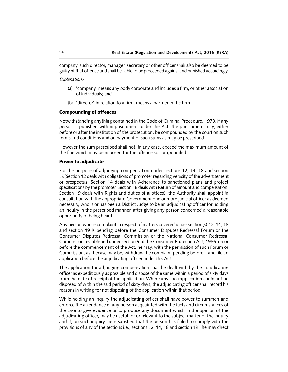company, such director, manager, secretary or other officer shall also be deemed to be guilty of that offence and shall be liable to be proceeded against and punished accordingly.

*Explanation.*-

- (a) ''company'' means any body corporate and includes a firm, or other association of individuals; and
- (b) ''director'' in relation to a firm, means a partner in the firm.

## Compounding of offences

Notwithstanding anything contained in the Code of Criminal Procedure, 1973, if any person is punished with imprisonment under the Act, the punishment may, either before or after the institution of the prosecution, be compounded by the court on such terms and conditions and on payment of such sums as may be prescribed.

However the sum prescribed shall not, in any case, exceed the maximum amount of the fine which may be imposed for the offence so compounded.

#### Power to adjudicate

For the purpose of adjudging compensation under sections 12, 14, 18 and section 19(Section 12 deals with obligations of promoter regarding veracity of the advertisement or prospectus, Section 14 deals with Adherence to sanctioned plans and project specifications by the promoter, Section 18 deals with Return of amount and compensation, Section 19 deals with Rights and duties of allottees), the Authority shall appoint in consultation with the appropriate Government one or more judicial officer as deemed necessary, who is or has been a District Judge to be an adjudicating officer for holding an inquiry in the prescribed manner, after giving any person concerned a reasonable opportunity of being heard.

Any person whose complaint in respect of matters covered under section(s) 12, 14, 18 and section 19 is pending before the Consumer Disputes Redressal Forum or the Consumer Disputes Redressal Commission or the National Consumer Redressal Commission, established under section 9 of the Consumer Protection Act, 1986, on or before the commencement of the Act, he may, with the permission of such Forum or Commission, as thecase may be, withdraw the complaint pending before it and file an application before the adjudicating officer under this Act.

The application for adjudging compensation shall be dealt with by the adjudicating officer as expeditiously as possible and dispose of the same within a period of sixty days from the date of receipt of the application. Where any such application could not be disposed of within the said period of sixty days, the adjudicating officer shall record his reasons in writing for not disposing of the application within that period.

While holding an inquiry the adjudicating officer shall have power to summon and enforce the attendance of any person acquainted with the facts and circumstances of the case to give evidence or to produce any document which in the opinion of the adjudicating officer, may be useful for or relevant to the subject matter of the inquiry and if, on such inquiry, he is satisfied that the person has failed to comply with the provisions of any of the sections i.e., sections 12, 14, 18 and section 19, he may direct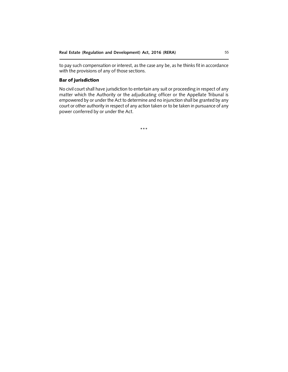to pay such compensation or interest, as the case any be, as he thinks fit in accordance with the provisions of any of those sections.

## Bar of jurisdiction

No civil court shall have jurisdiction to entertain any suit or proceeding in respect of any matter which the Authority or the adjudicating officer or the Appellate Tribunal is empowered by or under the Act to determine and no injunction shall be granted by any court or other authority in respect of any action taken or to be taken in pursuance of any power conferred by or under the Act.

\*\*\*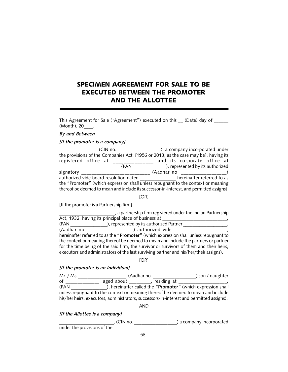# SPECIMEN AGREEMENT FOR SALE TO BE EXECUTED BETWEEN THE PROMOTER AND THE ALLOTTEE

This Agreement for Sale ("Agreement") executed on this \_\_\_ (Date) day of (Month), 20\_\_\_\_,

## *By and Between*

## *[If the promoter is a company]*

| (CIN no.                                                                                                                                                                      | ), a company incorporated under  |  |  |  |
|-------------------------------------------------------------------------------------------------------------------------------------------------------------------------------|----------------------------------|--|--|--|
| the provisions of the Companies Act, [1956 or 2013, as the case may be], having its                                                                                           |                                  |  |  |  |
| registered office at                                                                                                                                                          | and its corporate office at      |  |  |  |
| (PAN                                                                                                                                                                          | ), represented by its authorized |  |  |  |
| signatory                                                                                                                                                                     | (Aadhar no.                      |  |  |  |
| authorized vide board resolution dated                                                                                                                                        | hereinafter referred to as       |  |  |  |
| the "Promoter" (which expression shall unless repugnant to the context or meaning<br>thereof be deemed to mean and include its successor-in-interest, and permitted assigns). |                                  |  |  |  |

[OR]

[If the promoter is a Partnership firm]

\_\_\_\_\_\_\_\_\_\_\_\_\_\_\_\_\_\_\_\_\_\_\_\_, a partnership firm registered under the Indian Partnership Act, 1932, having its principal place of business at (PAN \_\_\_\_\_\_\_\_\_\_\_\_\_\_\_\_), represented by its authorized Partner \_\_\_\_\_\_\_\_\_\_\_\_\_\_\_\_\_\_\_, (Aadhar no. \_\_\_\_\_\_\_\_\_\_\_\_\_\_\_\_\_\_\_) authorized vide \_\_\_\_\_\_\_\_\_\_\_\_\_\_\_\_\_\_\_\_\_\_\_\_\_\_\_\_\_\_\_\_ hereinafter referred to as the **"Promoter"** (which expression shall unless repugnant to the context or meaning thereof be deemed to mean and include the partners or partner for the time being of the said firm, the survivor or survivors of them and their heirs, executors and administrators of the last surviving partner and his/her/their assigns).

[OR]

#### *[If the promoter is an Individual]*

Mr. / Ms.\_\_\_\_\_\_\_\_\_\_\_\_\_\_\_\_\_\_\_\_, (Aadhar no. \_\_\_\_\_\_\_\_\_\_\_\_\_\_\_\_\_\_) son / daughter of \_\_\_\_\_\_\_\_\_\_\_\_\_\_\_, aged about \_\_\_\_\_\_\_\_\_, residing at \_\_\_\_\_\_\_\_\_\_\_\_\_\_\_\_\_\_\_\_\_, (PAN \_\_\_\_\_\_\_\_\_\_\_\_\_\_\_), hereinafter called the **"Promoter"** (which expression shall unless repugnant to the context or meaning thereof be deemed to mean and include his/her heirs, executors, administrators, successors-in-interest and permitted assigns).

AND

*[If the Allottee is a company]*

 $\Box$ , (CIN no.  $\Box$   $\Box$   $\Box$   $\Box$   $\Box$   $\Box$  a company incorporated under the provisions of the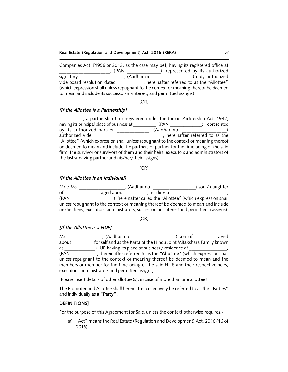Companies Act, [1956 or 2013, as the case may be], having its registered office at \_\_\_\_\_\_\_\_\_\_\_\_\_\_\_\_\_\_\_\_\_\_\_\_, (PAN \_\_\_\_\_\_\_\_\_\_\_\_\_\_\_\_), represented by its authorized signatory, \_\_\_\_\_\_\_\_\_\_\_\_\_\_\_\_\_\_, (Aadhar no.\_\_\_\_\_\_\_\_\_\_\_\_\_\_\_\_\_) duly authorized vide board resolution dated **the referred to as the "Allottee"** (which expression shall unless repugnant to the context or meaning thereof be deemed to mean and include its successor-in-interest, and permitted assigns).

[OR]

#### *[If the Allottee is a Partnership]*

\_\_\_\_\_\_\_\_\_\_, a partnership firm registered under the Indian Partnership Act, 1932, having its principal place of business at \_\_\_\_\_\_\_\_\_\_\_\_\_, (PAN \_\_\_\_\_\_\_\_\_\_\_\_\_\_\_), represented by its authorized partner, \_\_\_\_\_\_\_\_\_\_\_\_\_, (Aadhar no. \_\_\_\_\_\_\_\_\_\_\_\_\_\_\_\_\_\_\_\_\_\_\_\_\_\_)<br>authorized vide \_\_\_\_\_\_\_\_\_\_\_\_\_\_\_\_\_\_\_, hereinafter referred to as the **EXECUTE:** Thereinafter referred to as the "Allottee" (which expression shall unless repugnant to the context or meaning thereof be deemed to mean and include the partners or partner for the time being of the said firm, the survivor or survivors of them and their heirs, executors and administrators of the last surviving partner and his/her/their assigns).

#### [OR]

#### *[If the Allottee is an Individual]*

| Mr. / Ms.                                                                        | (Aadhar no.                                                                                | ) son / daughter |  |
|----------------------------------------------------------------------------------|--------------------------------------------------------------------------------------------|------------------|--|
| of                                                                               | aged about<br>, residing at                                                                |                  |  |
| (PAN                                                                             | ), hereinafter called the "Allottee" (which expression shall                               |                  |  |
| unless repugnant to the context or meaning thereof be deemed to mean and include |                                                                                            |                  |  |
|                                                                                  | his/her heirs, executors, administrators, successors-in-interest and permitted a assigns). |                  |  |

#### [OR]

## *[If the Allottee is a HUF]*

Mr. The Music Contract of the Music Mr. The Music Contract of the Music Aged and Music Aged about **Frank of the Karta of the Hindu Joint Mitakshara Family known** as \_\_\_\_\_\_\_\_\_\_\_\_\_\_\_HUF, having its place of business / residence at

(PAN \_\_\_\_\_\_\_\_\_\_\_), hereinafter referred to as the **"Allottee"** (which expression shall unless repugnant to the context or meaning thereof be deemed to mean and the members or member for the time being of the said HUF, and their respective heirs, executors, administrators and permitted assigns).

[Please insert details of other allottee(s), in case of more than one allottee]

The Promoter and Allottee shall hereinafter collectively be referred to as the "Parties" and individually as a **"Party".**

#### **DEFINITIONS]**

For the purpose of this Agreement for Sale, unless the context otherwise requires,-

(a) "Act" means the Real Estate (Regulation and Development) Act, 2016 (16 of 2016);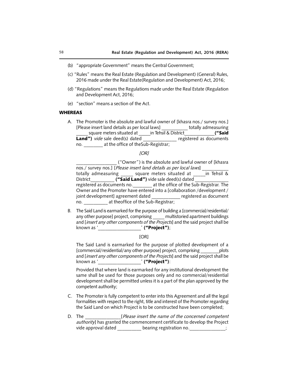- (b) "appropriate Government" means the Central Government;
- (c) "Rules" means the Real Estate (Regulation and Development) (General) Rules, 2016 made under the Real Estate(Regulation and Development) Act, 2016;
- (d) "Regulations" means the Regulations made under the Real Estate (Regulation and Development Act, 2016;
- (e) "section" means a section of the Act.

#### **WHEREAS**

A. The Promoter is the absolute and lawful owner of [khasra nos./ survey nos.] [Please insert land details as per local laws] \_\_\_\_\_\_\_\_\_\_\_ totally admeasuring \_square meters situated at \_\_\_\_\_in Tehsil & District\_\_\_\_\_\_\_\_\_\_\_\_\_\_("Said Land") *vide* sale deed(s) dated \_\_\_\_\_\_\_\_\_\_\_\_\_\_ registered as documents no. \_\_\_\_\_\_\_\_ at the office of theSub-Registrar;

#### *[OR]*

\_\_\_\_\_\_\_\_\_\_\_\_\_\_\_\_\_ ("Owner") is the absolute and lawful owner of [khasra nos./ survey nos.] [*Please insert land details as per local laws*] \_\_\_\_\_\_\_\_\_\_\_ totally admeasuring square meters situated at  $\overline{\phantom{a}}$  in Tehsil & District **The Contract Contract ("Said Land")** vide sale deed(s) dated registered as documents no. \_\_\_\_\_\_\_\_ at the office of the Sub-Registrar. The Owner and the Promoter have entered into a [collaboration /development / joint development] agreement dated \_\_\_\_\_\_\_\_\_\_\_\_ registered as document no.  $\qquad \qquad$  at theoffice of the Sub-Registrar;

B. The Said Land is earmarked for the purpose of building a [commercial/residential/ any other purpose] project, comprising \_\_\_\_\_ multistoried apartment buildings and [*insert any other components of the Projects*] and the said project shall be known as '\_\_\_\_\_\_\_\_\_\_\_\_\_\_\_\_\_\_\_\_\_ ' ("Project");

[OR]

The Said Land is earmarked for the purpose of plotted development of a [commercial/residential/any other purpose] project, comprising \_\_\_\_\_\_\_\_plots and [*insert any other components of the Projects*] and the said project shall be known as '\_\_\_\_\_\_\_\_\_\_\_\_\_\_\_\_\_\_ ' ("Project"):

Provided that where land is earmarked for any institutional development the same shall be used for those purposes only and no commercial/residential development shall be permitted unless it is a part of the plan approved by the competent authority;

- C. The Promoter is fully competent to enter into this Agreement and all the legal formalities with respect to the right, title and interest of the Promoter regarding the Said Land on which Project is to be constructed have been completed;
- D. The **Example 2018** [*Please insert the name of the concerned competent authority*] has granted the commencement certificate to develop the Project vide approval dated bearing registration no.  $\hspace{1.6cm}$ ;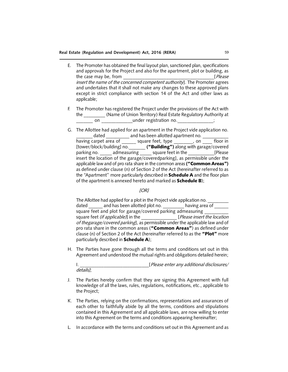#### **Real Estate (Regulation and Development) Act, 2016 (RERA)** 59

- E. The Promoter has obtained the final layout plan, sanctioned plan, specifications and approvals for the Project and also for the apartment, plot or building, as the case may be, from \_\_\_\_\_\_\_\_\_\_\_\_\_\_\_\_\_\_\_\_\_\_\_\_\_\_\_\_\_\_\_\_\_\_\_\_\_\_[*Please insert the name of the concerned competent authority*]. The Promoter agrees and undertakes that it shall not make any changes to these approved plans except in strict compliance with section 14 of the Act and other laws as applicable;
- F. The Promoter has registered the Project under the provisions of the Act with the **Combing Commondo** (Name of Union Territory) Real Estate Regulatory Authority at \_\_\_\_\_\_\_ on \_\_\_\_\_\_\_\_\_\_\_\_\_under registration no.\_\_\_\_\_\_\_\_\_\_\_\_\_\_\_;
- G. The Allottee had applied for an apartment in the Project vide application no. dated and has been allotted apartment no. having carpet area of \_\_\_\_\_\_ square feet, type \_\_\_\_\_\_\_\_, on \_\_\_\_\_ floor in [tower/block/building] no. \_\_\_\_\_\_\_ ("Building") along with garage/covered parking no. \_\_\_\_\_ admeasuring \_\_\_\_\_ square feet in the \_\_\_\_\_\_\_\_\_\_\_[Please insert the location of the garage/coveredparking], as permissible under the applicable law and of pro rata share in the common areas ("Common Areas") as defined under clause (n) of Section 2 of the Act (hereinafter referred to as the "Apartment" more particularly described in **Schedule A** and the floor plan of the apartment is annexed hereto and marked as **Schedule B**);

#### *[OR]*

The Allottee had applied for a plot in the Project vide application no. dated \_\_\_\_\_\_ and has been allotted plot no. \_\_\_\_\_\_\_\_\_\_ having area of \_\_\_\_\_\_ square feet and plot for garage/covered parking admeasuring square feet *(if applicable)*] in the \_\_\_\_\_\_\_\_\_\_\_\_\_\_\_ [*Please insert the location of thegarage/covered parking*], as permissible under the applicable law and of pro rata share in the common areas ("Common Areas") as defined under clause (n) of Section 2 of the Act (hereinafter referred to as the "Plot" more particularly described in **Schedule A**);

H. The Parties have gone through all the terms and conditions set out in this Agreement and understood the mutual rights and obligations detailed herein;

I. \_\_\_\_\_\_\_\_\_\_\_\_\_\_\_\_\_\_\_\_\_\_\_\_\_\_\_\_\_[*Please enter any additional disclosures/ details]*;

- J. The Parties hereby confirm that they are signing this Agreement with full knowledge of all the laws, rules, regulations, notifications, etc., applicable to the Project;
- K. The Parties, relying on the confirmations, representations and assurances of each other to faithfully abide by all the terms, conditions and stipulations contained in this Agreement and all applicable laws, are now willing to enter into this Agreement on the terms and conditions appearing hereinafter;
- L. In accordance with the terms and conditions set out in this Agreement and as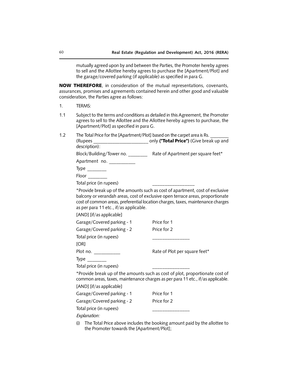mutually agreed upon by and between the Parties, the Promoter hereby agrees to sell and the Allottee hereby agrees to purchase the [Apartment/Plot] and the garage/covered parking (if applicable) as specified in para G.

NOW THEREFORE, in consideration of the mutual representations, covenants, assurances, promises and agreements contained herein and other good and valuable consideration, the Parties agree as follows:

- 1. TERMS:
- 1.1 Subject to the terms and conditions as detailed in this Agreement, the Promoter agrees to sell to the Allottee and the Allottee hereby agrees to purchase, the [Apartment/Plot] as specified in para G.
- 1.2 The Total Price for the [Apartment/Plot] based on the carpet area is Rs. (Rupees change only ("Total Price") (Give break up and description):

| Block/Building/Tower no. | Rate of Apartment per square feet* |
|--------------------------|------------------------------------|
| Apartment no.            |                                    |

| A<br>wr<br>. . |  |
|----------------|--|
|                |  |

Floor \_\_\_\_\_\_\_\_

Total price (in rupees) \_\_\_\_\_\_\_\_\_\_\_\_\_\_\_\_\_

\*Provide break up of the amounts such as cost of apartment, cost of exclusive balcony or verandah areas, cost of exclusive open terrace areas, proportionate cost of common areas, preferential location charges, taxes, maintenance charges as per para 11 etc., if/as applicable.

[AND] [if/as applicable]

| Garage/Covered parking - 1 | Price for 1                   |
|----------------------------|-------------------------------|
| Garage/Covered parking - 2 | Price for 2                   |
| Total price (in rupees)    |                               |
| [OR]                       |                               |
| Plot no.                   | Rate of Plot per square feet* |
| Type                       |                               |
| Total price (in rupees)    |                               |
|                            |                               |

\*Provide break up of the amounts such as cost of plot, proportionate cost of common areas, taxes, maintenance charges as per para 11 etc., if/as applicable.

[AND] [if/as applicable]

| Garage/Covered parking - 1                      | Price for 1 |
|-------------------------------------------------|-------------|
| Garage/Covered parking - 2                      | Price for 2 |
| Total price (in rupees)                         |             |
| $\Gamma$ and $\Gamma$ and $\Gamma$ and $\Gamma$ |             |

*Explanation:*

(i) The Total Price above includes the booking amount paid by the allottee to the Promoter towards the [Apartment/Plot];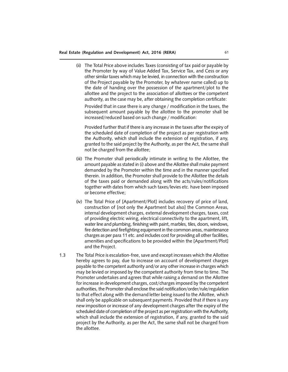(ii) The Total Price above includes Taxes (consisting of tax paid or payable by the Promoter by way of Value Added Tax, Service Tax, and Cess or any other similar taxes which may be levied, in connection with the construction of the Project payable by the Promoter, by whatever name called) up to the date of handing over the possession of the apartment/plot to the allottee and the project to the association of allottees or the competent authority, as the case may be, after obtaining the completion certificate:

Provided that in case there is any change / modification in the taxes, the subsequent amount payable by the allottee to the promoter shall be increased/reduced based on such change / modification:

Provided further that if there is any increase in the taxes after the expiry of the scheduled date of completion of the project as per registration with the Authority, which shall include the extension of registration, if any, granted to the said project by the Authority, as per the Act, the same shall not be charged from the allottee;

- (iii) The Promoter shall periodically intimate in writing to the Allottee, the amount payable as stated in (i) above and the Allottee shall make payment demanded by the Promoter within the time and in the manner specified therein. In addition, the Promoter shall provide to the Allottee the details of the taxes paid or demanded along with the acts/rules/notifications together with dates from which such taxes/levies etc. have been imposed or become effective;
- (iv) The Total Price of [Apartment/Plot] includes recovery of price of land, construction of [not only the Apartment but also] the Common Areas, internal development charges, external development charges, taxes, cost of providing electric wiring, electrical connectivity to the apartment, lift, water line and plumbing, finishing with paint, marbles, tiles, doors, windows, fire detection and firefighting equipment in the common areas, maintenance charges as per para 11 etc. and includes cost for providing all other facilities, amenities and specifications to be provided within the [Apartment/Plot] and the Project.
- 1.3 The Total Price is escalation-free, save and except increases which the Allottee hereby agrees to pay, due to increase on account of development charges payable to the competent authority and/or any other increase in charges which may be levied or imposed by the competent authority from time to time. The Promoter undertakes and agrees that while raising a demand on the Allottee for increase in development charges, cost/charges imposed by the competent authorities, the Promoter shall enclose the said notification/order/rule/regulation to that effect along with the demand letter being issued to the Allottee, which shall only be applicable on subsequent payments. Provided that if there is any new imposition or increase of any development charges after the expiry of the scheduled date of completion of the project as per registration with the Authority, which shall include the extension of registration, if any, granted to the said project by the Authority, as per the Act, the same shall not be charged from the allottee.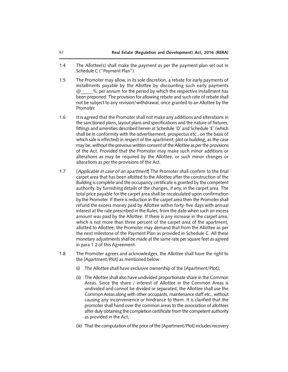- 1.4 The Allottee(s) shall make the payment as per the payment plan set out in Schedule C ("Payment Plan").
- 1.5 The Promoter may allow, in its sole discretion, a rebate for early payments of installments payable by the Allottee by discounting such early payments  $@$  % per annum for the period by which the respective installment has been preponed. The provision for allowing rebate and such rate of rebate shall not be subject to any revision/withdrawal, once granted to an Allottee by the Promoter.
- 1.6 It is agreed that the Promoter shall not make any additions and alterations in the sanctioned plans, layout plans and specifications and the nature of fixtures, fittings and amenities described herein at Schedule 'D' and Schedule 'E' (which shall be in conformity with the advertisement, prospectus etc., on the basis of which sale is effected) in respect of the apartment, plot or building, as the case may be, without the previous written consent of the Allottee as per the provisions of the Act. Provided that the Promoter may make such minor additions or alterations as may be required by the Allottee, or such minor changes or alterations as per the provisions of the Act.
- 1.7 [*Applicable in case of an apartment*] The Promoter shall confirm to the final carpet area that has been allotted to the Allottee after the construction of the Building is complete and the occupancy certificate is granted by the competent authority, by furnishing details of the changes, if any, in the carpet area. The total price payable for the carpet area shall be recalculated upon confirmation by the Promoter. If there is reduction in the carpet area then the Promoter shall refund the excess money paid by Allottee within forty-five days with annual interest at the rate prescribed in the Rules, from the date when such an excess amount was paid by the Allottee. If there is any increase in the carpet area, which is not more than three percent of the carpet area of the apartment, allotted to Allottee, the Promoter may demand that from the Allottee as per the next milestone of the Payment Plan as provided in Schedule C. All these monetary adjustments shall be made at the same rate per square feet as agreed in para 1.2 of this Agreement.
- 1.8 The Promoter agrees and acknowledges, the Allottee shall have the right to the [Apartment/Plot] as mentioned below:
	- (i) The Allottee shall have exclusive ownership of the [Apartment/Plot];
	- (ii) The Allottee shall also have undivided proportionate share in the Common Areas. Since the share / interest of Allottee in the Common Areas is undivided and cannot be divided or separated, the Allottee shall use the Common Areas along with other occupants, maintenance staff etc., without causing any inconvenience or hindrance to them. It is clarified that the promoter shall hand over the common areas to the association of allottees after duly obtaining the completion certificate from the competent authority as provided in the Act;
	- (iii) That the computation of the price of the [Apartment/Plot] includes recovery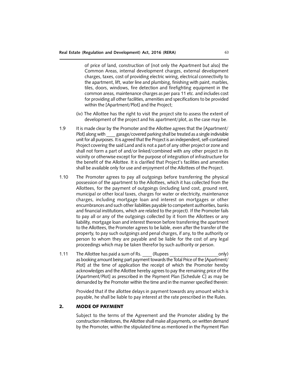of price of land, construction of [not only the Apartment but also] the Common Areas, internal development charges, external development charges, taxes, cost of providing electric wiring, electrical connectivity to the apartment, lift, water line and plumbing, finishing with paint, marbles, tiles, doors, windows, fire detection and firefighting equipment in the common areas, maintenance charges as per para 11 etc. and includes cost for providing all other facilities, amenities and specifications to be provided within the [Apartment/Plot] and the Project;

- (iv) The Allottee has the right to visit the project site to assess the extent of development of the project and his apartment/plot, as the case may be.
- 1.9 It is made clear by the Promoter and the Allottee agrees that the [Apartment/ Plot] along with garage/covered parking shall be treated as a single indivisible unit for all purposes. It is agreed that the Project is an independent, self-contained Project covering the said Land and is not a part of any other project or zone and shall not form a part of and/or linked/combined with any other project in its vicinity or otherwise except for the purpose of integration of infrastructure for the benefit of the Allottee. It is clarified that Project's facilities and amenities shall be available only for use and enjoyment of the Allottees of the Project.
- 1.10 The Promoter agrees to pay all outgoings before transferring the physical possession of the apartment to the Allottees, which it has collected from the Allottees, for the payment of outgoings (including land cost, ground rent, municipal or other local taxes, charges for water or electricity, maintenance charges, including mortgage loan and interest on mortgages or other encumbrances and such other liabilities payable to competent authorities, banks and financial institutions, which are related to the project). If the Promoter fails to pay all or any of the outgoings collected by it from the Allottees or any liability, mortgage loan and interest thereon before transferring the apartment to the Allottees, the Promoter agrees to be liable, even after the transfer of the property, to pay such outgoings and penal charges, if any, to the authority or person to whom they are payable and be liable for the cost of any legal proceedings which may be taken therefor by such authority or person.
- 1.11 The Allottee has paid a sum of Rs. (Rupees  $\qquad \qquad \text{only)}$ as booking amount being part payment towards the Total Price of the [Apartment/ Plot] at the time of application the receipt of which the Promoter hereby acknowledges and the Allottee hereby agrees to pay the remaining price of the [Apartment/Plot] as prescribed in the Payment Plan [Schedule C] as may be demanded by the Promoter within the time and in the manner specified therein:

Provided that if the allottee delays in payment towards any amount which is payable, he shall be liable to pay interest at the rate prescribed in the Rules.

#### 2. MODE OF PAYMENT

Subject to the terms of the Agreement and the Promoter abiding by the construction milestones, the Allottee shall make all payments, on written demand by the Promoter, within the stipulated time as mentioned in the Payment Plan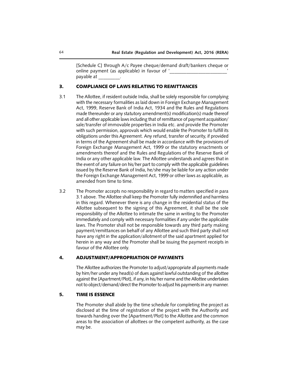[Schedule C] through A/c Payee cheque/demand draft/bankers cheque or online payment (as applicable) in favour of ' payable at \_\_\_\_\_\_\_\_\_.

#### 3. COMPLIANCE OF LAWS RELATING TO REMITTANCES

- 3.1 The Allottee, if resident outside India, shall be solely responsible for complying with the necessary formalities as laid down in Foreign Exchange Management Act, 1999, Reserve Bank of India Act, 1934 and the Rules and Regulations made thereunder or any statutory amendment(s) modification(s) made thereof and all other applicable laws including that of remittance of payment acquisition/ sale/transfer of immovable properties in India etc. and provide the Promoter with such permission, approvals which would enable the Promoter to fulfill its obligations under this Agreement. Any refund, transfer of security, if provided in terms of the Agreement shall be made in accordance with the provisions of Foreign Exchange Management Act, 1999 or the statutory enactments or amendments thereof and the Rules and Regulations of the Reserve Bank of India or any other applicable law. The Allottee understands and agrees that in the event of any failure on his/her part to comply with the applicable guidelines issued by the Reserve Bank of India, he/she may be liable for any action under the Foreign Exchange Management Act, 1999 or other laws as applicable, as amended from time to time.
- 3.2 The Promoter accepts no responsibility in regard to matters specified in para 3.1 above. The Allottee shall keep the Promoter fully indemnified and harmless in this regard. Whenever there is any change in the residential status of the Allottee subsequent to the signing of this Agreement, it shall be the sole responsibility of the Allottee to intimate the same in writing to the Promoter immediately and comply with necessary formalities if any under the applicable laws. The Promoter shall not be responsible towards any third party making payment/remittances on behalf of any Allottee and such third party shall not have any right in the application/allotment of the said apartment applied for herein in any way and the Promoter shall be issuing the payment receipts in favour of the Allottee only.

#### 4. ADJUSTMENT/APPROPRIATION OF PAYMENTS

The Allottee authorizes the Promoter to adjust/appropriate all payments made by him/her under any head(s) of dues against lawful outstanding of the allottee against the [Apartment/Plot], if any, in his/her name and the Allottee undertakes not to object/demand/direct the Promoter to adjust his payments in any manner.

## 5. TIME IS ESSENCE

The Promoter shall abide by the time schedule for completing the project as disclosed at the time of registration of the project with the Authority and towards handing over the [Apartment/Plot] to the Allottee and the common areas to the association of allottees or the competent authority, as the case may be.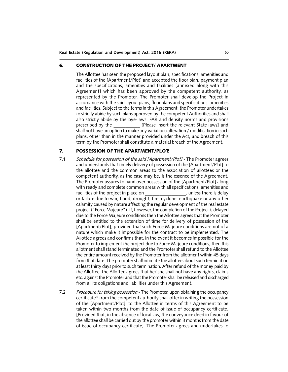### 6. CONSTRUCTION OF THE PROJECT/ APARTMENT

The Allottee has seen the proposed layout plan, specifications, amenities and facilities of the [Apartment/Plot] and accepted the floor plan, payment plan and the specifications, amenities and facilities [annexed along with this Agreement] which has been approved by the competent authority, as represented by the Promoter. The Promoter shall develop the Project in accordance with the said layout plans, floor plans and specifications, amenities and facilities. Subject to the terms in this Agreement, the Promoter undertakes to strictly abide by such plans approved by the competent Authorities and shall also strictly abide by the bye-laws, FAR and density norms and provisions prescribed by the \_\_\_\_\_\_\_\_\_\_\_ [Please insert the relevant State laws] and shall not have an option to make any variation /alteration / modification in such plans, other than in the manner provided under the Act, and breach of this term by the Promoter shall constitute a material breach of the Agreement.

## 7. POSSESSION OF THE APARTMENT/PLOT:

- 7.1 *Schedule for possession of the said [Apartment/Plot]*  The Promoter agrees and understands that timely delivery of possession of the [Apartment/Plot] to the allottee and the common areas to the association of allottees or the competent authority, as the case may be, is the essence of the Agreement. The Promoter assures to hand over possession of the [Apartment/Plot] along with ready and complete common areas with all specifications, amenities and facilities of the project in place on the state of the project in place on the state of the project in place on or failure due to war, flood, drought, fire, cyclone, earthquake or any other calamity caused by nature affecting the regular development of the real estate project ("Force Majeure"). If, however, the completion of the Project is delayed due to the Force Majeure conditions then the Allottee agrees that the Promoter shall be entitled to the extension of time for delivery of possession of the [Apartment/Plot], provided that such Force Majeure conditions are not of a nature which make it impossible for the contract to be implemented. The Allottee agrees and confirms that, in the event it becomes impossible for the Promoter to implement the project due to Force Majeure conditions, then this allotment shall stand terminated and the Promoter shall refund to the Allottee the entire amount received by the Promoter from the allotment within 45 days from that date. The promoter shall intimate the allottee about such termination at least thirty days prior to such termination. After refund of the money paid by the Allottee, the Allottee agrees that he/ she shall not have any rights, claims etc. against the Promoter and that the Promoter shall be released and discharged from all its obligations and liabilities under this Agreement.
- 7.2 *Procedure for taking possession* The Promoter, upon obtaining the occupancy certificate\* from the competent authority shall offer in writing the possession of the [Apartment/Plot], to the Allottee in terms of this Agreement to be taken within two months from the date of issue of occupancy certificate. [Provided that, in the absence of local law, the conveyance deed in favour of the allottee shall be carried out by the promoter within 3 months from the date of issue of occupancy certificate]. The Promoter agrees and undertakes to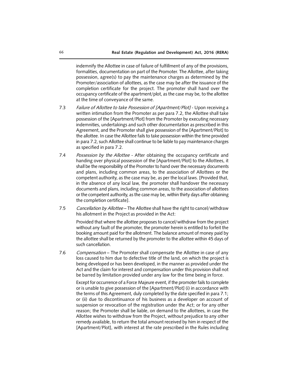indemnify the Allottee in case of failure of fulfillment of any of the provisions, formalities, documentation on part of the Promoter. The Allottee, after taking possession, agree(s) to pay the maintenance charges as determined by the Promoter/association of allottees, as the case may be after the issuance of the completion certificate for the project. The promoter shall hand over the occupancy certificate of the apartment/plot, as the case may be, to the allottee at the time of conveyance of the same.

- 7.3 *Failure of Allottee to take Possession of [Apartment/Plot]*  Upon receiving a written intimation from the Promoter as per para 7.2, the Allottee shall take possession of the [Apartment/Plot] from the Promoter by executing necessary indemnities, undertakings and such other documentation as prescribed in this Agreement, and the Promoter shall give possession of the [Apartment/Plot] to the allottee. In case the Allottee fails to take possession within the time provided in para 7.2, such Allottee shall continue to be liable to pay maintenance charges as specified in para 7.2.
- 7.4 *Possession by the Allottee* After obtaining the occupancy certificate and handing over physical possession of the [Apartment/Plot] to the Allottees, it shall be the responsibility of the Promoter to hand over the necessary documents and plans, including common areas, to the association of Allottees or the competent authority, as the case may be, as per the local laws. [Provided that, in the absence of any local law, the promoter shall handover the necessary documents and plans, including common areas, to the association of allottees or the competent authority, as the case may be, within thirty days after obtaining the completion certificate].
- 7.5 *Cancellation by Allottee*  The Allottee shall have the right to cancel/withdraw his allotment in the Project as provided in the Act:

Provided that where the allottee proposes to cancel/withdraw from the project without any fault of the promoter, the promoter herein is entitled to forfeit the booking amount paid for the allotment. The balance amount of money paid by the allottee shall be returned by the promoter to the allottee within 45 days of such cancellation.

7.6 *Compensation* – The Promoter shall compensate the Allottee in case of any loss caused to him due to defective title of the land, on which the project is being developed or has been developed, in the manner as provided under the Act and the claim for interest and compensation under this provision shall not be barred by limitation provided under any law for the time being in force.

Except for occurrence of a Force Majeure event, if the promoter fails to complete or is unable to give possession of the [Apartment/Plot] (i) in accordance with the terms of this Agreement, duly completed by the date specified in para 7.1; or (ii) due to discontinuance of his business as a developer on account of suspension or revocation of the registration under the Act; or for any other reason; the Promoter shall be liable, on demand to the allottees, in case the Allottee wishes to withdraw from the Project, without prejudice to any other remedy available, to return the total amount received by him in respect of the [Apartment/Plot], with interest at the rate prescribed in the Rules including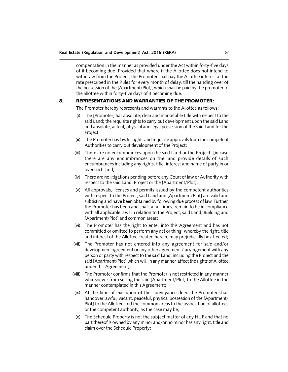compensation in the manner as provided under the Act within forty-five days of it becoming due. Provided that where if the Allottee does not intend to withdraw from the Project, the Promoter shall pay the Allottee interest at the rate prescribed in the Rules for every month of delay, till the handing over of the possession of the [Apartment/Plot], which shall be paid by the promoter to the allottee within forty-five days of it becoming due.

## 8. REPRESENTATIONS AND WARRANTIES OF THE PROMOTER:

The Promoter hereby represents and warrants to the Allottee as follows:

- (i) The [Promoter] has absolute, clear and marketable title with respect to the said Land; the requisite rights to carry out development upon the said Land and absolute, actual, physical and legal possession of the said Land for the Project;
- (ii) The Promoter has lawful rights and requisite approvals from the competent Authorities to carry out development of the Project;
- (iii) There are no encumbrances upon the said Land or the Project; [in case there are any encumbrances on the land provide details of such encumbrances including any rights, title, interest and name of party in or over such land]
- (iv) There are no litigations pending before any Court of law or Authority with respect to the said Land, Project or the [Apartment/Plot];
- (v) All approvals, licenses and permits issued by the competent authorities with respect to the Project, said Land and [Apartment/Plot] are valid and subsisting and have been obtained by following due process of law. Further, the Promoter has been and shall, at all times, remain to be in compliance with all applicable laws in relation to the Project, said Land, Building and [Apartment/Plot] and common areas;
- (vi) The Promoter has the right to enter into this Agreement and has not committed or omitted to perform any act or thing, whereby the right, title and interest of the Allottee created herein, may prejudicially be affected;
- (vii) The Promoter has not entered into any agreement for sale and/or development agreement or any other agreement / arrangement with any person or party with respect to the said Land, including the Project and the said [Apartment/Plot] which will, in any manner, affect the rights of Allottee under this Agreement;
- (viii) The Promoter confirms that the Promoter is not restricted in any manner whatsoever from selling the said [Apartment/Plot] to the Allottee in the manner contemplated in this Agreement;
- (ix) At the time of execution of the conveyance deed the Promoter shall handover lawful, vacant, peaceful, physical possession of the [Apartment/ Plot] to the Allottee and the common areas to the association of allottees or the competent authority, as the case may be;
- (x) The Schedule Property is not the subject matter of any HUF and that no part thereof is owned by any minor and/or no minor has any right, title and claim over the Schedule Property;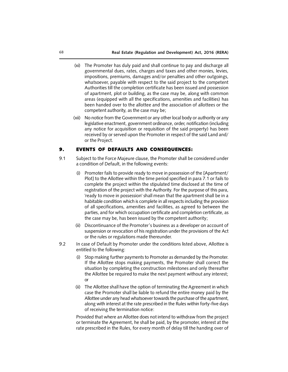- (xi) The Promoter has duly paid and shall continue to pay and discharge all governmental dues, rates, charges and taxes and other monies, levies, impositions, premiums, damages and/or penalties and other outgoings, whatsoever, payable with respect to the said project to the competent Authorities till the completion certificate has been issued and possession of apartment, plot or building, as the case may be, along with common areas (equipped with all the specifications, amenities and facilities) has been handed over to the allottee and the association of allottees or the competent authority, as the case may be;
- (xii) No notice from the Government or any other local body or authority or any legislative enactment, government ordinance, order, notification (including any notice for acquisition or requisition of the said property) has been received by or served upon the Promoter in respect of the said Land and/ or the Project.

## **9. EVENTS OF DEFAULTS AND CONSEQUENCES:**

- 9.1 Subject to the Force Majeure clause, the Promoter shall be considered under a condition of Default, in the following events:
	- (i) Promoter fails to provide ready to move in possession of the [Apartment/ Plot] to the Allottee within the time period specified in para 7.1 or fails to complete the project within the stipulated time disclosed at the time of registration of the project with the Authority. For the purpose of this para, 'ready to move in possession' shall mean that the apartment shall be in a habitable condition which is complete in all respects including the provision of all specifications, amenities and facilities, as agreed to between the parties, and for which occupation certificate and completion certificate, as the case may be, has been issued by the competent authority;
	- (ii) Discontinuance of the Promoter's business as a developer on account of suspension or revocation of his registration under the provisions of the Act or the rules or regulations made thereunder.
- 9.2 In case of Default by Promoter under the conditions listed above, Allottee is entitled to the following:
	- (i) Stop making further payments to Promoter as demanded by the Promoter. If the Allottee stops making payments, the Promoter shall correct the situation by completing the construction milestones and only thereafter the Allottee be required to make the next payment without any interest; or
	- (ii) The Allottee shall have the option of terminating the Agreement in which case the Promoter shall be liable to refund the entire money paid by the Allottee under any head whatsoever towards the purchase of the apartment, along with interest at the rate prescribed in the Rules within forty-five days of receiving the termination notice:

Provided that where an Allottee does not intend to withdraw from the project or terminate the Agreement, he shall be paid, by the promoter, interest at the rate prescribed in the Rules, for every month of delay till the handing over of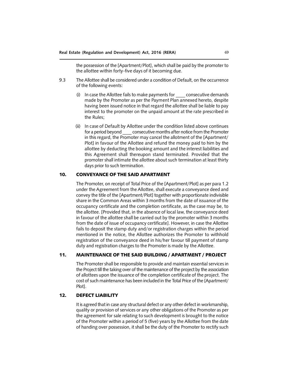the possession of the [Apartment/Plot], which shall be paid by the promoter to the allottee within forty-five days of it becoming due.

- 9.3 The Allottee shall be considered under a condition of Default, on the occurrence of the following events:
	- (i) In case the Allottee fails to make payments for \_\_\_\_ consecutive demands made by the Promoter as per the Payment Plan annexed hereto, despite having been issued notice in that regard the allottee shall be liable to pay interest to the promoter on the unpaid amount at the rate prescribed in the Rules;
	- (ii) In case of Default by Allottee under the condition listed above continues for a period beyond consecutive months after notice from the Promoter in this regard, the Promoter may cancel the allotment of the [Apartment/ Plot] in favour of the Allottee and refund the money paid to him by the allottee by deducting the booking amount and the interest liabilities and this Agreement shall thereupon stand terminated. Provided that the promoter shall intimate the allottee about such termination at least thirty days prior to such termination.

## 10. CONVEYANCE OF THE SAID APARTMENT

The Promoter, on receipt of Total Price of the [Apartment/Plot] as per para 1.2 under the Agreement from the Allottee, shall execute a conveyance deed and convey the title of the [Apartment/Plot] together with proportionate indivisible share in the Common Areas within 3 months from the date of issuance of the occupancy certificate and the completion certificate, as the case may be, to the allottee. [Provided that, in the absence of local law, the conveyance deed in favour of the allottee shall be carried out by the promoter within 3 months from the date of issue of occupancy certificate]. However, in case the Allottee fails to deposit the stamp duty and/or registration charges within the period mentioned in the notice, the Allottee authorizes the Promoter to withhold registration of the conveyance deed in his/her favour till payment of stamp duty and registration charges to the Promoter is made by the Allottee.

## 11. MAINTENANCE OF THE SAID BUILDING / APARTMENT / PROJECT

The Promoter shall be responsible to provide and maintain essential services in the Project till the taking over of the maintenance of the project by the association of allottees upon the issuance of the completion certificate of the project. The cost of such maintenance has been included in the Total Price of the [Apartment/ Plot].

## 12. DEFECT LIABILITY

It is agreed that in case any structural defect or any other defect in workmanship, quality or provision of services or any other obligations of the Promoter as per the agreement for sale relating to such development is brought to the notice of the Promoter within a period of 5 (five) years by the Allottee from the date of handing over possession, it shall be the duty of the Promoter to rectify such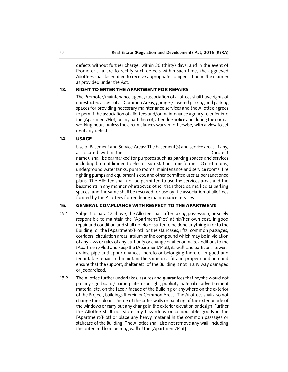defects without further charge, within 30 (thirty) days, and in the event of Promoter's failure to rectify such defects within such time, the aggrieved Allottees shall be entitled to receive appropriate compensation in the manner as provided under the Act.

## 13. RIGHT TO ENTER THE APARTMENT FOR REPAIRS

The Promoter/maintenance agency/association of allottees shall have rights of unrestricted access of all Common Areas, garages/covered parking and parking spaces for providing necessary maintenance services and the Allottee agrees to permit the association of allottees and/or maintenance agency to enter into the [Apartment/Plot] or any part thereof, after due notice and during the normal working hours, unless the circumstances warrant otherwise, with a view to set right any defect.

#### 14. USAGE

Use of Basement and Service Areas: The basement(s) and service areas, if any, as located within the example of the set of the set of the set of the set of the set of the set of the set of th name), shall be earmarked for purposes such as parking spaces and services including but not limited to electric sub-station, transformer, DG set rooms, underground water tanks, pump rooms, maintenance and service rooms, fire fighting pumps and equipment's etc. and other permitted uses as per sanctioned plans. The Allottee shall not be permitted to use the services areas and the basements in any manner whatsoever, other than those earmarked as parking spaces, and the same shall be reserved for use by the association of allottees formed by the Allottees for rendering maintenance services.

## 15. GENERAL COMPLIANCE WITH RESPECT TO THE APARTMENT:

- 15.1 Subject to para 12 above, the Allottee shall, after taking possession, be solely responsible to maintain the [Apartment/Plot] at his/her own cost, in good repair and condition and shall not do or suffer to be done anything in or to the Building, or the [Apartment/Plot], or the staircases, lifts, common passages, corridors, circulation areas, atrium or the compound which may be in violation of any laws or rules of any authority or change or alter or make additions to the [Apartment/Plot] and keep the [Apartment/Plot], its walls and partitions, sewers, drains, pipe and appurtenances thereto or belonging thereto, in good and tenantable repair and maintain the same in a fit and proper condition and ensure that the support, shelter etc. of the Building is not in any way damaged or jeopardized.
- 15.2 The Allottee further undertakes, assures and guarantees that he/she would not put any sign-board / name-plate, neon light, publicity material or advertisement material etc. on the face / facade of the Building or anywhere on the exterior of the Project, buildings therein or Common Areas. The Allottees shall also not change the colour scheme of the outer walls or painting of the exterior side of the windows or carry out any change in the exterior elevation or design. Further the Allottee shall not store any hazardous or combustible goods in the [Apartment/Plot] or place any heavy material in the common passages or staircase of the Building. The Allottee shall also not remove any wall, including the outer and load bearing wall of the [Apartment/Plot].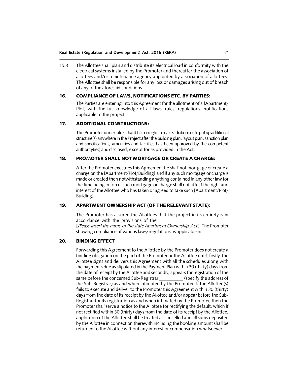15.3 The Allottee shall plan and distribute its electrical load in conformity with the electrical systems installed by the Promoter and thereafter the association of allottees and/or maintenance agency appointed by association of allottees. The Allottee shall be responsible for any loss or damages arising out of breach of any of the aforesaid conditions.

# 16. COMPLIANCE OF LAWS, NOTIFICATIONS ETC. BY PARTIES:

The Parties are entering into this Agreement for the allotment of a [Apartment/ Plot] with the full knowledge of all laws, rules, regulations, notifications applicable to the project.

# 17. ADDITIONAL CONSTRUCTIONS:

The Promoter undertakes that it has no right to make additions or to put up additional structure(s) anywhere in the Project after the building plan, layout plan, sanction plan and specifications, amenities and facilities has been approved by the competent authority(ies) and disclosed, except for as provided in the Act.

# 18. PROMOTER SHALL NOT MORTGAGE OR CREATE A CHARGE:

After the Promoter executes this Agreement he shall not mortgage or create a charge on the [Apartment/Plot/Building] and if any such mortgage or charge is made or created then notwithstanding anything contained in any other law for the time being in force, such mortgage or charge shall not affect the right and interest of the Allottee who has taken or agreed to take such [Apartment/Plot/ Building].

# 19. APARTMENT OWNERSHIP ACT (OF THE RELEVANT STATE):

The Promoter has assured the Allottees that the project in its entirety is in accordance with the provisions of the

[*Please insert the name of the state Apartment Ownership Act* ]. The Promoter showing compliance of various laws/regulations as applicable in\_\_\_\_\_\_\_\_\_\_\_.

# 20. BINDING EFFECT

Forwarding this Agreement to the Allottee by the Promoter does not create a binding obligation on the part of the Promoter or the Allottee until, firstly, the Allottee signs and delivers this Agreement with all the schedules along with the payments due as stipulated in the Payment Plan within 30 (thirty) days from the date of receipt by the Allottee and secondly, appears for registration of the same before the concerned Sub-Registrar (specify the address of the Sub-Registrar) as and when intimated by the Promoter. If the Allottee(s) fails to execute and deliver to the Promoter this Agreement within 30 (thirty) days from the date of its receipt by the Allottee and/or appear before the Sub-Registrar for its registration as and when intimated by the Promoter, then the Promoter shall serve a notice to the Allottee for rectifying the default, which if not rectified within 30 (thirty) days from the date of its receipt by the Allottee, application of the Allottee shall be treated as cancelled and all sums deposited by the Allottee in connection therewith including the booking amount shall be returned to the Allottee without any interest or compensation whatsoever.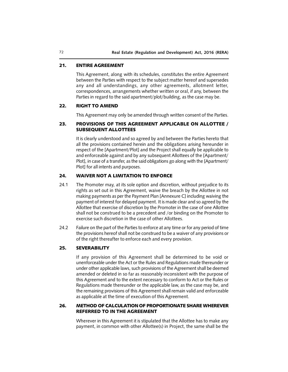# 21. ENTIRE AGREEMENT

This Agreement, along with its schedules, constitutes the entire Agreement between the Parties with respect to the subject matter hereof and supersedes any and all understandings, any other agreements, allotment letter, correspondences, arrangements whether written or oral, if any, between the Parties in regard to the said apartment/plot/building, as the case may be.

# 22. RIGHT TO AMEND

This Agreement may only be amended through written consent of the Parties.

# 23. PROVISIONS OF THIS AGREEMENT APPLICABLE ON ALLOTTEE / SUBSEQUENT ALLOTTEES

It is clearly understood and so agreed by and between the Parties hereto that all the provisions contained herein and the obligations arising hereunder in respect of the [Apartment/Plot] and the Project shall equally be applicable to and enforceable against and by any subsequent Allottees of the [Apartment/ Plot], in case of a transfer, as the said obligations go along with the [Apartment/ Plot] for all intents and purposes.

# 24. WAIVER NOT A LIMITATION TO ENFORCE

- 24.1 The Promoter may, at its sole option and discretion, without prejudice to its rights as set out in this Agreement, waive the breach by the Allottee in not making payments as per the Payment Plan [Annexure C] including waiving the payment of interest for delayed payment. It is made clear and so agreed by the Allottee that exercise of discretion by the Promoter in the case of one Allottee shall not be construed to be a precedent and /or binding on the Promoter to exercise such discretion in the case of other Allottees.
- 24.2 Failure on the part of the Parties to enforce at any time or for any period of time the provisions hereof shall not be construed to be a waiver of any provisions or of the right thereafter to enforce each and every provision.

# 25. SEVERABILITY

If any provision of this Agreement shall be determined to be void or unenforceable under the Act or the Rules and Regulations made thereunder or under other applicable laws, such provisions of the Agreement shall be deemed amended or deleted in so far as reasonably inconsistent with the purpose of this Agreement and to the extent necessary to conform to Act or the Rules or Regulations made thereunder or the applicable law, as the case may be, and the remaining provisions of this Agreement shall remain valid and enforceable as applicable at the time of execution of this Agreement.

# 26. METHOD OF CALCULATION OF PROPORTIONATE SHARE WHEREVER REFERRED TO IN THE AGREEMENT

Wherever in this Agreement it is stipulated that the Allottee has to make any payment, in common with other Allottee(s) in Project, the same shall be the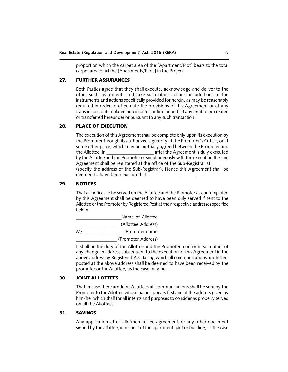proportion which the carpet area of the [Apartment/Plot] bears to the total carpet area of all the [Apartments/Plots] in the Project.

# 27. FURTHER ASSURANCES

Both Parties agree that they shall execute, acknowledge and deliver to the other such instruments and take such other actions, in additions to the instruments and actions specifically provided for herein, as may be reasonably required in order to effectuate the provisions of this Agreement or of any transaction contemplated herein or to confirm or perfect any right to be created or transferred hereunder or pursuant to any such transaction.

#### 28. PLACE OF EXECUTION

The execution of this Agreement shall be complete only upon its execution by the Promoter through its authorized signatory at the Promoter's Office, or at some other place, which may be mutually agreed between the Promoter and the Allottee, in **the Allottee**, in the Agreement is duly executed by the Allottee and the Promoter or simultaneously with the execution the said Agreement shall be registered at the office of the Sub-Registrar at (specify the address of the Sub-Registrar). Hence this Agreement shall be deemed to have been executed at

#### 29. NOTICES

That all notices to be served on the Allottee and the Promoter as contemplated by this Agreement shall be deemed to have been duly served if sent to the Allottee or the Promoter by Registered Post at their respective addresses specified below:

|     | Name of Allottee   |
|-----|--------------------|
|     | (Allottee Address) |
| M/s | Promoter name      |

\_\_\_\_\_\_\_\_\_\_\_\_\_\_\_\_\_ (Promoter Address)

It shall be the duty of the Allottee and the Promoter to inform each other of any change in address subsequent to the execution of this Agreement in the above address by Registered Post failing which all communications and letters posted at the above address shall be deemed to have been received by the promoter or the Allottee, as the case may be.

## 30. JOINT ALLOTTEES

That in case there are Joint Allottees all communications shall be sent by the Promoter to the Allottee whose name appears first and at the address given by him/her which shall for all intents and purposes to consider as properly served on all the Allottees.

# 31. SAVINGS

Any application letter, allotment letter, agreement, or any other document signed by the allottee, in respect of the apartment, plot or building, as the case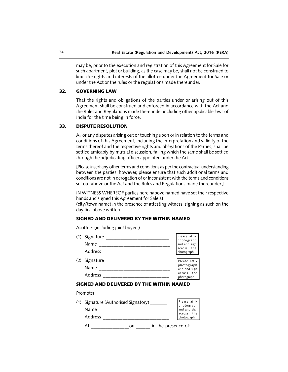may be, prior to the execution and registration of this Agreement for Sale for such apartment, plot or building, as the case may be, shall not be construed to limit the rights and interests of the allottee under the Agreement for Sale or under the Act or the rules or the regulations made thereunder.

# 32. GOVERNING LAW

That the rights and obligations of the parties under or arising out of this Agreement shall be construed and enforced in accordance with the Act and the Rules and Regulations made thereunder including other applicable laws of India for the time being in force.

#### 33. DISPUTE RESOLUTION

All or any disputes arising out or touching upon or in relation to the terms and conditions of this Agreement, including the interpretation and validity of the terms thereof and the respective rights and obligations of the Parties, shall be settled amicably by mutual discussion, failing which the same shall be settled through the adjudicating officer appointed under the Act.

[Please insert any other terms and conditions as per the contractual understanding between the parties, however, please ensure that such additional terms and conditions are not in derogation of or inconsistent with the terms and conditions set out above or the Act and the Rules and Regulations made thereunder.]

IN WITNESS WHEREOF parties hereinabove named have set their respective hands and signed this Agreement for Sale at

(city/town name) in the presence of attesting witness, signing as such on the day first above written.

#### SIGNED AND DELIVERED BY THE WITHIN NAMED

Allottee: (including joint buyers)

| (1) | Signature<br>Name<br>Address | Please affix<br>photograph<br>and and sign<br>across the<br>photograph |
|-----|------------------------------|------------------------------------------------------------------------|
| (2) | Signature<br>Name<br>Address | Please affix<br>photograph<br>and and sign<br>across the<br>photograph |

#### SIGNED AND DELIVERED BY THE WITHIN NAMED

Promoter:

| (1) Signature (Authorised Signatory) |                                                                        |
|--------------------------------------|------------------------------------------------------------------------|
| <b>Name</b>                          | Please affix<br>photograph<br>and and sign<br>across the<br>photograph |
| <b>Address</b>                       |                                                                        |
|                                      |                                                                        |

At \_\_\_\_\_\_\_\_\_\_\_\_\_\_\_\_on \_\_\_\_\_\_ in the presence of: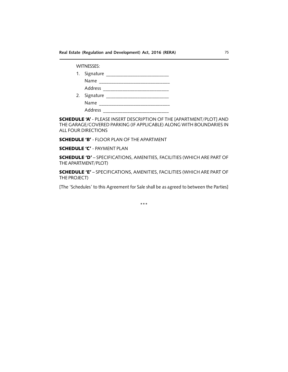**Real Estate (Regulation and Development) Act, 2016 (RERA)** 75

WITNESSES:

|    | 1. Signature |  |
|----|--------------|--|
|    | Name         |  |
|    | Address      |  |
| 2. | Signature    |  |
|    | Name         |  |
|    | Address      |  |

SCHEDULE 'A' - PLEASE INSERT DESCRIPTION OF THE [APARTMENT/PLOT] AND THE GARAGE/COVERED PARKING (IF APPLICABLE) ALONG WITH BOUNDARIES IN ALL FOUR DIRECTIONS

SCHEDULE 'B' - FLOOR PLAN OF THE APARTMENT

SCHEDULE 'C' - PAYMENT PLAN

SCHEDULE 'D' – SPECIFICATIONS, AMENITIES, FACILITIES (WHICH ARE PART OF THE APARTMENT/PLOT)

SCHEDULE 'E' – SPECIFICATIONS, AMENITIES, FACILITIES (WHICH ARE PART OF THE PROJECT)

[The 'Schedules' to this Agreement for Sale shall be as agreed to between the Parties]

\*\*\*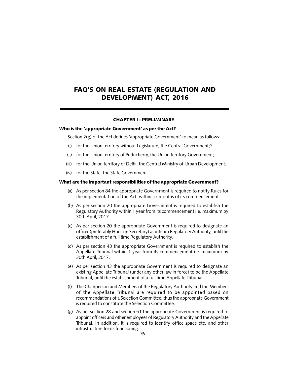# FAQ'S ON REAL ESTATE (REGULATION AND DEVELOPMENT) ACT, 2016

#### CHAPTER I - PRELIMINARY

#### Who is the 'appropriate Government' as per the Act?

Section 2(g) of the Act defines 'appropriate Government' to mean as follows:

- (i) for the Union territory without Legislature, the Central Government;?
- (ii) for the Union territory of Puducherry, the Union territory Government;
- (iii) for the Union territory of Delhi, the Central Ministry of Urban Development;
- (iv) for the State, the State Government.

#### What are the important responsibilities of the appropriate Government?

- (a) As per section 84 the appropriate Government is required to notify Rules for the implementation of the Act, within six months of its commencement.
- (b) As per section 20 the appropriate Government is required to establish the Regulatory Authority within 1 year from its commencement i.e. maximum by 30th April, 2017.
- (c) As per section 20 the appropriate Government is required to designate an officer (preferably Housing Secretary) as interim Regulatory Authority, until the establishment of a full time Regulatory Authority.
- (d) As per section 43 the appropriate Government is required to establish the Appellate Tribunal within 1 year from its commencement i.e. maximum by 30th April, 2017.
- (e) As per section 43 the appropriate Government is required to designate an existing Appellate Tribunal (under any other law in force) to be the Appellate Tribunal, until the establishment of a full time Appellate Tribunal.
- (f) The Chairperson and Members of the Regulatory Authority and the Members of the Appellate Tribunal are required to be appointed based on recommendations of a Selection Committee, thus the appropriate Government is required to constitute the Selection Committee.
- (g) As per section 28 and section 51 the appropriate Government is required to appoint officers and other employees of Regulatory Authority and the Appellate Tribunal. In addition, it is required to identify office space etc. and other infrastructure for its functioning.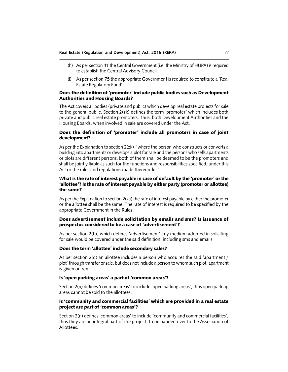- (h) As per section 41 the Central Government (i.e. the Ministry of HUPA) is required to establish the Central Advisory Council.
- (i) As per section 75 the appropriate Government is required to constitute a 'Real Estate Regulatory Fund'.

# Does the definition of 'promoter' include public bodies such as Development Authorities and Housing Boards?

The Act covers all bodies (private and public) which develop real estate projects for sale to the general public. Section 2(zk) defines the term 'promoter' which includes both private and public real estate promoters. Thus, both Development Authorities and the Housing Boards, when involved in sale are covered under the Act.

# Does the definition of 'promoter' include all promoters in case of joint development?

As per the Explanation to section 2(zk) "where the person who constructs or converts a building into apartments or develops a plot for sale and the persons who sells apartments or plots are different persons, both of them shall be deemed to be the promoters and shall be jointly liable as such for the functions and responsibilities specified, under this Act or the rules and regulations made thereunder".

# What is the rate of interest payable in case of default by the 'promoter' or the 'allottee'? Is the rate of interest payable by either party (promoter or allottee) the same?

As per the Explanation to section 2(za) the rate of interest payable by either the promoter or the allottee shall be the same. The rate of interest is required to be specified by the appropriate Government in the Rules.

# Does advertisement include solicitation by emails and sms? Is issuance of prospectus considered to be a case of 'advertisement'?

As per section 2(b), which defines 'advertisement' any medium adopted in soliciting for sale would be covered under the said definition, including sms and emails.

#### Does the term 'allottee' include secondary sales?

As per section 2(d) an allottee includes a person who acquires the said 'apartment / plot' through transfer or sale, but does not include a person to whom such plot, apartment is given on rent.

#### Is 'open parking areas' a part of 'common areas'?

Section 2(n) defines 'common areas' to include 'open parking areas', thus open parking areas cannot be sold to the allottees.

#### Is 'community and commercial facilities' which are provided in a real estate project are part of 'common areas'?

Section 2(n) defines 'common areas' to include 'community and commercial facilities', thus they are an integral part of the project, to be handed over to the Association of Allottees.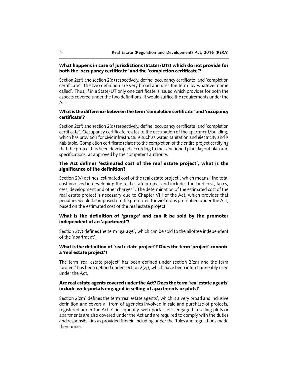#### What happens in case of jurisdictions (States/UTs) which do not provide for both the 'occupancy certificate' and the 'completion certificate'?

Section 2(zf) and section 2(q) respectively, define 'occupancy certificate' and 'completion certificate'. The two definition are very broad and uses the term 'by whatever name called'. Thus, if in a State/UT only one certificate is issued which provides for both the aspects covered under the two definitions, it would suffice the requirements under the Act.

#### What is the difference between the term 'completion certificate' and 'occupancy certificate'?

Section 2(zf) and section 2(q) respectively, define 'occupancy certificate' and 'completion certificate'. Occupancy certificate relates to the occupation of the apartment/building, which has provision for civic infrastructure such as water, sanitation and electricity and is habitable. Completion certificate relates to the completion of the entire project certifying that the project has been developed according to the sanctioned plan, layout plan and specifications, as approved by the competent authority.

## The Act defines 'estimated cost of the real estate project', what is the significance of the definition?

Section 2(v) defines 'estimated cost of the real estate project', which means "the total cost involved in developing the real estate project and includes the land cost, taxes, cess, development and other charges". The determination of the estimated cost of the real estate project is necessary due to Chapter VIII of the Act, which provides that penalties would be imposed on the promoter, for violations prescribed under the Act, based on the estimated cost of the real estate project.

# What is the definition of 'garage' and can it be sold by the promoter independent of an 'apartment'?

Section 2(y) defines the term 'garage', which can be sold to the allottee independent of the 'apartment'.

#### What is the definition of 'real estate project'? Does the term 'project' connote a 'real estate project'?

The term 'real estate project' has been defined under section 2(zn) and the term 'project' has been defined under section 2(zj), which have been interchangeably used under the Act.

#### Are real estate agents covered under the Act? Does the term 'real estate agents' include web-portals engaged in selling of apartments or plots?

Section 2(zm) defines the term 'real estate agents', which is a very broad and inclusive definition and covers all from of agencies involved in sale and purchase of projects, registered under the Act. Consequently, web-portals etc. engaged in selling plots or apartments are also covered under the Act and are required to comply with the duties and responsibilities as provided therein including under the Rules and regulations made thereunder.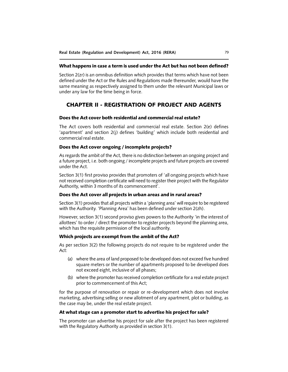#### What happens in case a term is used under the Act but has not been defined?

Section 2(zr) is an omnibus definition which provides that terms which have not been defined under the Act or the Rules and Regulations made thereunder, would have the same meaning as respectively assigned to them under the relevant Municipal laws or under any law for the time being in force.

# CHAPTER II - REGISTRATION OF PROJECT AND AGENTS

#### Does the Act cover both residential and commercial real estate?

The Act covers both residential and commercial real estate. Section 2(e) defines 'apartment' and section 2(j) defines 'building' which include both residential and commercial real estate.

#### Does the Act cover ongoing / incomplete projects?

As regards the ambit of the Act, there is no distinction between an ongoing project and a future project, i.e. both ongoing / incomplete projects and future projects are covered under the Act.

Section 3(1) first proviso provides that promoters of 'all ongoing projects which have not received completion certificate will need to register their project with the Regulator Authority, within 3 months of its commencement'.

#### Does the Act cover all projects in urban areas and in rural areas?

Section 3(1) provides that all projects within a 'planning area' will require to be registered with the Authority. 'Planning Area' has been defined under section 2(zh).

However, section 3(1) second proviso gives powers to the Authority 'in the interest of allottees' to order / direct the promoter to register projects beyond the planning area, which has the requisite permission of the local authority.

#### Which projects are exempt from the ambit of the Act?

As per section 3(2) the following projects do not require to be registered under the Act:

- (a) where the area of land proposed to be developed does not exceed five hundred square meters or the number of apartments proposed to be developed does not exceed eight, inclusive of all phases;
- (b) where the promoter has received completion certificate for a real estate project prior to commencement of this Act;

for the purpose of renovation or repair or re-development which does not involve marketing, advertising selling or new allotment of any apartment, plot or building, as the case may be, under the real estate project.

#### At what stage can a promoter start to advertise his project for sale?

The promoter can advertise his project for sale after the project has been registered with the Regulatory Authority as provided in section 3(1).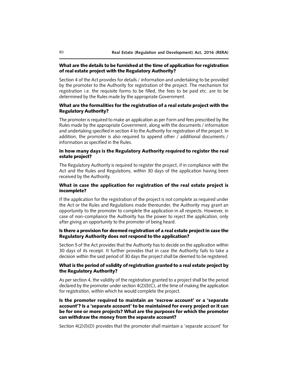#### What are the details to be furnished at the time of application for registration of real estate project with the Regulatory Authority?

Section 4 of the Act provides for details / information and undertaking to be provided by the promoter to the Authority for registration of the project. The mechanism for registration i.e. the requisite forms to be filled, the fees to be paid etc. are to be determined by the Rules made by the appropriate Government.

# What are the formalities for the registration of a real estate project with the Regulatory Authority?

The promoter is required to make an application as per Form and fees prescribed by the Rules made by the appropriate Government, along with the documents / information and undertaking specified in section 4 to the Authority for registration of the project. In addition, the promoter is also required to append other / additional documents / information as specified in the Rules.

#### In how many days is the Regulatory Authority required to register the real estate project?

The Regulatory Authority is required to register the project, if in compliance with the Act and the Rules and Regulations, within 30 days of the application having been received by the Authority.

#### What in case the application for registration of the real estate project is incomplete?

If the application for the registration of the project is not complete as required under the Act or the Rules and Regulations made thereunder, the Authority may grant an opportunity to the promoter to complete the application in all respects. However, in case of non-compliance the Authority has the power to reject the application, only after giving an opportunity to the promoter of being heard.

# Is there a provision for deemed registration of a real estate project in case the Regulatory Authority does not respond to the application?

Section 5 of the Act provides that the Authority has to decide on the application within 30 days of its receipt. It further provides that in case the Authority fails to take a decision within the said period of 30 days the project shall be deemed to be registered.

## What is the period of validity of registration granted to a real estate project by the Regulatory Authority?

As per section 4, the validity of the registration granted to a project shall be the period declared by the promoter under section  $4(2)(I)(C)$ , at the time of making the application for registration, within which he would complete the project.

# Is the promoter required to maintain an 'escrow account' or a 'separate account'? Is a 'separate account' to be maintained for every project or it can be for one or more projects? What are the purposes for which the promoter can withdraw the money from the separate account?

Section 4(2)(l)(D) provides that the promoter shall maintain a 'separate account' for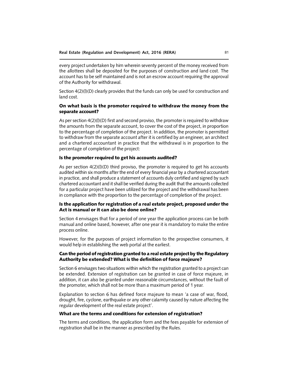every project undertaken by him wherein seventy percent of the money received from the allottees shall be deposited for the purposes of construction and land cost. The account has to be self maintained and is not an escrow account requiring the approval of the Authority for withdrawal.

Section 4(2)(l)(D) clearly provides that the funds can only be used for construction and land cost.

# On what basis is the promoter required to withdraw the money from the separate account?

As per section  $4(2)(I)(D)$  first and second proviso, the promoter is required to withdraw the amounts from the separate account, to cover the cost of the project, in proportion to the percentage of completion of the project. In addition, the promoter is permitted to withdraw from the separate account after it is certified by an engineer, an architect and a chartered accountant in practice that the withdrawal is in proportion to the percentage of completion of the project:

#### Is the promoter required to get his accounts audited?

As per section  $4(2)(I)(D)$  third proviso, the promoter is required to get his accounts audited within six months after the end of every financial year by a chartered accountant in practice, and shall produce a statement of accounts duly certified and signed by such chartered accountant and it shall be verified during the audit that the amounts collected for a particular project have been utilized for the project and the withdrawal has been in compliance with the proportion to the percentage of completion of the project.

# Is the application for registration of a real estate project, proposed under the Act is manual or it can also be done online?

Section 4 envisages that for a period of one year the application process can be both manual and online based, however, after one year it is mandatory to make the entire process online.

However, for the purposes of project information to the prospective consumers, it would help in establishing the web portal at the earliest.

## Can the period of registration granted to a real estate project by the Regulatory Authority be extended? What is the definition of force majeure?

Section 6 envisages two situations within which the registration granted to a project can be extended. Extension of registration can be granted in case of force majeure, in addition, it can also be granted under reasonable circumstances, without the fault of the promoter, which shall not be more than a maximum period of 1 year.

Explanation to section 6 has defined force majeure to mean 'a case of war, flood, drought, fire, cyclone, earthquake or any other calamity caused by nature affecting the regular development of the real estate project'.

#### What are the terms and conditions for extension of registration?

The terms and conditions, the application form and the fees payable for extension of registration shall be in the manner as prescribed by the Rules.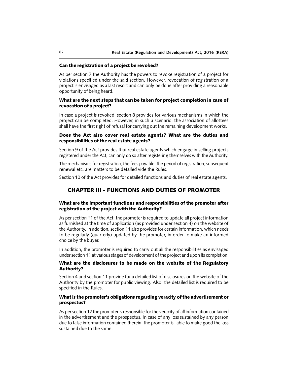#### Can the registration of a project be revoked?

As per section 7 the Authority has the powers to revoke registration of a project for violations specified under the said section. However, revocation of registration of a project is envisaged as a last resort and can only be done after providing a reasonable opportunity of being heard.

## What are the next steps that can be taken for project completion in case of revocation of a project?

In case a project is revoked, section 8 provides for various mechanisms in which the project can be completed. However, in such a scenario, the association of allottees shall have the first right of refusal for carrying out the remaining development works.

# Does the Act also cover real estate agents? What are the duties and responsibilities of the real estate agents?

Section 9 of the Act provides that real estate agents which engage in selling projects registered under the Act, can only do so after registering themselves with the Authority.

The mechanisms for registration, the fees payable, the period of registration, subsequent renewal etc. are matters to be detailed vide the Rules.

Section 10 of the Act provides for detailed functions and duties of real estate agents.

# CHAPTER III - FUNCTIONS AND DUTIES OF PROMOTER

#### What are the important functions and responsibilities of the promoter after registration of the project with the Authority?

As per section 11 of the Act, the promoter is required to update all project information as furnished at the time of application (as provided under section 4) on the website of the Authority. In addition, section 11 also provides for certain information, which needs to be regularly (quarterly) updated by the promoter, in order to make an informed choice by the buyer.

In addition, the promoter is required to carry out all the responsibilities as envisaged under section 11 at various stages of development of the project and upon its completion.

# What are the disclosures to be made on the website of the Regulatory Authority?

Section 4 and section 11 provide for a detailed list of disclosures on the website of the Authority by the promoter for public viewing. Also, the detailed list is required to be specified in the Rules.

### What is the promoter's obligations regarding veracity of the advertisement or prospectus?

As per section 12 the promoter is responsible for the veracity of all information contained in the advertisement and the prospectus. In case of any loss sustained by any person due to false information contained therein, the promoter is liable to make good the loss sustained due to the same.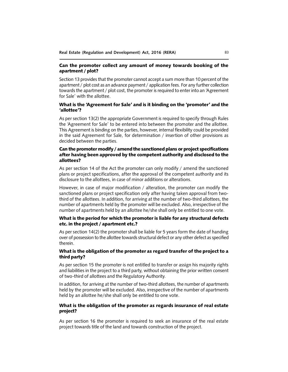#### Can the promoter collect any amount of money towards booking of the apartment / plot?

Section 13 provides that the promoter cannot accept a sum more than 10 percent of the apartment / plot cost as an advance payment / application fees. For any further collection towards the apartment / plot cost, the promoter is required to enter into an 'Agreement for Sale' with the allottee.

#### What is the 'Agreement for Sale' and is it binding on the 'promoter' and the 'allottee'?

As per section 13(2) the appropriate Government is required to specify through Rules the 'Agreement for Sale' to be entered into between the promoter and the allottee. This Agreement is binding on the parties, however, internal flexibility could be provided in the said Agreement for Sale, for determination / insertion of other provisions as decided between the parties.

# Can the promoter modify / amend the sanctioned plans or project specifications after having been approved by the competent authority and disclosed to the allottees?

As per section 14 of the Act the promoter can only modify / amend the sanctioned plans or project specifications, after the approval of the competent authority and its disclosure to the allottees, in case of minor additions or alterations.

However, in case of major modification / alteration, the promoter can modify the sanctioned plans or project specification only after having taken approval from twothird of the allottees. In addition, for arriving at the number of two-third allottees, the number of apartments held by the promoter will be excluded. Also, irrespective of the number of apartments held by an allottee he/she shall only be entitled to one vote.

## What is the period for which the promoter is liable for any structural defects etc. in the project / apartment etc.?

As per section 14(2) the promoter shall be liable for 5 years form the date of handing over of possession to the allottee towards structural defect or any other defect as specified therein.

#### What is the obligation of the promoter as regard transfer of the project to a third party?

As per section 15 the promoter is not entitled to transfer or assign his majority rights and liabilities in the project to a third party, without obtaining the prior written consent of two-third of allottees and the Regulatory Authority.

In addition, for arriving at the number of two-third allottees, the number of apartments held by the promoter will be excluded. Also, irrespective of the number of apartments held by an allottee he/she shall only be entitled to one vote.

# What is the obligation of the promoter as regards insurance of real estate project?

As per section 16 the promoter is required to seek an insurance of the real estate project towards title of the land and towards construction of the project.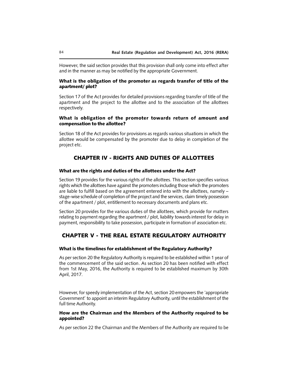However, the said section provides that this provision shall only come into effect after and in the manner as may be notified by the appropriate Government.

## What is the obligation of the promoter as regards transfer of title of the apartment/ plot?

Section 17 of the Act provides for detailed provisions regarding transfer of title of the apartment and the project to the allottee and to the association of the allottees respectively.

#### What is obligation of the promoter towards return of amount and compensation to the allottee?

Section 18 of the Act provides for provisions as regards various situations in which the allottee would be compensated by the promoter due to delay in completion of the project etc.

# CHAPTER IV - RIGHTS AND DUTIES OF ALLOTTEES

#### What are the rights and duties of the allottees under the Act?

Section 19 provides for the various rights of the allottees. This section specifies various rights which the allottees have against the promoters including those which the promoters are liable to fulfill based on the agreement entered into with the allottees, namely – stage-wise schedule of completion of the project and the services, claim timely possession of the apartment / plot, entitlement to necessary documents and plans etc.

Section 20 provides for the various duties of the allottees, which provide for matters relating to payment regarding the apartment / plot, liability towards interest for delay in payment, responsibility to take possession, participate in formation of association etc.

# CHAPTER V - THE REAL ESTATE REGULATORY AUTHORITY

#### What is the timelines for establishment of the Regulatory Authority?

As per section 20 the Regulatory Authority is required to be established within 1 year of the commencement of the said section. As section 20 has been notified with effect from 1st May, 2016, the Authority is required to be established maximum by 30th April, 2017.

However, for speedy implementation of the Act, section 20 empowers the 'appropriate Government' to appoint an interim Regulatory Authority, until the establishment of the full time Authority.

#### How are the Chairman and the Members of the Authority required to be appointed?

As per section 22 the Chairman and the Members of the Authority are required to be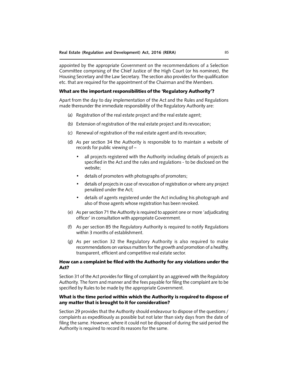appointed by the appropriate Government on the recommendations of a Selection Committee comprising of the Chief Justice of the High Court (or his nominee), the Housing Secretary and the Law Secretary. The section also provides for the qualification etc. that are required for the appointment of the Chairman and the Members.

#### What are the important responsibilities of the 'Regulatory Authority'?

Apart from the day to day implementation of the Act and the Rules and Regulations made thereunder the immediate responsibility of the Regulatory Authority are:

- (a) Registration of the real estate project and the real estate agent;
- (b) Extension of registration of the real estate project and its revocation;
- (c) Renewal of registration of the real estate agent and its revocation;
- (d) As per section 34 the Authority is responsible to to maintain a website of records for public viewing of –
	- all projects registered with the Authority including details of projects as specified in the Act and the rules and regulations - to be disclosed on the website;
	- details of promoters with photographs of promoters;
	- details of projects in case of revocation of registration or where any project penalized under the Act;
	- details of agents registered under the Act including his photograph and also of those agents whose registration has been revoked.
- (e) As per section 71 the Authority is required to appoint one or more 'adjudicating officer' in consultation with appropriate Government.
- (f) As per section 85 the Regulatory Authority is required to notify Regulations within 3 months of establishment.
- (g) As per section 32 the Regulatory Authority is also required to make recommendations on various matters for the growth and promotion of a healthy, transparent, efficient and competitive real estate sector.

#### How can a complaint be filed with the Authority for any violations under the Act?

Section 31 of the Act provides for filing of complaint by an aggrieved with the Regulatory Authority. The form and manner and the fees payable for filing the complaint are to be specified by Rules to be made by the appropriate Government.

### What is the time period within which the Authority is required to dispose of any matter that is brought to it for consideration?

Section 29 provides that the Authority should endeavour to dispose of the questions / complaints as expeditiously as possible but not later than sixty days from the date of filing the same. However, where it could not be disposed of during the said period the Authority is required to record its reasons for the same.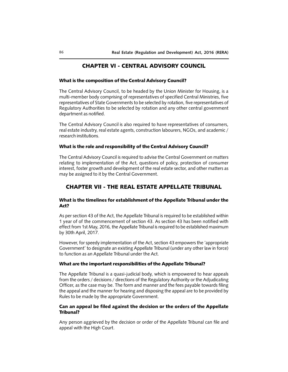# CHAPTER VI - CENTRAL ADVISORY COUNCIL

#### What is the composition of the Central Advisory Council?

The Central Advisory Council, to be headed by the Union Minister for Housing, is a multi-member body comprising of representatives of specified Central Ministries, five representatives of State Governments to be selected by rotation, five representatives of Regulatory Authorities to be selected by rotation and any other central government department as notified.

The Central Advisory Council is also required to have representatives of consumers, real estate industry, real estate agents, construction labourers, NGOs, and academic / research institutions.

#### What is the role and responsibility of the Central Advisory Council?

The Central Advisory Council is required to advise the Central Government on matters relating to implementation of the Act, questions of policy, protection of consumer interest, foster growth and development of the real estate sector, and other matters as may be assigned to it by the Central Government.

# CHAPTER VII - THE REAL ESTATE APPELLATE TRIBUNAL

# What is the timelines for establishment of the Appellate Tribunal under the Act?

As per section 43 of the Act, the Appellate Tribunal is required to be established within 1 year of of the commencement of section 43. As section 43 has been notified with effect from 1st May, 2016, the Appellate Tribunal is required to be established maximum by 30th April, 2017.

However, for speedy implementation of the Act, section 43 empowers the 'appropriate Government' to designate an existing Appellate Tribunal (under any other law in force) to function as an Appellate Tribunal under the Act.

#### What are the important responsibilities of the Appellate Tribunal?

The Appellate Tribunal is a quasi-judicial body, which is empowered to hear appeals from the orders / decisions / directions of the Regulatory Authority or the Adjudicating Officer, as the case may be. The form and manner and the fees payable towards filing the appeal and the manner for hearing and disposing the appeal are to be provided by Rules to be made by the appropriate Government.

#### Can an appeal be filed against the decision or the orders of the Appellate Tribunal?

Any person aggrieved by the decision or order of the Appellate Tribunal can file and appeal with the High Court.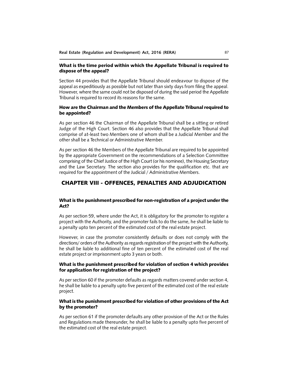#### What is the time period within which the Appellate Tribunal is required to dispose of the appeal?

Section 44 provides that the Appellate Tribunal should endeavour to dispose of the appeal as expeditiously as possible but not later than sixty days from filing the appeal. However, where the same could not be disposed of during the said period the Appellate Tribunal is required to record its reasons for the same.

# How are the Chairman and the Members of the Appellate Tribunal required to be appointed?

As per section 46 the Chairman of the Appellate Tribunal shall be a sitting or retired Judge of the High Court. Section 46 also provides that the Appellate Tribunal shall comprise of at-least two Members one of whom shall be a Judicial Member and the other shall be a Technical or Administrative Member.

As per section 46 the Members of the Appellate Tribunal are required to be appointed by the appropriate Government on the recommendations of a Selection Committee comprising of the Chief Justice of the High Court (or his nominee), the Housing Secretary and the Law Secretary. The section also provides for the qualification etc. that are required for the appointment of the Judicial / Administrative Members.

# CHAPTER VIII - OFFENCES, PENALTIES AND ADJUDICATION

## What is the punishment prescribed for non-registration of a project under the Act?

As per section 59, where under the Act, it is obligatory for the promoter to register a project with the Authority, and the promoter fails to do the same, he shall be liable to a penalty upto ten percent of the estimated cost of the real estate project.

However, in case the promoter consistently defaults or does not comply with the directions/ orders of the Authority as regards registration of the project with the Authority, he shall be liable to additional fine of ten percent of the estimated cost of the real estate project or imprisonment upto 3 years or both.

## What is the punishment prescribed for violation of section 4 which provides for application for registration of the project?

As per section 60 if the promoter defaults as regards matters covered under section 4, he shall be liable to a penalty upto five percent of the estimated cost of the real estate project.

#### What is the punishment prescribed for violation of other provisions of the Act by the promoter?

As per section 61 if the promoter defaults any other provision of the Act or the Rules and Regulations made thereunder, he shall be liable to a penalty upto five percent of the estimated cost of the real estate project.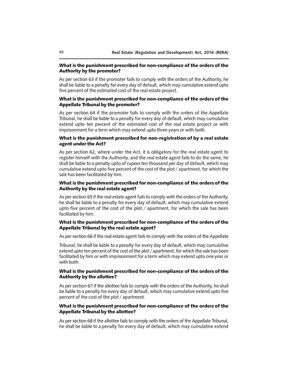#### What is the punishment prescribed for non-compliance of the orders of the Authority by the promoter?

As per section 63 if the promoter fails to comply with the orders of the Authority, he shall be liable to a penalty for every day of default, which may cumulative extend upto five percent of the estimated cost of the real estate project.

# What is the punishment prescribed for non-compliance of the orders of the Appellate Tribunal by the promoter?

As per section 64 if the promoter fails to comply with the orders of the Appellate Tribunal, he shall be liable to a penalty for every day of default, which may cumulative extend upto ten percent of the estimated cost of the real estate project or with imprisonment for a term which may extend upto three years or with both.

# What is the punishment prescribed for non-registration of by a real estate agent under the Act?

As per section 62, where under the Act, it is obligatory for the real estate agent to register himself with the Authority, and the real estate agent fails to do the same, he shall be liable to a penalty upto of rupees ten thousand per day of default, which may cumulative extend upto five percent of the cost of the plot / apartment, for which the sale has been facilitated by him.

# What is the punishment prescribed for non-compliance of the orders of the Authority by the real estate agent?

As per section 65 if the real estate agent fails to comply with the orders of the Authority, he shall be liable to a penalty for every day of default, which may cumulative extend upto five percent of the cost of the plot / apartment, for which the sale has been facilitated by him.

# What is the punishment prescribed for non-compliance of the orders of the Appellate Tribunal by the real estate agent?

As per section 66 if the real estate agent fails to comply with the orders of the Appellate

Tribunal, he shall be liable to a penalty for every day of default, which may cumulative extend upto ten percent of the cost of the plot / apartment, for which the sale has been facilitated by him or with imprisonment for a term which may extend upto one year or with both.

## What is the punishment prescribed for non-compliance of the orders of the Authority by the allottee?

As per section 67 if the allottee fails to comply with the orders of the Authority, he shall be liable to a penalty for every day of default, which may cumulative extend upto five percent of the cost of the plot / apartment.

#### What is the punishment prescribed for non-compliance of the orders of the Appellate Tribunal by the allottee?

As per section 68 if the allottee fails to comply with the orders of the Appellate Tribunal, he shall be liable to a penalty for every day of default, which may cumulative extend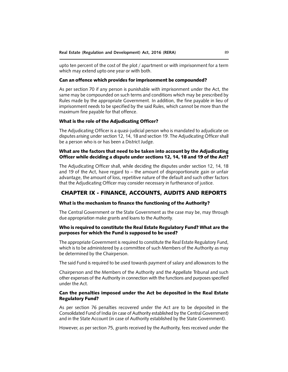upto ten percent of the cost of the plot / apartment or with imprisonment for a term which may extend upto one year or with both.

#### Can an offence which provides for imprisonment be compounded?

As per section 70 if any person is punishable with imprisonment under the Act, the same may be compounded on such terms and conditions which may be prescribed by Rules made by the appropriate Government. In addition, the fine payable in lieu of imprisonment needs to be specified by the said Rules, which cannot be more than the maximum fine payable for that offence.

#### What is the role of the Adjudicating Officer?

The Adjudicating Officer is a quasi-judicial person who is mandated to adjudicate on disputes arising under section 12, 14, 18 and section 19. The Adjudicating Officer shall be a person who is or has been a District Judge.

### What are the factors that need to be taken into account by the Adjudicating Officer while deciding a dispute under sections 12, 14, 18 and 19 of the Act?

The Adjudicating Officer shall, while deciding the disputes under section 12, 14, 18 and 19 of the Act, have regard to – the amount of disproportionate gain or unfair advantage, the amount of loss, repetitive nature of the default and such other factors that the Adjudicating Officer may consider necessary in furtherance of justice.

# CHAPTER IX - FINANCE, ACCOUNTS, AUDITS AND REPORTS

#### What is the mechanism to finance the functioning of the Authority?

The Central Government or the State Government as the case may be, may through due appropriation make grants and loans to the Authority.

### Who is required to constitute the Real Estate Regulatory Fund? What are the purposes for which the Fund is supposed to be used?

The appropriate Government is required to constitute the Real Estate Regulatory Fund, which is to be administered by a committee of such Members of the Authority as may be determined by the Chairperson.

The said Fund is required to be used towards payment of salary and allowances to the

Chairperson and the Members of the Authority and the Appellate Tribunal and such other expenses of the Authority in connection with the functions and purposes specified under the Act.

#### Can the penalties imposed under the Act be deposited in the Real Estate Regulatory Fund?

As per section 76 penalties recovered under the Act are to be deposited in the Consolidated Fund of India (in case of Authority established by the Central Government) and in the State Account (in case of Authority established by the State Government).

However, as per section 75, grants received by the Authority, fees received under the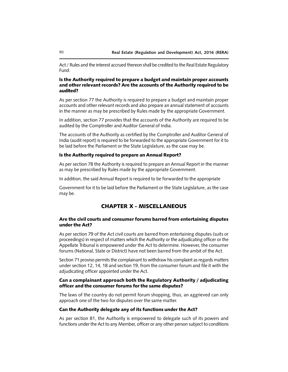Act / Rules and the interest accrued thereon shall be credited to the Real Estate Regulatory Fund.

## Is the Authority required to prepare a budget and maintain proper accounts and other relevant records? Are the accounts of the Authority required to be audited?

As per section 77 the Authority is required to prepare a budget and maintain proper accounts and other relevant records and also prepare an annual statement of accounts in the manner as may be prescribed by Rules made by the appropriate Government.

In addition, section 77 provides that the accounts of the Authority are required to be audited by the Comptroller and Auditor General of India.

The accounts of the Authority as certified by the Comptroller and Auditor General of India (audit report) is required to be forwarded to the appropriate Government for it to be laid before the Parliament or the State Legislature, as the case may be.

# Is the Authority required to prepare an Annual Report?

As per section 78 the Authority is required to prepare an Annual Report in the manner as may be prescribed by Rules made by the appropriate Government.

In addition, the said Annual Report is required to be forwarded to the appropriate

Government for it to be laid before the Parliament or the State Legislature, as the case may be.

# CHAPTER X - MISCELLANEOUS

## Are the civil courts and consumer forums barred from entertaining disputes under the Act?

As per section 79 of the Act civil courts are barred from entertaining disputes (suits or proceedings) in respect of matters which the Authority or the adjudicating officer or the Appellate Tribunal is empowered under the Act to determine. However, the consumer forums (National, State or District) have not been barred from the ambit of the Act.

Section 71 proviso permits the complainant to withdraw his complaint as regards matters under section 12, 14, 18 and section 19, from the consumer forum and file it with the adjudicating officer appointed under the Act.

#### Can a complainant approach both the Regulatory Authority / adjudicating officer and the consumer forums for the same disputes?

The laws of the country do not permit forum shopping, thus, an aggrieved can only approach one of the two for disputes over the same matter.

#### Can the Authority delegate any of its functions under the Act?

As per section 81, the Authority is empowered to delegate such of its powers and functions under the Act to any Member, officer or any other person subject to conditions